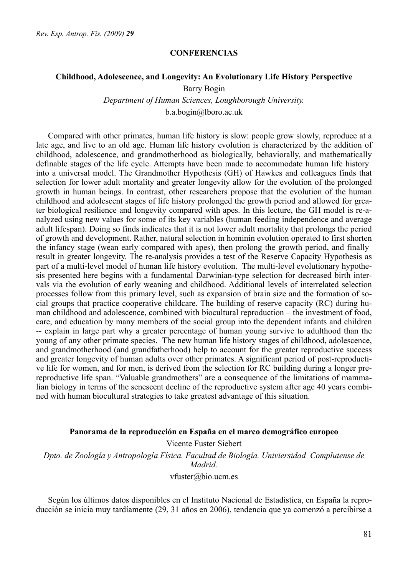#### **CONFERENCIAS**

#### **Childhood, Adolescence, and Longevity: An Evolutionary Life History Perspective**

Barry Bogin

*Department of Human Sciences, Loughborough University.*

b.a.bogin@lboro.ac.uk

Compared with other primates, human life history is slow: people grow slowly, reproduce at a late age, and live to an old age. Human life history evolution is characterized by the addition of childhood, adolescence, and grandmotherhood as biologically, behaviorally, and mathematically definable stages of the life cycle. Attempts have been made to accommodate human life history into a universal model. The Grandmother Hypothesis (GH) of Hawkes and colleagues finds that selection for lower adult mortality and greater longevity allow for the evolution of the prolonged growth in human beings. In contrast, other researchers propose that the evolution of the human childhood and adolescent stages of life history prolonged the growth period and allowed for greater biological resilience and longevity compared with apes. In this lecture, the GH model is re-analyzed using new values for some of its key variables (human feeding independence and average adult lifespan). Doing so finds indicates that it is not lower adult mortality that prolongs the period of growth and development. Rather, natural selection in hominin evolution operated to first shorten the infancy stage (wean early compared with apes), then prolong the growth period, and finally result in greater longevity. The re-analysis provides a test of the Reserve Capacity Hypothesis as part of a multi-level model of human life history evolution. The multi-level evolutionary hypothesis presented here begins with a fundamental Darwinian-type selection for decreased birth intervals via the evolution of early weaning and childhood. Additional levels of interrelated selection processes follow from this primary level, such as expansion of brain size and the formation of social groups that practice cooperative childcare. The building of reserve capacity (RC) during human childhood and adolescence, combined with biocultural reproduction – the investment of food, care, and education by many members of the social group into the dependent infants and children -- explain in large part why a greater percentage of human young survive to adulthood than the young of any other primate species. The new human life history stages of childhood, adolescence, and grandmotherhood (and grandfatherhood) help to account for the greater reproductive success and greater longevity of human adults over other primates. A significant period of post-reproductive life for women, and for men, is derived from the selection for RC building during a longer prereproductive life span. "Valuable grandmothers" are a consequence of the limitations of mammalian biology in terms of the senescent decline of the reproductive system after age 40 years combined with human biocultural strategies to take greatest advantage of this situation.

#### **Panorama de la reproducción en España en el marco demográfico europeo**

Vicente Fuster Siebert *Dpto. de Zoología y Antropología Física. Facultad de Biología. Univiersidad Complutense de Madrid.* 

vfuster@bio.ucm.es

Según los últimos datos disponibles en el Instituto Nacional de Estadística, en España la reproducción se inicia muy tardíamente (29, 31 años en 2006), tendencia que ya comenzó a percibirse a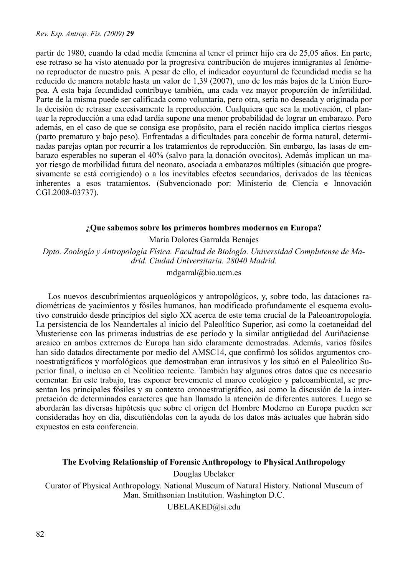partir de 1980, cuando la edad media femenina al tener el primer hijo era de 25,05 años. En parte, ese retraso se ha visto atenuado por la progresiva contribución de mujeres inmigrantes al fenómeno reproductor de nuestro país. A pesar de ello, el indicador coyuntural de fecundidad media se ha reducido de manera notable hasta un valor de 1,39 (2007), uno de los más bajos de la Unión Europea. A esta baja fecundidad contribuye también, una cada vez mayor proporción de infertilidad. Parte de la misma puede ser calificada como voluntaria, pero otra, sería no deseada y originada por la decisión de retrasar excesivamente la reproducción. Cualquiera que sea la motivación, el plantear la reproducción a una edad tardía supone una menor probabilidad de lograr un embarazo. Pero además, en el caso de que se consiga ese propósito, para el recién nacido implica ciertos riesgos (parto prematuro y bajo peso). Enfrentadas a dificultades para concebir de forma natural, determinadas parejas optan por recurrir a los tratamientos de reproducción. Sin embargo, las tasas de embarazo esperables no superan el 40% (salvo para la donación ovocitos). Además implican un mayor riesgo de morbilidad futura del neonato, asociada a embarazos múltiples (situación que progresivamente se está corrigiendo) o a los inevitables efectos secundarios, derivados de las técnicas inherentes a esos tratamientos. (Subvencionado por: Ministerio de Ciencia e Innovación CGL2008-03737).

### **¿Que sabemos sobre los primeros hombres modernos en Europa?**

María Dolores Garralda Benajes

*Dpto. Zoología y Antropología Física. Facultad de Biología. Universidad Complutense de Madrid. Ciudad Universitaria. 28040 Madrid.*

mdgarral@bio.ucm.es

Los nuevos descubrimientos arqueológicos y antropológicos, y, sobre todo, las dataciones radiométricas de yacimientos y fósiles humanos, han modificado profundamente el esquema evolutivo construido desde principios del siglo XX acerca de este tema crucial de la Paleoantropología. La persistencia de los Neandertales al inicio del Paleolítico Superior, así como la coetaneidad del Musteriense con las primeras industrias de ese período y la similar antigüedad del Auriñaciense arcaico en ambos extremos de Europa han sido claramente demostradas. Además, varios fósiles han sido datados directamente por medio del AMSC14, que confirmó los sólidos argumentos cronoestratigráficos y morfológicos que demostraban eran intrusivos y los situó en el Paleolítico Superior final, o incluso en el Neolítico reciente. También hay algunos otros datos que es necesario comentar. En este trabajo, tras exponer brevemente el marco ecológico y paleoambiental, se presentan los principales fósiles y su contexto cronoestratigráfico, así como la discusión de la interpretación de determinados caracteres que han llamado la atención de diferentes autores. Luego se abordarán las diversas hipótesis que sobre el origen del Hombre Moderno en Europa pueden ser consideradas hoy en día, discutiéndolas con la ayuda de los datos más actuales que habrán sido expuestos en esta conferencia.

### **The Evolving Relationship of Forensic Anthropology to Physical Anthropology**

Douglas Ubelaker

Curator of Physical Anthropology. National Museum of Natural History. National Museum of Man. Smithsonian Institution. Washington D.C.

UBELAKED@si.edu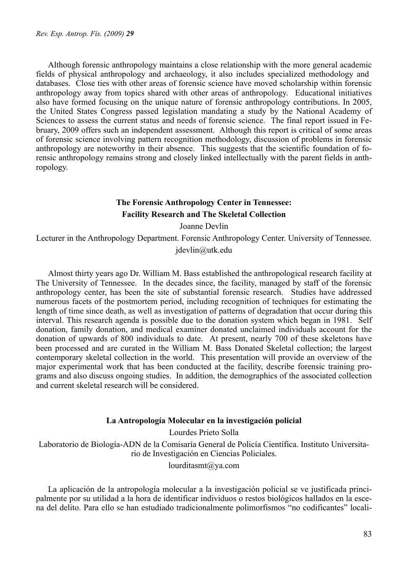Although forensic anthropology maintains a close relationship with the more general academic fields of physical anthropology and archaeology, it also includes specialized methodology and databases. Close ties with other areas of forensic science have moved scholarship within forensic anthropology away from topics shared with other areas of anthropology. Educational initiatives also have formed focusing on the unique nature of forensic anthropology contributions. In 2005, the United States Congress passed legislation mandating a study by the National Academy of Sciences to assess the current status and needs of forensic science. The final report issued in February, 2009 offers such an independent assessment. Although this report is critical of some areas of forensic science involving pattern recognition methodology, discussion of problems in forensic anthropology are noteworthy in their absence. This suggests that the scientific foundation of forensic anthropology remains strong and closely linked intellectually with the parent fields in anthropology.

# **The Forensic Anthropology Center in Tennessee: Facility Research and The Skeletal Collection**

Joanne Devlin

Lecturer in the Anthropology Department. Forensic Anthropology Center. University of Tennessee.

jdevlin@utk.edu

Almost thirty years ago Dr. William M. Bass established the anthropological research facility at The University of Tennessee. In the decades since, the facility, managed by staff of the forensic anthropology center, has been the site of substantial forensic research. Studies have addressed numerous facets of the postmortem period, including recognition of techniques for estimating the length of time since death, as well as investigation of patterns of degradation that occur during this interval. This research agenda is possible due to the donation system which began in 1981. Self donation, family donation, and medical examiner donated unclaimed individuals account for the donation of upwards of 800 individuals to date. At present, nearly 700 of these skeletons have been processed and are curated in the William M. Bass Donated Skeletal collection; the largest contemporary skeletal collection in the world. This presentation will provide an overview of the major experimental work that has been conducted at the facility, describe forensic training programs and also discuss ongoing studies. In addition, the demographics of the associated collection and current skeletal research will be considered.

#### **La Antropología Molecular en la investigación policial**

Lourdes Prieto Solla

Laboratorio de Biología-ADN de la Comisaría General de Policía Científica. Instituto Universitario de Investigación en Ciencias Policiales.

lourditasmt@ya.com

La aplicación de la antropología molecular a la investigación policial se ve justificada principalmente por su utilidad a la hora de identificar individuos o restos biológicos hallados en la escena del delito. Para ello se han estudiado tradicionalmente polimorfismos "no codificantes" locali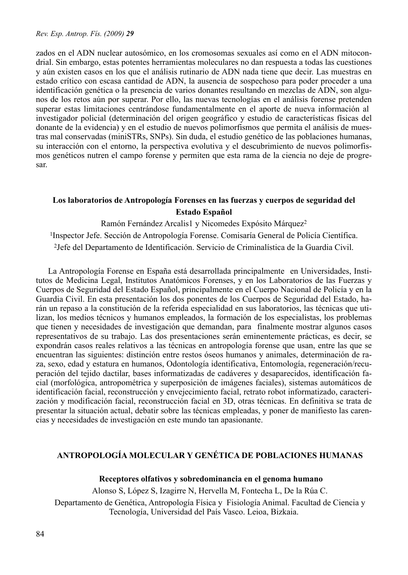zados en el ADN nuclear autosómico, en los cromosomas sexuales así como en el ADN mitocondrial. Sin embargo, estas potentes herramientas moleculares no dan respuesta a todas las cuestiones y aún existen casos en los que el análisis rutinario de ADN nada tiene que decir. Las muestras en estado crítico con escasa cantidad de ADN, la ausencia de sospechoso para poder proceder a una identificación genética o la presencia de varios donantes resultando en mezclas de ADN, son algunos de los retos aún por superar. Por ello, las nuevas tecnologías en el análisis forense pretenden superar estas limitaciones centrándose fundamentalmente en el aporte de nueva información al investigador policial (determinación del origen geográfico y estudio de características físicas del donante de la evidencia) y en el estudio de nuevos polimorfismos que permita el análisis de muestras mal conservadas (miniSTRs, SNPs). Sin duda, el estudio genético de las poblaciones humanas, su interacción con el entorno, la perspectiva evolutiva y el descubrimiento de nuevos polimorfismos genéticos nutren el campo forense y permiten que esta rama de la ciencia no deje de progresar.

# **Los laboratorios de Antropología Forenses en las fuerzas y cuerpos de seguridad del Estado Español**

Ramón Fernández Arcalis1 y Nicomedes Expósito Márquez2

1Inspector Jefe. Sección de Antropología Forense. Comisaría General de Policía Científica.

2Jefe del Departamento de Identificación. Servicio de Criminalística de la Guardia Civil.

La Antropología Forense en España está desarrollada principalmente en Universidades, Institutos de Medicina Legal, Institutos Anatómicos Forenses, y en los Laboratorios de las Fuerzas y Cuerpos de Seguridad del Estado Español, principalmente en el Cuerpo Nacional de Policía y en la Guardia Civil. En esta presentación los dos ponentes de los Cuerpos de Seguridad del Estado, harán un repaso a la constitución de la referida especialidad en sus laboratorios, las técnicas que utilizan, los medios técnicos y humanos empleados, la formación de los especialistas, los problemas que tienen y necesidades de investigación que demandan, para finalmente mostrar algunos casos representativos de su trabajo. Las dos presentaciones serán eminentemente prácticas, es decir, se expondrán casos reales relativos a las técnicas en antropología forense que usan, entre las que se encuentran las siguientes: distinción entre restos óseos humanos y animales, determinación de raza, sexo, edad y estatura en humanos, Odontología identificativa, Entomología, regeneración/recuperación del tejido dactilar, bases informatizadas de cadáveres y desaparecidos, identificación facial (morfológica, antropométrica y superposición de imágenes faciales), sistemas automáticos de identificación facial, reconstrucción y envejecimiento facial, retrato robot informatizado, caracterización y modificación facial, reconstrucción facial en 3D, otras técnicas. En definitiva se trata de presentar la situación actual, debatir sobre las técnicas empleadas, y poner de manifiesto las carencias y necesidades de investigación en este mundo tan apasionante.

# **ANTROPOLOGÍA MOLECULAR Y GENÉTICA DE POBLACIONES HUMANAS**

 **Receptores olfativos y sobredominancia en el genoma humano**

Alonso S, López S, Izagirre N, Hervella M, Fontecha L, De la Rúa C.

Departamento de Genética, Antropología Física y Fisiología Animal. Facultad de Ciencia y Tecnología, Universidad del País Vasco. Leioa, Bizkaia.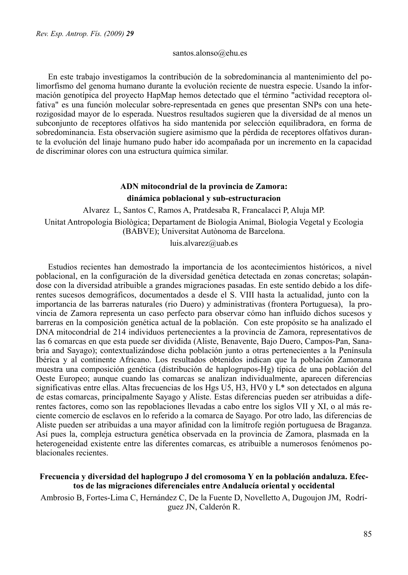#### santos.alonso@ehu.es

En este trabajo investigamos la contribución de la sobredominancia al mantenimiento del polimorfismo del genoma humano durante la evolución reciente de nuestra especie. Usando la información genotípica del proyecto HapMap hemos detectado que el término "actividad receptora olfativa" es una función molecular sobre-representada en genes que presentan SNPs con una heterozigosidad mayor de lo esperada. Nuestros resultados sugieren que la diversidad de al menos un subconjunto de receptores olfativos ha sido mantenida por selección equilibradora, en forma de sobredominancia. Esta observación sugiere asimismo que la pérdida de receptores olfativos durante la evolución del linaje humano pudo haber ido acompañada por un incremento en la capacidad de discriminar olores con una estructura química similar.

# **ADN mitocondrial de la provincia de Zamora: dinámica poblacional y sub-estructuracion**

Alvarez L, Santos C, Ramos A, Pratdesaba R, Francalacci P, Aluja MP.

Unitat Antropologia Biològica; Departament de Biologia Animal, Biologia Vegetal y Ecologia (BABVE); Universitat Autònoma de Barcelona.

luis.alvarez@uab.es

Estudios recientes han demostrado la importancia de los acontecimientos históricos, a nivel poblacional, en la configuración de la diversidad genética detectada en zonas concretas; solapándose con la diversidad atribuible a grandes migraciones pasadas. En este sentido debido a los diferentes sucesos demográficos, documentados a desde el S. VIII hasta la actualidad, junto con la importancia de las barreras naturales (rio Duero) y administrativas (frontera Portuguesa), la provincia de Zamora representa un caso perfecto para observar cómo han influido dichos sucesos y barreras en la composición genética actual de la población. Con este propósito se ha analizado el DNA mitocondrial de 214 individuos pertenecientes a la provincia de Zamora, representativos de las 6 comarcas en que esta puede ser dividida (Aliste, Benavente, Bajo Duero, Campos-Pan, Sanabria and Sayago); contextualizándose dicha población junto a otras pertenecientes a la Península Ibérica y al continente Africano. Los resultados obtenidos indican que la población Zamorana muestra una composición genética (distribución de haplogrupos-Hg) típica de una población del Oeste Europeo; aunque cuando las comarcas se analizan individualmente, aparecen diferencias significativas entre ellas. Altas frecuencias de los Hgs U5, H3, HV0 y  $L^*$  son detectados en alguna de estas comarcas, principalmente Sayago y Aliste. Estas diferencias pueden ser atribuidas a diferentes factores, como son las repoblaciones llevadas a cabo entre los siglos VII y XI, o al más reciente comercio de esclavos en lo referido a la comarca de Sayago. Por otro lado, las diferencias de Aliste pueden ser atribuidas a una mayor afinidad con la limítrofe región portuguesa de Braganza. Así pues la, compleja estructura genética observada en la provincia de Zamora, plasmada en la heterogeneidad existente entre las diferentes comarcas, es atribuible a numerosos fenómenos poblacionales recientes.

### **Frecuencia y diversidad del haplogrupo J del cromosoma Y en la población andaluza. Efectos de las migraciones diferenciales entre Andalucía oriental y occidental**

Ambrosio B, Fortes-Lima C, Hernández C, De la Fuente D, Novelletto A, Dugoujon JM, Rodríguez JN, Calderón R.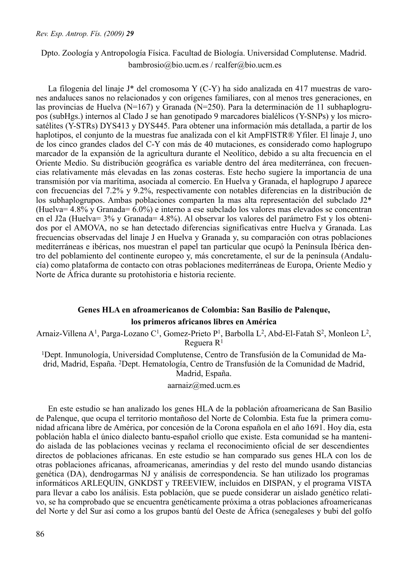# Dpto. Zoología y Antropología Física. Facultad de Biología. Universidad Complutense. Madrid. bambrosio@bio.ucm.es / rcalfer@bio.ucm.es

La filogenia del linaje J\* del cromosoma Y (C-Y) ha sido analizada en 417 muestras de varones andaluces sanos no relacionados y con orígenes familiares, con al menos tres generaciones, en las provincias de Huelva (N=167) y Granada (N=250). Para la determinación de 11 subhaplogrupos (subHgs.) internos al Clado J se han genotipado 9 marcadores bialélicos (Y-SNPs) y los microsatélites (Y-STRs) DYS413 y DYS445. Para obtener una información más detallada, a partir de los haplotipos, el conjunto de la muestras fue analizada con el kit AmpFlSTR® Yfiler. El linaje J, uno de los cinco grandes clados del C-Y con más de 40 mutaciones, es considerado como haplogrupo marcador de la expansión de la agricultura durante el Neolítico, debido a su alta frecuencia en el Oriente Medio. Su distribución geográfica es variable dentro del área mediterránea, con frecuencias relativamente más elevadas en las zonas costeras. Este hecho sugiere la importancia de una transmisión por vía marítima, asociada al comercio. En Huelva y Granada, el haplogrupo J aparece con frecuencias del 7.2% y 9.2%, respectivamente con notables diferencias en la distribución de los subhaplogrupos. Ambas poblaciones comparten la mas alta representación del subclado J2\* (Huelva= 4.8% y Granada= 6.0%) e interno a ese subclado los valores mas elevados se concentran en el J2a (Huelva= 3% y Granada= 4.8%). Al observar los valores del parámetro Fst y los obtenidos por el AMOVA, no se han detectado diferencias significativas entre Huelva y Granada. Las frecuencias observadas del linaje J en Huelva y Granada y, su comparación con otras poblaciones mediterráneas e ibéricas, nos muestran el papel tan particular que ocupó la Península Ibérica dentro del poblamiento del continente europeo y, más concretamente, el sur de la península (Andalucía) como plataforma de contacto con otras poblaciones mediterráneas de Europa, Oriente Medio y Norte de África durante su protohistoria e historia reciente.

# **Genes HLA en afroamericanos de Colombia: San Basilio de Palenque, los primeros africanos libres en América**

Arnaiz-Villena A<sup>1</sup>, Parga-Lozano C<sup>1</sup>, Gomez-Prieto P<sup>1</sup>, Barbolla L<sup>2</sup>, Abd-El-Fatah S<sup>2</sup>, Monleon L<sup>2</sup>, Reguera R<sup>1</sup>

1Dept. Inmunología, Universidad Complutense, Centro de Transfusión de la Comunidad de Madrid, Madrid, España. 2Dept. Hematología, Centro de Transfusión de la Comunidad de Madrid, Madrid, España.

#### aarnaiz@med.ucm.es

En este estudio se han analizado los genes HLA de la población afroamericana de San Basilio de Palenque, que ocupa el territorio montañoso del Norte de Colombia. Esta fue la primera comunidad africana libre de América, por concesión de la Corona española en el año 1691. Hoy día, esta población habla el único dialecto bantu-español criollo que existe. Esta comunidad se ha mantenido aislada de las poblaciones vecinas y reclama el reconocimiento oficial de ser descendientes directos de poblaciones africanas. En este estudio se han comparado sus genes HLA con los de otras poblaciones africanas, afroamericanas, amerindias y del resto del mundo usando distancias genética (DA), dendrogarmas NJ y análisis de correspondencia. Se han utilizado los programas informáticos ARLEQUIN, GNKDST y TREEVIEW, incluidos en DISPAN, y el programa VISTA para llevar a cabo los análisis. Esta población, que se puede considerar un aislado genético relativo, se ha comprobado que se encuentra genéticamente próxima a otras poblaciones afroamericanas del Norte y del Sur así como a los grupos bantú del Oeste de África (senegaleses y bubi del golfo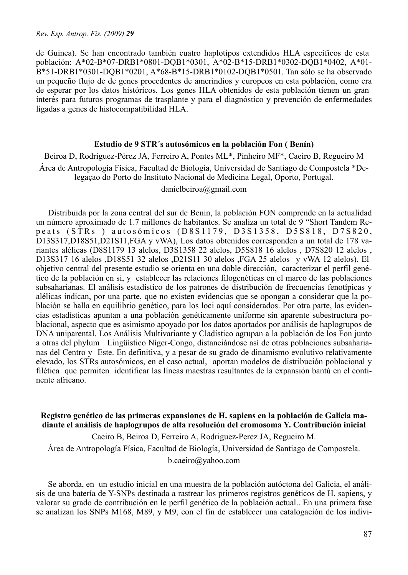de Guinea). Se han encontrado también cuatro haplotipos extendidos HLA específicos de esta población: A\*02-B\*07-DRB1\*0801-DQB1\*0301, A\*02-B\*15-DRB1\*0302-DQB1\*0402, A\*01- B\*51-DRB1\*0301-DQB1\*0201, A\*68-B\*15-DRB1\*0102-DQB1\*0501. Tan sólo se ha observado un pequeño flujo de de genes procedentes de amerindios y europeos en esta población, como era de esperar por los datos históricos. Los genes HLA obtenidos de esta población tienen un gran interés para futuros programas de trasplante y para el diagnóstico y prevención de enfermedades ligadas a genes de histocompatibilidad HLA.

#### **Estudio de 9 STR´s autosómicos en la población Fon ( Benín)**

Beiroa D, Rodriguez-Pérez JA, Ferreiro A, Pontes ML\*, Pinheiro MF\*, Caeiro B, Regueiro M Área de Antropología Física, Facultad de Biología, Universidad de Santiago de Compostela \*Delegaçao do Porto do Instituto Nacional de Medicina Legal, Oporto, Portugal.

# danielbeiroa@gmail.com

Distribuida por la zona central del sur de Benin, la población FON comprende en la actualidad un número aproximado de 1.7 millones de habitantes. Se analiza un total de 9 "Short Tandem Repeats (STRs ) autosómicos (D8S1179, D3S1358, D5S818, D7S820, D13S317,D18S51,D21S11,FGA y vWA), Los datos obtenidos corresponden a un total de 178 variantes alélicas (D8S1179 13 alelos, D3S1358 22 alelos, D5S818 16 alelos , D7S820 12 alelos , D13S317 16 alelos ,D18S51 32 alelos ,D21S11 30 alelos ,FGA 25 alelos y vWA 12 alelos). El objetivo central del presente estudio se orienta en una doble dirección, caracterizar el perfil genético de la población en si, y establecer las relaciones filogenéticas en el marco de las poblaciones subsaharianas. El análisis estadístico de los patrones de distribución de frecuencias fenotípicas y alélicas indican, por una parte, que no existen evidencias que se opongan a considerar que la población se halla en equilibrio genético, para los loci aquí considerados. Por otra parte, las evidencias estadísticas apuntan a una población genéticamente uniforme sin aparente subestructura poblacional, aspecto que es asimismo apoyado por los datos aportados por análisis de haplogrupos de DNA uniparental. Los Análisis Multivariante y Cladístico agrupan a la población de los Fon junto a otras del phylum Lingüístico Níger-Congo, distanciándose así de otras poblaciones subsaharianas del Centro y Este. En definitiva, y a pesar de su grado de dinamismo evolutivo relativamente elevado, los STRs autosómicos, en el caso actual, aportan modelos de distribución poblacional y filética que permiten identificar las líneas maestras resultantes de la expansión bantú en el continente africano.

**Registro genético de las primeras expansiones de H. sapiens en la población de Galicia madiante el análisis de haplogrupos de alta resolución del cromosoma Y. Contribución inicial** Caeiro B, Beiroa D, Ferreiro A, Rodriguez-Perez JA, Regueiro M. Área de Antropología Física, Facultad de Biología, Universidad de Santiago de Compostela.

b.caeiro@yahoo.com

Se aborda, en un estudio inicial en una muestra de la población autóctona del Galicia, el análisis de una batería de Y-SNPs destinada a rastrear los primeros registros genéticos de H. sapiens, y valorar su grado de contribución en le perfil genético de la población actual.. En una primera fase se analizan los SNPs M168, M89, y M9, con el fin de establecer una catalogación de los indivi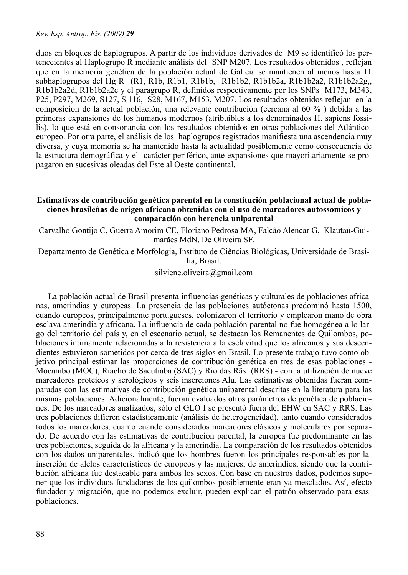duos en bloques de haplogrupos. A partir de los individuos derivados de M9 se identificó los pertenecientes al Haplogrupo R mediante análisis del SNP M207. Los resultados obtenidos , reflejan que en la memoria genética de la población actual de Galicia se mantienen al menos hasta 11 subhaplogrupos del Hg R (R1, R1b, R1b1, R1b1b, R1b1b2, R1b1b2a, R1b1b2a2, R1b1b2a2g,, R1b1b2a2d, R1b1b2a2c y el paragrupo R, definidos respectivamente por los SNPs M173, M343, P25, P297, M269, S127, S 116, S28, M167, M153, M207. Los resultados obtenidos reflejan en la composición de la actual población, una relevante contribución (cercana al 60 % ) debida a las primeras expansiones de los humanos modernos (atribuibles a los denominados H. sapiens fossilis), lo que está en consonancia con los resultados obtenidos en otras poblaciones del Atlántico europeo. Por otra parte, el análisis de los haplogrupos registrados manifiesta una ascendencia muy diversa, y cuya memoria se ha mantenido hasta la actualidad posiblemente como consecuencia de la estructura demográfica y el carácter periférico, ante expansiones que mayoritariamente se propagaron en sucesivas oleadas del Este al Oeste continental.

# **Estimativas de contribución genética parental en la constitución poblacional actual de poblaciones brasileñas de origen africana obtenidas con el uso de marcadores autossomicos y comparación con herencia uniparental**

Carvalho Gontijo C, Guerra Amorim CE, Floriano Pedrosa MA, Falcão Alencar G, Klautau-Guimarães MdN, De Oliveira SF.

Departamento de Genética e Morfologia, Instituto de Ciências Biológicas, Universidade de Brasília, Brasil.

silviene.oliveira@gmail.com

La población actual de Brasil presenta influencias genéticas y culturales de poblaciones africanas, amerindias y europeas. La presencia de las poblaciones autóctonas predominó hasta 1500, cuando europeos, principalmente portugueses, colonizaron el territorio y emplearon mano de obra esclava amerindia y africana. La influencia de cada población parental no fue homogénea a lo largo del territorio del país y, en el escenario actual, se destacan los Remanentes de Quilombos, poblaciones íntimamente relacionadas a la resistencia a la esclavitud que los africanos y sus descendientes estuvieron sometidos por cerca de tres siglos en Brasil. Lo presente trabajo tuvo como objetivo principal estimar las proporciones de contribución genética en tres de esas poblaciones - Mocambo (MOC), Riacho de Sacutiaba (SAC) y Rio das Rãs (RRS) - con la utilización de nueve marcadores proteicos y serológicos y seis inserciones Alu. Las estimativas obtenidas fueran comparadas con las estimativas de contribución genética uniparental descritas en la literatura para las mismas poblaciones. Adicionalmente, fueran evaluados otros parámetros de genética de poblaciones. De los marcadores analizados, sólo el GLO I se presentó fuera del EHW en SAC y RRS. Las tres poblaciones difieren estadísticamente (análisis de heterogeneidad), tanto cuando considerados todos los marcadores, cuanto cuando considerados marcadores clásicos y moleculares por separado. De acuerdo con las estimativas de contribución parental, la europea fue predominante en las tres poblaciones, seguida de la africana y la amerindia. La comparación de los resultados obtenidos con los dados uniparentales, indicó que los hombres fueron los principales responsables por la inserción de alelos característicos de europeos y las mujeres, de amerindios, siendo que la contribución africana fue destacable para ambos los sexos. Con base en nuestros dados, podemos suponer que los individuos fundadores de los quilombos posiblemente eran ya mesclados. Así, efecto fundador y migración, que no podemos excluir, pueden explican el patrón observado para esas poblaciones.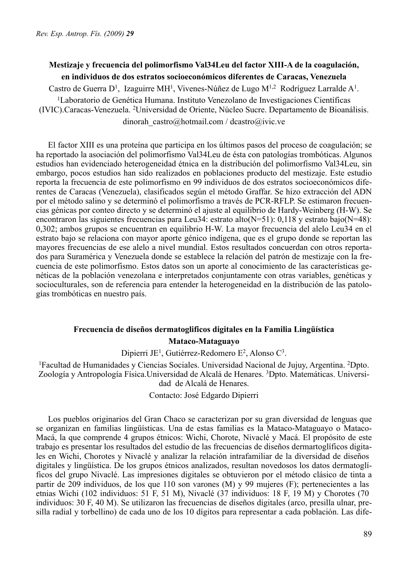# **Mestizaje y frecuencia del polimorfismo Val34Leu del factor XIII-A de la coagulación, en individuos de dos estratos socioeconómicos diferentes de Caracas, Venezuela**

Castro de Guerra D<sup>1</sup>, Izaguirre MH<sup>1</sup>, Vivenes-Núñez de Lugo M<sup>1,2</sup> Rodríguez Larralde A<sup>1</sup>.

1Laboratorio de Genética Humana. Instituto Venezolano de Investigaciones Científicas (IVIC).Caracas-Venezuela. 2Universidad de Oriente, Núcleo Sucre. Departamento de Bioanálisis. dinorah\_castro@hotmail.com / dcastro@ivic.ve

El factor XIII es una proteína que participa en los últimos pasos del proceso de coagulación; se ha reportado la asociación del polimorfismo Val34Leu de ésta con patologías trombóticas. Algunos estudios han evidenciado heterogeneidad étnica en la distribución del polimorfismo Val34Leu, sin embargo, pocos estudios han sido realizados en poblaciones producto del mestizaje. Este estudio reporta la frecuencia de este polimorfismo en 99 individuos de dos estratos socioeconómicos diferentes de Caracas (Venezuela), clasificados según el método Graffar. Se hizo extracción del ADN por el método salino y se determinó el polimorfismo a través de PCR-RFLP. Se estimaron frecuencias génicas por conteo directo y se determinó el ajuste al equilibrio de Hardy-Weinberg (H-W). Se encontraron las siguientes frecuencias para Leu34: estrato alto(N=51): 0,118 y estrato bajo(N=48): 0,302; ambos grupos se encuentran en equilibrio H-W. La mayor frecuencia del alelo Leu34 en el estrato bajo se relaciona con mayor aporte génico indígena, que es el grupo donde se reportan las mayores frecuencias de ese alelo a nivel mundial. Estos resultados concuerdan con otros reportados para Suramérica y Venezuela donde se establece la relación del patrón de mestizaje con la frecuencia de este polimorfismo. Estos datos son un aporte al conocimiento de las características genéticas de la población venezolana e interpretados conjuntamente con otras variables, genéticas y socioculturales, son de referencia para entender la heterogeneidad en la distribución de las patologías trombóticas en nuestro país.

# **Frecuencia de diseños dermatoglificos digitales en la Familia Lingüística Mataco-Mataguayo**

Dipierri JE1, Gutiérrez-Redomero E2, Alonso C3.

1Facultad de Humanidades y Ciencias Sociales. Universidad Nacional de Jujuy, Argentina. 2Dpto. Zoología y Antropología Física.Universidad de Alcalá de Henares. 3Dpto. Matemáticas. Universidad de Alcalá de Henares.

Contacto: José Edgardo Dipierri

Los pueblos originarios del Gran Chaco se caracterizan por su gran diversidad de lenguas que se organizan en familias lingüísticas. Una de estas familias es la Mataco-Mataguayo o Mataco-Macá, la que comprende 4 grupos étnicos: Wichi, Chorote, Nivaclé y Macá. El propósito de este trabajo es presentar los resultados del estudio de las frecuencias de diseños dermartoglíficos digitales en Wichi, Chorotes y Nivaclé y analizar la relación intrafamiliar de la diversidad de diseños digitales y lingüística. De los grupos étnicos analizados, resultan novedosos los datos dermatoglíficos del grupo Nivaclé. Las impresiones digitales se obtuvieron por el método clásico de tinta a partir de 209 individuos, de los que 110 son varones (M) y 99 mujeres (F); pertenecientes a las etnias Wichi (102 individuos: 51 F, 51 M), Nivaclé (37 individuos: 18 F, 19 M) y Chorotes (70 individuos: 30 F, 40 M). Se utilizaron las frecuencias de diseños digitales (arco, presilla ulnar, presilla radial y torbellino) de cada uno de los 10 dígitos para representar a cada población. Las dife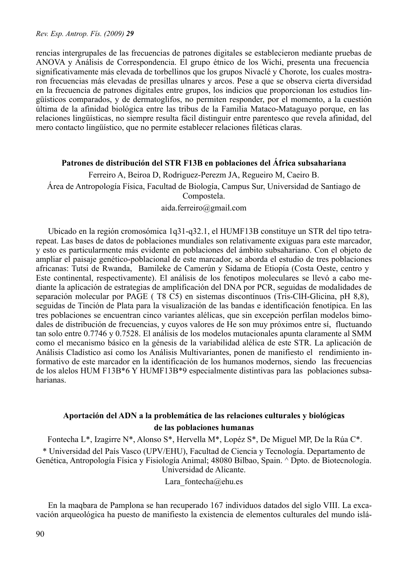rencias intergrupales de las frecuencias de patrones digitales se establecieron mediante pruebas de ANOVA y Análisis de Correspondencia. El grupo étnico de los Wichi, presenta una frecuencia significativamente más elevada de torbellinos que los grupos Nivaclé y Chorote, los cuales mostraron frecuencias más elevadas de presillas ulnares y arcos. Pese a que se observa cierta diversidad en la frecuencia de patrones digitales entre grupos, los indicios que proporcionan los estudios lingüísticos comparados, y de dermatoglifos, no permiten responder, por el momento, a la cuestión última de la afinidad biológica entre las tribus de la Familia Mataco-Mataguayo porque, en las relaciones lingüísticas, no siempre resulta fácil distinguir entre parentesco que revela afinidad, del mero contacto lingüístico, que no permite establecer relaciones filéticas claras.

# **Patrones de distribución del STR F13B en poblaciones del África subsahariana**

Ferreiro A, Beiroa D, Rodriguez-Perezm JA, Regueiro M, Caeiro B. Área de Antropología Física, Facultad de Biología, Campus Sur, Universidad de Santiago de Compostela.

aida.ferreiro@gmail.com

Ubicado en la región cromosómica 1q31-q32.1, el HUMF13B constituye un STR del tipo tetrarepeat. Las bases de datos de poblaciones mundiales son relativamente exiguas para este marcador, y esto es particularmente más evidente en poblaciones del ámbito subsahariano. Con el objeto de ampliar el paisaje genético-poblacional de este marcador, se aborda el estudio de tres poblaciones africanas: Tutsi de Rwanda, Bamileke de Camerún y Sidama de Etiopía (Costa Oeste, centro y Este continental, respectivamente). El análisis de los fenotipos moleculares se llevó a cabo mediante la aplicación de estrategias de amplificación del DNA por PCR, seguidas de modalidades de separación molecular por PAGE ( T8 C5) en sistemas discontínuos (Tris-ClH-Glicina, pH 8,8), seguidas de Tinción de Plata para la visualización de las bandas e identificación fenotípica. En las tres poblaciones se encuentran cinco variantes alélicas, que sin excepción perfilan modelos bimodales de distribución de frecuencias, y cuyos valores de He son muy próximos entre sí, fluctuando tan solo entre 0.7746 y 0.7528. El análisis de los modelos mutacionales apunta claramente al SMM como el mecanismo básico en la génesis de la variabilidad alélica de este STR. La aplicación de Análisis Cladístico así como los Análisis Multivariantes, ponen de manifiesto el rendimiento informativo de este marcador en la identificación de los humanos modernos, siendo las frecuencias de los alelos HUM F13B\*6 Y HUMF13B\*9 especialmente distintivas para las poblaciones subsaharianas.

# **Aportación del ADN a la problemática de las relaciones culturales y biológicas de las poblaciones humanas**

Fontecha L\*, Izagirre N\*, Alonso S\*, Hervella M\*, Lopéz S\*, De Miguel MP, De la Rúa C\*.

\* Universidad del País Vasco (UPV/EHU), Facultad de Ciencia y Tecnología. Departamento de Genética, Antropología Física y Fisiología Animal; 48080 Bilbao, Spain. ^ Dpto. de Biotecnología. Universidad de Alicante.

Lara fontecha@ehu.es

En la maqbara de Pamplona se han recuperado 167 individuos datados del siglo VIII. La excavación arqueológica ha puesto de manifiesto la existencia de elementos culturales del mundo islá-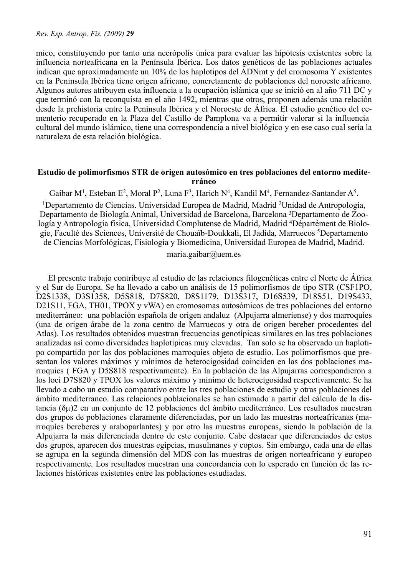mico, constituyendo por tanto una necrópolis única para evaluar las hipótesis existentes sobre la influencia norteafricana en la Península Ibérica. Los datos genéticos de las poblaciones actuales indican que aproximadamente un 10% de los haplotipos del ADNmt y del cromosoma Y existentes en la Península Ibérica tiene origen africano, concretamente de poblaciones del noroeste africano. Algunos autores atribuyen esta influencia a la ocupación islámica que se inició en al año 711 DC y que terminó con la reconquista en el año 1492, mientras que otros, proponen además una relación desde la prehistoria entre la Península Ibérica y el Noroeste de África. El estudio genético del cementerio recuperado en la Plaza del Castillo de Pamplona va a permitir valorar si la influencia cultural del mundo islámico, tiene una correspondencia a nivel biológico y en ese caso cual sería la naturaleza de esta relación biológica.

#### **Estudio de polimorfismos STR de origen autosómico en tres poblaciones del entorno mediterráneo**

Gaibar M<sup>1</sup>, Esteban E<sup>2</sup>, Moral P<sup>2</sup>, Luna F<sup>3</sup>, Harich N<sup>4</sup>, Kandil M<sup>4</sup>, Fernandez-Santander A<sup>5</sup>. 1Departamento de Ciencias. Universidad Europea de Madrid, Madrid 2Unidad de Antropología, Departamento de Biología Animal, Universidad de Barcelona, Barcelona 3Departamento de Zoología y Antropología física, Universidad Complutense de Madrid, Madrid 4Départément de Biologie, Faculté des Sciences, Université de Chouaïb-Doukkali, El Jadida, Marruecos 5Departamento de Ciencias Morfológicas, Fisiología y Biomedicina, Universidad Europea de Madrid, Madrid.

maria.gaibar@uem.es

El presente trabajo contribuye al estudio de las relaciones filogenéticas entre el Norte de África y el Sur de Europa. Se ha llevado a cabo un análisis de 15 polimorfismos de tipo STR (CSF1PO, D2S1338, D3S1358, D5S818, D7S820, D8S1179, D13S317, D16S539, D18S51, D19S433, D21S11, FGA, TH01, TPOX y vWA) en cromosomas autosómicos de tres poblaciones del entorno mediterráneo: una población española de origen andaluz (Alpujarra almeriense) y dos marroquíes (una de origen árabe de la zona centro de Marruecos y otra de origen bereber procedentes del Atlas). Los resultados obtenidos muestran frecuencias genotípicas similares en las tres poblaciones analizadas así como diversidades haplotípicas muy elevadas. Tan solo se ha observado un haplotipo compartido por las dos poblaciones marroquies objeto de estudio. Los polimorfismos que presentan los valores máximos y mínimos de heterocigosidad coinciden en las dos poblaciones marroquies ( FGA y D5S818 respectivamente). En la población de las Alpujarras correspondieron a los loci D7S820 y TPOX los valores máximo y mínimo de heterocigosidad respectivamente. Se ha llevado a cabo un estudio comparativo entre las tres poblaciones de estudio y otras poblaciones del ámbito mediterraneo. Las relaciones poblacionales se han estimado a partir del cálculo de la distancia (δµ)2 en un conjunto de 12 poblaciones del ámbito mediterráneo. Los resultados muestran dos grupos de poblaciones claramente diferenciadas, por un lado las muestras norteafricanas (marroquíes bereberes y araboparlantes) y por otro las muestras europeas, siendo la población de la Alpujarra la más diferenciada dentro de este conjunto. Cabe destacar que diferenciados de estos dos grupos, aparecen dos muestras egipcias, musulmanes y coptos. Sin embargo, cada una de ellas se agrupa en la segunda dimensión del MDS con las muestras de origen norteafricano y europeo respectivamente. Los resultados muestran una concordancia con lo esperado en función de las relaciones históricas existentes entre las poblaciones estudiadas.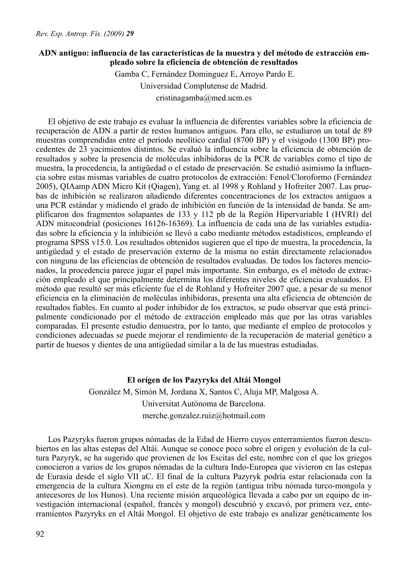### **ADN antiguo: influencia de las características de la muestra y del método de extracción empleado sobre la eficiencia de obtención de resultados**

 Gamba C, Fernández Dominguez E, Arroyo Pardo E. Universidad Complutense de Madrid. cristinagamba@med.ucm.es

El objetivo de este trabajo es evaluar la influencia de diferentes variables sobre la eficiencia de recuperación de ADN a partir de restos humanos antiguos. Para ello, se estudiaron un total de 89 muestras comprendidas entre el período neolítico cardial (8700 BP) y el visigodo (1300 BP) procedentes de 23 yacimientos distintos. Se evaluó la influencia sobre la eficiencia de obtención de resultados y sobre la presencia de moléculas inhibidoras de la PCR de variables como el tipo de muestra, la procedencia, la antigüedad o el estado de preservación. Se estudió asimismo la influencia sobre estas mismas variables de cuatro protocolos de extracción: Fenol/Cloroformo (Fernández 2005), QIAamp ADN Micro Kit (Qiagen), Yang et. al 1998 y Rohland y Hofreiter 2007. Las pruebas de inhibición se realizaron añadiendo diferentes concentraciones de los extractos antiguos a una PCR estándar y midiendo el grado de inhibición en función de la intensidad de banda. Se amplificaron dos fragmentos solapantes de 133 y 112 pb de la Región Hipervariable I (HVRI) del ADN mitocondrial (posiciones 16126-16369). La influencia de cada una de las variables estudiadas sobre la eficiencia y la inhibición se llevó a cabo mediante métodos estadísticos, empleando el programa SPSS v15.0. Los resultados obtenidos sugieren que el tipo de muestra, la procedencia, la antigüedad y el estado de preservación externo de la misma no están directamente relacionados con ninguna de las eficiencias de obtención de resultados evaluadas. De todos los factores mencionados, la procedencia parece jugar el papel más importante. Sin embargo, es el método de extracción empleado el que principalmente determina los diferentes niveles de eficiencia evaluados. El método que resultó ser más eficiente fue el de Rohland y Hofreiter 2007 que, a pesar de su menor eficiencia en la eliminación de moléculas inhibidoras, presenta una alta eficiencia de obtención de resultados fiables. En cuanto al poder inhibidor de los extractos, se pudo observar que está principalmente condicionado por el método de extracción empleado más que por las otras variables comparadas. El presente estudio demuestra, por lo tanto, que mediante el empleo de protocolos y condiciones adecuadas se puede mejorar el rendimiento de la recuperación de material genético a partir de huesos y dientes de una antigüedad similar a la de las muestras estudiadas.

### **El orígen de los Pazyryks del Altái Mongol**

González M, Simón M, Jordana X, Santos C, Aluja MP, Malgosa A. Universitat Autònoma de Barcelona. merche.gonzalez.ruiz@hotmail.com

Los Pazyryks fueron grupos nómadas de la Edad de Hierro cuyos enterramientos fueron descubiertos en las altas estepas del Altái. Aunque se conoce poco sobre el origen y evolución de la cultura Pazyryk, se ha sugerido que provienen de los Escitas del este, nombre con el que los griegos conocieron a varios de los grupos nómadas de la cultura Indo-Europea que vivieron en las estepas de Eurasia desde el siglo VII aC. El final de la cultura Pazyryk podría estar relacionada con la emergencia de la cultura Xiongnu en el este de la región (antigua tribu nómada turco-mongola y antecesores de los Hunos). Una reciente misión arqueológica llevada a cabo por un equipo de investigación internacional (español, francés y mongol) descubrió y excavó, por primera vez, enterramientos Pazyryks en el Altái Mongol. El objetivo de este trabajo es analizar genéticamente los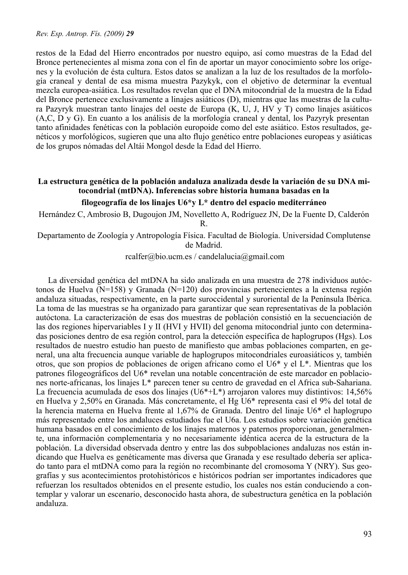restos de la Edad del Hierro encontrados por nuestro equipo, así como muestras de la Edad del Bronce pertenecientes al misma zona con el fin de aportar un mayor conocimiento sobre los orígenes y la evolución de ésta cultura. Estos datos se analizan a la luz de los resultados de la morfología craneal y dental de esa misma muestra Pazykyk, con el objetivo de determinar la eventual mezcla europea-asiática. Los resultados revelan que el DNA mitocondrial de la muestra de la Edad del Bronce pertenece exclusivamente a linajes asiáticos (D), mientras que las muestras de la cultura Pazyryk muestran tanto linajes del oeste de Europa (K, U, J, HV y T) como linajes asiáticos (A,C, D y G). En cuanto a los análisis de la morfología craneal y dental, los Pazyryk presentan tanto afinidades fenéticas con la población europoide como del este asiático. Estos resultados, genéticos y morfológicos, sugieren que una alto flujo genético entre poblaciones europeas y asiáticas de los grupos nómadas del Altái Mongol desde la Edad del Hierro.

# **La estructura genética de la población andaluza analizada desde la variación de su DNA mitocondrial (mtDNA). Inferencias sobre historia humana basadas en la filogeografía de los linajes U6\*y L\* dentro del espacio mediterráneo**

Hernández C, Ambrosio B, Dugoujon JM, Novelletto A, Rodríguez JN, De la Fuente D, Calderón R.

Departamento de Zoología y Antropología Física. Facultad de Biología. Universidad Complutense de Madrid.

rcalfer@bio.ucm.es / candelalucia@gmail.com

La diversidad genética del mtDNA ha sido analizada en una muestra de 278 individuos autóctonos de Huelva ( $N=158$ ) y Granada ( $N=120$ ) dos provincias pertenecientes a la extensa región andaluza situadas, respectivamente, en la parte suroccidental y suroriental de la Península Ibérica. La toma de las muestras se ha organizado para garantizar que sean representativas de la población autóctona. La caracterización de esas dos muestras de población consistió en la secuenciación de las dos regiones hipervariables I y II (HVI y HVII) del genoma mitocondrial junto con determinadas posiciones dentro de esa región control, para la detección específica de haplogrupos (Hgs). Los resultados de nuestro estudio han puesto de manifiesto que ambas poblaciones comparten, en general, una alta frecuencia aunque variable de haplogrupos mitocondriales euroasiáticos y, también otros, que son propios de poblaciones de origen africano como el U6\* y el L\*. Mientras que los patrones filogeográficos del U6\* revelan una notable concentración de este marcador en poblaciones norte-africanas, los linajes L\* parecen tener su centro de gravedad en el Africa sub-Sahariana. La frecuencia acumulada de esos dos linajes (U6\*+L\*) arrojaron valores muy distintivos: 14,56% en Huelva y 2,50% en Granada. Más concretamente, el Hg U6\* representa casi el 9% del total de la herencia materna en Huelva frente al 1,67% de Granada. Dentro del linaje U6\* el haplogrupo más representado entre los andaluces estudiados fue el U6a. Los estudios sobre variación genética humana basados en el conocimiento de los linajes maternos y paternos proporcionan, generalmente, una información complementaria y no necesariamente idéntica acerca de la estructura de la población. La diversidad observada dentro y entre las dos subpoblaciones andaluzas nos están indicando que Huelva es genéticamente mas diversa que Granada y ese resultado debería ser aplicado tanto para el mtDNA como para la región no recombinante del cromosoma Y (NRY). Sus geografías y sus acontecimientos protohistóricos e históricos podrían ser importantes indicadores que refuerzan los resultados obtenidos en el presente estudio, los cuales nos están conduciendo a contemplar y valorar un escenario, desconocido hasta ahora, de subestructura genética en la población andaluza.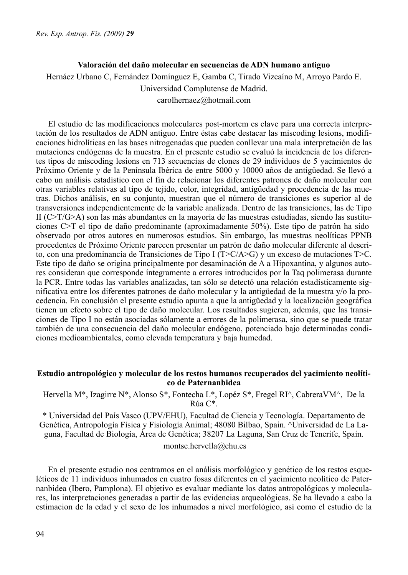## **Valoración del daño molecular en secuencias de ADN humano antiguo**

Hernáez Urbano C, Fernández Domínguez E, Gamba C, Tirado Vizcaíno M, Arroyo Pardo E.

Universidad Complutense de Madrid.

carolhernaez@hotmail.com

El estudio de las modificaciones moleculares post-mortem es clave para una correcta interpretación de los resultados de ADN antiguo. Entre éstas cabe destacar las miscoding lesions, modificaciones hidrolíticas en las bases nitrogenadas que pueden conllevar una mala interpretación de las mutaciones endógenas de la muestra. En el presente estudio se evaluó la incidencia de los diferentes tipos de miscoding lesions en 713 secuencias de clones de 29 individuos de 5 yacimientos de Próximo Oriente y de la Península Ibérica de entre 5000 y 10000 años de antigüedad. Se llevó a cabo un análisis estadístico con el fin de relacionar los diferentes patrones de daño molecular con otras variables relativas al tipo de tejido, color, integridad, antigüedad y procedencia de las muetras. Dichos análisis, en su conjunto, muestran que el número de transiciones es superior al de transversiones independientemente de la variable analizada. Dentro de las transiciones, las de Tipo II (C>T/G>A) son las más abundantes en la mayoría de las muestras estudiadas, siendo las sustituciones C>T el tipo de daño predominante (aproximadamente 50%). Este tipo de patrón ha sido observado por otros autores en numerosos estudios. Sin embargo, las muestras neolíticas PPNB procedentes de Próximo Oriente parecen presentar un patrón de daño molecular diferente al descrito, con una predominancia de Transiciones de Tipo I (T>C/A>G) y un exceso de mutaciones T>C. Este tipo de daño se origina principalmente por desaminación de A a Hipoxantina, y algunos autores consideran que corresponde íntegramente a errores introducidos por la Taq polimerasa durante la PCR. Entre todas las variables analizadas, tan sólo se detectó una relación estadísticamente significativa entre los diferentes patrones de daño molecular y la antigüedad de la muestra y/o la procedencia. En conclusión el presente estudio apunta a que la antigüedad y la localización geográfica tienen un efecto sobre el tipo de daño molecular. Los resultados sugieren, además, que las transiciones de Tipo I no están asociadas sólamente a errores de la polimerasa, sino que se puede tratar también de una consecuencia del daño molecular endógeno, potenciado bajo determinadas condiciones medioambientales, como elevada temperatura y baja humedad.

### **Estudio antropológico y molecular de los restos humanos recuperados del yacimiento neolítico de Paternanbidea**

Hervella M\*, Izagirre N\*, Alonso S\*, Fontecha L\*, Lopéz S\*, Fregel RI^, CabreraVM^, De la Rúa C\*.

\* Universidad del País Vasco (UPV/EHU), Facultad de Ciencia y Tecnología. Departamento de Genética, Antropología Física y Fisiología Animal; 48080 Bilbao, Spain. ^Universidad de La Laguna, Facultad de Biología, Área de Genética; 38207 La Laguna, San Cruz de Tenerife, Spain.

montse.hervella@ehu.es

En el presente estudio nos centramos en el análisis morfológico y genético de los restos esqueléticos de 11 individuos inhumados en cuatro fosas diferentes en el yacimiento neolítico de Paternanbidea (Ibero, Pamplona). El objetivo es evaluar mediante los datos antropológicos y moleculares, las interpretaciones generadas a partir de las evidencias arqueológicas. Se ha llevado a cabo la estimacion de la edad y el sexo de los inhumados a nivel morfológico, así como el estudio de la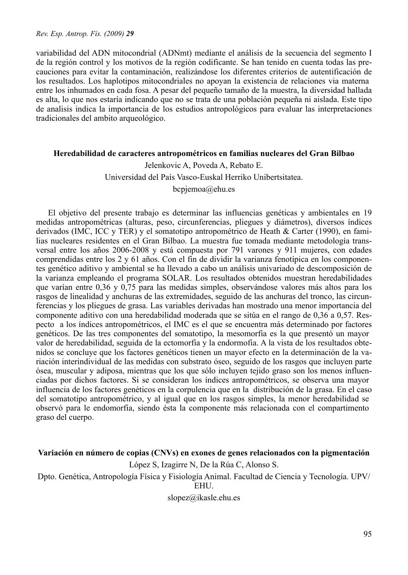variabilidad del ADN mitocondrial (ADNmt) mediante el análisis de la secuencia del segmento I de la región control y los motivos de la región codificante. Se han tenido en cuenta todas las precauciones para evitar la contaminación, realizándose los diferentes criterios de autentificación de los resultados. Los haplotipos mitocondriales no apoyan la existencia de relaciones via materna entre los inhumados en cada fosa. A pesar del pequeño tamaño de la muestra, la diversidad hallada es alta, lo que nos estaría indicando que no se trata de una población pequeña ni aislada. Este tipo de analisis indica la importancia de los estudios antropológicos para evaluar las interpretaciones tradicionales del ambito arqueológico.

#### **Heredabilidad de caracteres antropométricos en familias nucleares del Gran Bilbao**

Jelenkovic A, Poveda A, Rebato E. Universidad del País Vasco-Euskal Herriko Unibertsitatea. bcpjemoa@ehu.es

El objetivo del presente trabajo es determinar las influencias genéticas y ambientales en 19 medidas antropométricas (alturas, peso, circunferencias, pliegues y diámetros), diversos índices derivados (IMC, ICC y TER) y el somatotipo antropométrico de Heath & Carter (1990), en familias nucleares residentes en el Gran Bilbao. La muestra fue tomada mediante metodología transversal entre los años 2006-2008 y está compuesta por 791 varones y 911 mujeres, con edades comprendidas entre los 2 y 61 años. Con el fin de dividir la varianza fenotípica en los componentes genético aditivo y ambiental se ha llevado a cabo un análisis univariado de descomposición de la varianza empleando el programa SOLAR. Los resultados obtenidos muestran heredabilidades que varían entre 0,36 y 0,75 para las medidas simples, observándose valores más altos para los rasgos de linealidad y anchuras de las extremidades, seguido de las anchuras del tronco, las circunferencias y los pliegues de grasa. Las variables derivadas han mostrado una menor importancia del componente aditivo con una heredabilidad moderada que se sitúa en el rango de 0,36 a 0,57. Respecto a los índices antropométricos, el IMC es el que se encuentra más determinado por factores genéticos. De las tres componentes del somatotipo, la mesomorfia es la que presentó un mayor valor de heredabilidad, seguida de la ectomorfia y la endormofia. A la vista de los resultados obtenidos se concluye que los factores genéticos tienen un mayor efecto en la determinación de la variación interindividual de las medidas con substrato óseo, seguido de los rasgos que incluyen parte ósea, muscular y adiposa, mientras que los que sólo incluyen tejido graso son los menos influenciadas por dichos factores. Si se consideran los índices antropométricos, se observa una mayor influencia de los factores genéticos en la corpulencia que en la distribución de la grasa. En el caso del somatotipo antropométrico, y al igual que en los rasgos simples, la menor heredabilidad se observó para le endomorfia, siendo ésta la componente más relacionada con el compartimento graso del cuerpo.

### **Variación en número de copias (CNVs) en exones de genes relacionados con la pigmentación**

López S, Izagirre N, De la Rúa C, Alonso S.

Dpto. Genética, Antropología Física y Fisiología Animal. Facultad de Ciencia y Tecnología. UPV/ EHU.

slopez@ikasle.ehu.es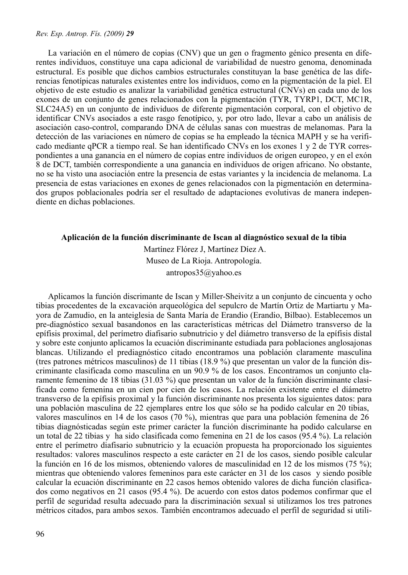La variación en el número de copias (CNV) que un gen o fragmento génico presenta en diferentes individuos, constituye una capa adicional de variabilidad de nuestro genoma, denominada estructural. Es posible que dichos cambios estructurales constituyan la base genética de las diferencias fenotípicas naturales existentes entre los individuos, como en la pigmentación de la piel. El objetivo de este estudio es analizar la variabilidad genética estructural (CNVs) en cada uno de los exones de un conjunto de genes relacionados con la pigmentación (TYR, TYRP1, DCT, MC1R, SLC24A5) en un conjunto de individuos de diferente pigmentación corporal, con el objetivo de identificar CNVs asociados a este rasgo fenotípico, y, por otro lado, llevar a cabo un análisis de asociación caso-control, comparando DNA de células sanas con muestras de melanomas. Para la detección de las variaciones en número de copias se ha empleado la técnica MAPH y se ha verificado mediante qPCR a tiempo real. Se han identificado CNVs en los exones 1 y 2 de TYR correspondientes a una ganancia en el número de copias entre individuos de origen europeo, y en el exón 8 de DCT, también correspondiente a una ganancia en individuos de origen africano. No obstante, no se ha visto una asociación entre la presencia de estas variantes y la incidencia de melanoma. La presencia de estas variaciones en exones de genes relacionados con la pigmentación en determinados grupos poblacionales podría ser el resultado de adaptaciones evolutivas de manera independiente en dichas poblaciones.

#### **Aplicación de la función discriminante de Iscan al diagnóstico sexual de la tibia**

 Martínez Flórez J, Martínez Díez A. Museo de La Rioja. Antropología. antropos35@yahoo.es

Aplicamos la función discrimante de Iscan y Miller-Sheivitz a un conjunto de cincuenta y ocho tibias procedentes de la excavación arqueológica del sepulcro de Martín Ortiz de Martiartu y Mayora de Zamudio, en la anteiglesia de Santa María de Erandio (Erandio, Bilbao). Establecemos un pre-diagnóstico sexual basandonos en las características métricas del Diámetro transverso de la epífisis proximal, del perímetro diafisario subnutricio y del diámetro transverso de la epífisis distal y sobre este conjunto aplicamos la ecuación discriminante estudiada para poblaciones anglosajonas blancas. Utilizando el prediagnóstico citado encontramos una población claramente masculina (tres patrones métricos masculinos) de 11 tibias (18.9 %) que presentan un valor de la función discriminante clasificada como masculina en un 90.9 % de los casos. Encontramos un conjunto claramente femenino de 18 tibias (31.03 %) que presentan un valor de la función discriminante clasificada como femenina en un cien por cien de los casos. La relación existente entre el diámetro transverso de la epífisis proximal y la función discriminante nos presenta los siguientes datos: para una población masculina de 22 ejemplares entre los que sólo se ha podido calcular en 20 tibias, valores masculinos en 14 de los casos (70 %), mientras que para una población femenina de 26 tibias diagnósticadas según este primer carácter la función discriminante ha podido calcularse en un total de 22 tibias y ha sido clasificada como femenina en 21 de los casos (95.4 %). La relación entre el perímetro diafisario subnutricio y la ecuación propuesta ha proporcionado los siguientes resultados: valores masculinos respecto a este carácter en 21 de los casos, siendo posible calcular la función en 16 de los mismos, obteniendo valores de masculinidad en 12 de los mismos (75 %); mientras que obteniendo valores femeninos para este carácter en 31 de los casos y siendo posible calcular la ecuación discriminante en 22 casos hemos obtenido valores de dicha función clasificados como negativos en 21 casos (95.4 %). De acuerdo con estos datos podemos confirmar que el perfil de seguridad resulta adecuado para la discriminación sexual si utilizamos los tres patrones métricos citados, para ambos sexos. También encontramos adecuado el perfil de seguridad si utili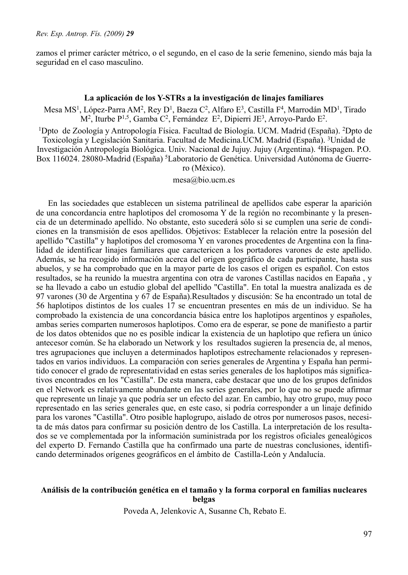zamos el primer carácter métrico, o el segundo, en el caso de la serie femenino, siendo más baja la seguridad en el caso masculino.

#### **La aplicación de los Y-STRs a la investigación de linajes familiares**

 Mesa MS1, López-Parra AM2, Rey D1, Baeza C2, Alfaro E3, Castilla F4, Marrodán MD1, Tirado M2, Iturbe P1,5, Gamba C2, Fernández E2, Dipierri JE3, Arroyo-Pardo E2.

1Dpto de Zoología y Antropología Física. Facultad de Biología. UCM. Madrid (España). 2Dpto de Toxicología y Legislación Sanitaria. Facultad de Medicina.UCM. Madrid (España). 3Unidad de Investigación Antropología Biológica. Univ. Nacional de Jujuy. Jujuy (Argentina). 4Hispagen. P.O. Box 116024, 28080-Madrid (España) <sup>5</sup>Laboratorio de Genética. Universidad Autónoma de Guerrero (México).

mesa@bio.ucm.es

En las sociedades que establecen un sistema patrilineal de apellidos cabe esperar la aparición de una concordancia entre haplotipos del cromosoma Y de la región no recombinante y la presencia de un determinado apellido. No obstante, esto sucederá sólo si se cumplen una serie de condiciones en la transmisión de esos apellidos. Objetivos: Establecer la relación entre la posesión del apellido "Castilla" y haplotipos del cromosoma Y en varones procedentes de Argentina con la finalidad de identificar linajes familiares que caractericen a los portadores varones de este apellido. Además, se ha recogido información acerca del origen geográfico de cada participante, hasta sus abuelos, y se ha comprobado que en la mayor parte de los casos el origen es español. Con estos resultados, se ha reunido la muestra argentina con otra de varones Castillas nacidos en Eapaña , y se ha llevado a cabo un estudio global del apellido "Castilla". En total la muestra analizada es de 97 varones (30 de Argentina y 67 de España).Resultados y discusión: Se ha encontrado un total de 56 haplotipos distintos de los cuales 17 se encuentran presentes en más de un individuo. Se ha comprobado la existencia de una concordancia básica entre los haplotipos argentinos y españoles, ambas series comparten numerosos haplotipos. Como era de esperar, se pone de manifiesto a partir de los datos obtenidos que no es posible indicar la existencia de un haplotipo que refiera un único antecesor común. Se ha elaborado un Network y los resultados sugieren la presencia de, al menos, tres agrupaciones que incluyen a determinados haplotipos estrechamente relacionados y representados en varios individuos. La comparación con series generales de Argentina y España han permitido conocer el grado de representatividad en estas series generales de los haplotipos más significativos encontrados en los "Castilla". De esta manera, cabe destacar que uno de los grupos definidos en el Network es relativamente abundante en las series generales, por lo que no se puede afirmar que represente un linaje ya que podría ser un efecto del azar. En cambio, hay otro grupo, muy poco representado en las series generales que, en este caso, si podría corresponder a un linaje definido para los varones "Castilla". Otro posible haplogrupo, aislado de otros por numerosos pasos, necesita de más datos para confirmar su posición dentro de los Castilla. La interpretación de los resultados se ve complementada por la información suministrada por los registros oficiales genealógicos del experto D. Fernando Castilla que ha confirmado una parte de nuestras conclusiones, identificando determinados orígenes geográficos en el ámbito de Castilla-León y Andalucía.

#### **Análisis de la contribución genética en el tamaño y la forma corporal en familias nucleares belgas**

Poveda A, Jelenkovic A, Susanne Ch, Rebato E.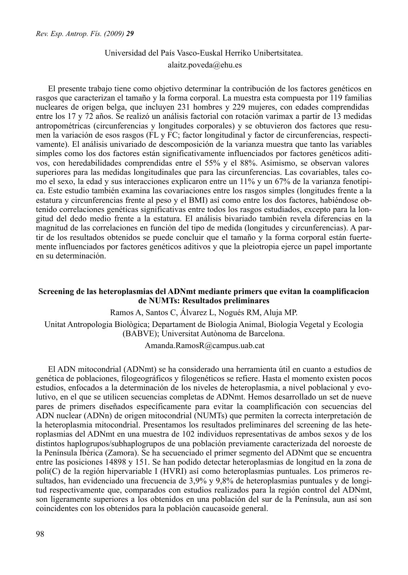# Universidad del País Vasco-Euskal Herriko Unibertsitatea. alaitz.poveda@ehu.es

El presente trabajo tiene como objetivo determinar la contribución de los factores genéticos en rasgos que caracterizan el tamaño y la forma corporal. La muestra esta compuesta por 119 familias nucleares de origen belga, que incluyen 231 hombres y 229 mujeres, con edades comprendidas entre los 17 y 72 años. Se realizó un análisis factorial con rotación varimax a partir de 13 medidas antropométricas (circunferencias y longitudes corporales) y se obtuvieron dos factores que resumen la variación de esos rasgos (FL y FC; factor longitudinal y factor de circunferencias, respectivamente). El análisis univariado de descomposición de la varianza muestra que tanto las variables simples como los dos factores están significativamente influenciados por factores genéticos aditivos, con heredabilidades comprendidas entre el 55% y el 88%. Asimismo, se observan valores superiores para las medidas longitudinales que para las circunferencias. Las covariables, tales como el sexo, la edad y sus interacciones explicaron entre un 11% y un 67% de la varianza fenotípica. Este estudio también examina las covariaciones entre los rasgos simples (longitudes frente a la estatura y circunferencias frente al peso y el BMI) así como entre los dos factores, habiéndose obtenido correlaciones genéticas significativas entre todos los rasgos estudiados, excepto para la longitud del dedo medio frente a la estatura. El análisis bivariado también revela diferencias en la magnitud de las correlaciones en función del tipo de medida (longitudes y circunferencias). A partir de los resultados obtenidos se puede concluir que el tamaño y la forma corporal están fuertemente influenciados por factores genéticos aditivos y que la pleiotropia ejerce un papel importante en su determinación.

## **Screening de las heteroplasmias del ADNmt mediante primers que evitan la coamplificacion de NUMTs: Resultados preliminares**

Ramos A, Santos C, Álvarez L, Nogués RM, Aluja MP.

Unitat Antropologia Biològica; Departament de Biologia Animal, Biologia Vegetal y Ecologia (BABVE); Universitat Autònoma de Barcelona.

Amanda.RamosR@campus.uab.cat

El ADN mitocondrial (ADNmt) se ha considerado una herramienta útil en cuanto a estudios de genética de poblaciones, filogeográficos y filogenéticos se refiere. Hasta el momento existen pocos estudios, enfocados a la determinación de los niveles de heteroplasmia, a nivel poblacional y evolutivo, en el que se utilicen secuencias completas de ADNmt. Hemos desarrollado un set de nueve pares de primers diseñados específicamente para evitar la coamplificación con secuencias del ADN nuclear (ADNn) de origen mitocondrial (NUMTs) que permiten la correcta interpretación de la heteroplasmia mitocondrial. Presentamos los resultados preliminares del screening de las heteroplasmias del ADNmt en una muestra de 102 individuos representativas de ambos sexos y de los distintos haplogrupos/subhaplogrupos de una población previamente caracterizada del noroeste de la Península Ibérica (Zamora). Se ha secuenciado el primer segmento del ADNmt que se encuentra entre las posiciones 14898 y 151. Se han podido detectar heteroplasmias de longitud en la zona de poli(C) de la región hipervariable I (HVRI) así como heteroplasmias puntuales. Los primeros resultados, han evidenciado una frecuencia de 3,9% y 9,8% de heteroplasmias puntuales y de longitud respectivamente que, comparados con estudios realizados para la región control del ADNmt, son ligeramente superiores a los obtenidos en una población del sur de la Península, aun así son coincidentes con los obtenidos para la población caucasoide general.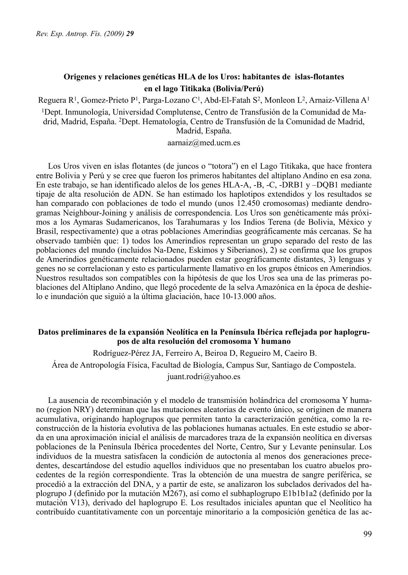# **Origenes y relaciones genéticas HLA de los Uros: habitantes de islas-flotantes en el lago Titikaka (Bolivia/Perú)**

Reguera R<sup>1</sup>, Gomez-Prieto P<sup>1</sup>, Parga-Lozano C<sup>1</sup>, Abd-El-Fatah S<sup>2</sup>, Monleon L<sup>2</sup>, Arnaiz-Villena A<sup>1</sup>

1Dept. Inmunología, Universidad Complutense, Centro de Transfusión de la Comunidad de Madrid, Madrid, España. 2Dept. Hematología, Centro de Transfusión de la Comunidad de Madrid, Madrid, España.

#### aarnaiz@med.ucm.es

Los Uros viven en islas flotantes (de juncos o "totora") en el Lago Titikaka, que hace frontera entre Bolivia y Perú y se cree que fueron los primeros habitantes del altiplano Andino en esa zona. En este trabajo, se han identificado alelos de los genes HLA-A, -B, -C, -DRB1 y –DQB1 mediante tipaje de alta resolución de ADN. Se han estimado los haplotipos extendidos y los resultados se han comparado con poblaciones de todo el mundo (unos 12.450 cromosomas) mediante dendrogramas Neighbour-Joining y análisis de correspondencia. Los Uros son genéticamente más próximos a los Aymaras Sudamericanos, los Tarahumaras y los Indios Terena (de Bolivia, México y Brasil, respectivamente) que a otras poblaciones Amerindias geográficamente más cercanas. Se ha observado también que: 1) todos los Amerindios representan un grupo separado del resto de las poblaciones del mundo (incluidos Na-Dene, Eskimos y Siberianos), 2) se confirma que los grupos de Amerindios genéticamente relacionados pueden estar geográficamente distantes, 3) lenguas y genes no se correlacionan y esto es particularmente llamativo en los grupos étnicos en Amerindios. Nuestros resultados son compatibles con la hipótesis de que los Uros sea una de las primeras poblaciones del Altiplano Andino, que llegó procedente de la selva Amazónica en la época de deshielo e inundación que siguió a la última glaciación, hace 10-13.000 años.

### **Datos preliminares de la expansión Neolítica en la Península Ibérica reflejada por haplogrupos de alta resolución del cromosoma Y humano**

 Rodríguez-Pérez JA, Ferreiro A, Beiroa D, Regueiro M, Caeiro B. Área de Antropología Física, Facultad de Biología, Campus Sur, Santiago de Compostela. juant.rodri@yahoo.es

La ausencia de recombinación y el modelo de transmisión holándrica del cromosoma Y humano (region NRY) determinan que las mutaciones aleatorias de evento único, se originen de manera acumulativa, originando haplogrupos que permiten tanto la caracterización genética, como la reconstrucción de la historia evolutiva de las poblaciones humanas actuales. En este estudio se aborda en una aproximación inicial el análisis de marcadores traza de la expansión neolítica en diversas poblaciones de la Península Ibérica procedentes del Norte, Centro, Sur y Levante peninsular. Los individuos de la muestra satisfacen la condición de autoctonía al menos dos generaciones precedentes, descartándose del estudio aquellos individuos que no presentaban los cuatro abuelos procedentes de la región correspondiente. Tras la obtención de una muestra de sangre períférica, se procedió a la extracción del DNA, y a partir de este, se analizaron los subclados derivados del haplogrupo J (definido por la mutación M267), así como el subhaplogrupo E1b1b1a2 (definido por la mutación V13), derivado del haplogrupo E. Los resultados iniciales apuntan que el Neolítico ha contribuído cuantitativamente con un porcentaje minoritario a la composición genética de las ac-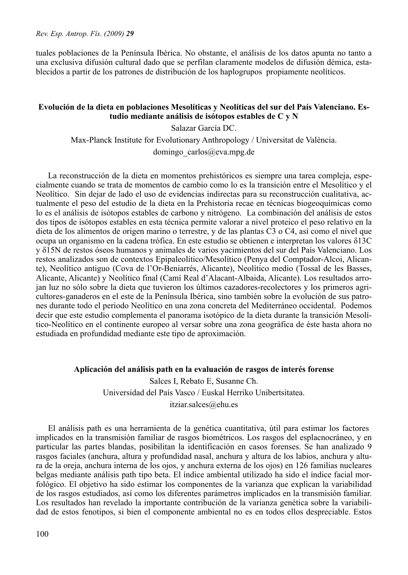tuales poblaciones de la Península Ibérica. No obstante, el análisis de los datos apunta no tanto a una exclusiva difusión cultural dado que se perfilan claramente modelos de difusión démica, establecidos a partir de los patrones de distribución de los haplogrupos propiamente neolíticos.

## **Evolución de la dieta en poblaciones Mesolíticas y Neolíticas del sur del País Valenciano. Estudio mediante análisis de isótopos estables de C y N**

Salazar García DC.

Max-Planck Institute for Evolutionary Anthropology / Universitat de València.

domingo\_carlos@eva.mpg.de

La reconstrucción de la dieta en momentos prehistóricos es siempre una tarea compleja, especialmente cuando se trata de momentos de cambio como lo es la transición entre el Mesolítico y el Neolítico. Sin dejar de lado el uso de evidencias indirectas para su reconstrucción cualitativa, actualmente el peso del estudio de la dieta en la Prehistoria recae en técnicas biogeoquímicas como lo es el análisis de isótopos estables de carbono y nitrógeno. La combinación del análisis de estos dos tipos de isótopos estables en esta técnica permite valorar a nivel proteico el peso relativo en la dieta de los alimentos de origen marino o terrestre, y de las plantas C3 o C4, así como el nivel que ocupa un organismo en la cadena trófica. En este estudio se obtienen e interpretan los valores δ13C y δ15N de restos óseos humanos y animales de varios yacimientos del sur del País Valenciano. Los restos analizados son de contextos Epipaleolítico/Mesolítico (Penya del Comptador-Alcoi, Alicante), Neolítico antiguo (Cova de l'Or-Beniarrés, Alicante), Neolítico medio (Tossal de les Basses, Alicante, Alicante) y Neolítico final (Camí Real d'Alacant-Albaida, Alicante). Los resultados arrojan luz no sólo sobre la dieta que tuvieron los últimos cazadores-recolectores y los primeros agricultores-ganaderos en el este de la Península Ibérica, sino también sobre la evolución de sus patrones durante todo el periodo Neolítico en una zona concreta del Mediterráneo occidental. Podemos decir que este estudio complementa el panorama isotópico de la dieta durante la transición Mesolítico-Neolítico en el continente europeo al versar sobre una zona geográfica de éste hasta ahora no estudiada en profundidad mediante este tipo de aproximación.

### **Aplicación del análisis path en la evaluación de rasgos de interés forense**

Salces I, Rebato E, Susanne Ch. Universidad del País Vasco / Euskal Herriko Unibertsitatea. itziar.salces@ehu.es

El análisis path es una herramienta de la genética cuantitativa, útil para estimar los factores implicados en la transmisión familiar de rasgos biométricos. Los rasgos del esplacnocráneo, y en particular las partes blandas, posibilitan la identificación en casos forenses. Se han analizado 9 rasgos faciales (anchura, altura y profundidad nasal, anchura y altura de los labios, anchura y altura de la oreja, anchura interna de los ojos, y anchura externa de los ojos) en 126 familias nucleares belgas mediante análisis path tipo beta. El índice ambiental utilizado ha sido el índice facial morfológico. El objetivo ha sido estimar los componentes de la varianza que explican la variabilidad de los rasgos estudiados, así como los diferentes parámetros implicados en la transmisión familiar. Los resultados han revelado la importante contribución de la varianza genética sobre la variabilidad de estos fenotipos, si bien el componente ambiental no es en todos ellos despreciable. Estos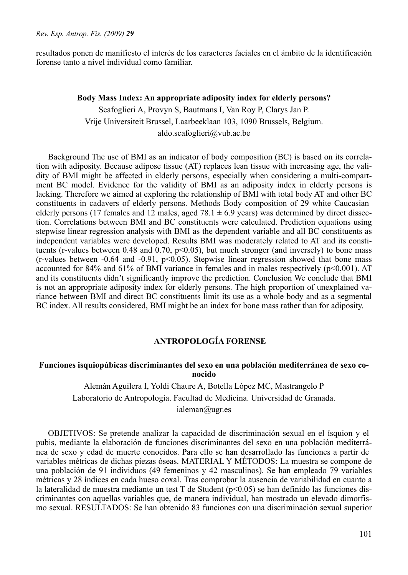resultados ponen de manifiesto el interés de los caracteres faciales en el ámbito de la identificación forense tanto a nivel individual como familiar.

### **Body Mass Index: An appropriate adiposity index for elderly persons?**

Scafoglieri A, Provyn S, Bautmans I, Van Roy P, Clarys Jan P. Vrije Universiteit Brussel, Laarbeeklaan 103, 1090 Brussels, Belgium. aldo.scafoglieri@vub.ac.be

Background The use of BMI as an indicator of body composition (BC) is based on its correlation with adiposity. Because adipose tissue (AT) replaces lean tissue with increasing age, the validity of BMI might be affected in elderly persons, especially when considering a multi-compartment BC model. Evidence for the validity of BMI as an adiposity index in elderly persons is lacking. Therefore we aimed at exploring the relationship of BMI with total body AT and other BC constituents in cadavers of elderly persons. Methods Body composition of 29 white Caucasian elderly persons (17 females and 12 males, aged 78.1  $\pm$  6.9 years) was determined by direct dissection. Correlations between BMI and BC constituents were calculated. Prediction equations using stepwise linear regression analysis with BMI as the dependent variable and all BC constituents as independent variables were developed. Results BMI was moderately related to AT and its constituents (r-values between 0.48 and  $\overline{0.70}$ , p<0.05), but much stronger (and inversely) to bone mass  $(r$ -values between -0.64 and -0.91,  $p$ <0.05). Stepwise linear regression showed that bone mass accounted for 84% and 61% of BMI variance in females and in males respectively ( $p<0.001$ ). AT and its constituents didn't significantly improve the prediction. Conclusion We conclude that BMI is not an appropriate adiposity index for elderly persons. The high proportion of unexplained variance between BMI and direct BC constituents limit its use as a whole body and as a segmental BC index. All results considered, BMI might be an index for bone mass rather than for adiposity.

# **ANTROPOLOGÍA FORENSE**

### **Funciones isquiopúbicas discriminantes del sexo en una población mediterránea de sexo conocido**

Alemán Aguilera I, Yoldi Chaure A, Botella López MC, Mastrangelo P Laboratorio de Antropología. Facultad de Medicina. Universidad de Granada. ialeman@ugr.es

OBJETIVOS: Se pretende analizar la capacidad de discriminación sexual en el ísquion y el pubis, mediante la elaboración de funciones discriminantes del sexo en una población mediterránea de sexo y edad de muerte conocidos. Para ello se han desarrollado las funciones a partir de variables métricas de dichas piezas óseas. MATERIAL Y MÉTODOS: La muestra se compone de una población de 91 individuos (49 femeninos y 42 masculinos). Se han empleado 79 variables métricas y 28 índices en cada hueso coxal. Tras comprobar la ausencia de variabilidad en cuanto a la lateralidad de muestra mediante un test T de Student (p<0.05) se han definido las funciones discriminantes con aquellas variables que, de manera individual, han mostrado un elevado dimorfismo sexual. RESULTADOS: Se han obtenido 83 funciones con una discriminación sexual superior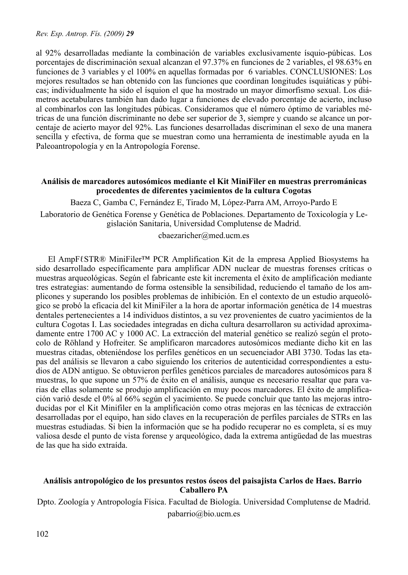al 92% desarrolladas mediante la combinación de variables exclusivamente ísquio-púbicas. Los porcentajes de discriminación sexual alcanzan el 97.37% en funciones de 2 variables, el 98.63% en funciones de 3 variables y el 100% en aquellas formadas por 6 variables. CONCLUSIONES: Los mejores resultados se han obtenido con las funciones que coordinan longitudes isquiáticas y púbicas; individualmente ha sido el ísquion el que ha mostrado un mayor dimorfismo sexual. Los diámetros acetabulares también han dado lugar a funciones de elevado porcentaje de acierto, incluso al combinarlos con las longitudes púbicas. Consideramos que el número óptimo de variables métricas de una función discriminante no debe ser superior de 3, siempre y cuando se alcance un porcentaje de acierto mayor del 92%. Las funciones desarrolladas discriminan el sexo de una manera sencilla y efectiva, de forma que se muestran como una herramienta de inestimable ayuda en la Paleoantropología y en la Antropología Forense.

# **Análisis de marcadores autosómicos mediante el Kit MiniFiler en muestras prerrománicas procedentes de diferentes yacimientos de la cultura Cogotas**

Baeza C, Gamba C, Fernández E, Tirado M, López-Parra AM, Arroyo-Pardo E

Laboratorio de Genética Forense y Genética de Poblaciones. Departamento de Toxicología y Legislación Sanitaria, Universidad Complutense de Madrid.

cbaezaricher@med.ucm.es

El AmpFℓSTR® MiniFiler™ PCR Amplification Kit de la empresa Applied Biosystems ha sido desarrollado específicamente para amplificar ADN nuclear de muestras forenses críticas o muestras arqueológicas. Según el fabricante este kit incrementa el éxito de amplificación mediante tres estrategias: aumentando de forma ostensible la sensibilidad, reduciendo el tamaño de los amplicones y superando los posibles problemas de inhibición. En el contexto de un estudio arqueológico se probó la eficacia del kit MiniFiler a la hora de aportar información genética de 14 muestras dentales pertenecientes a 14 individuos distintos, a su vez provenientes de cuatro yacimientos de la cultura Cogotas I. Las sociedades integradas en dicha cultura desarrollaron su actividad aproximadamente entre 1700 AC y 1000 AC. La extracción del material genético se realizó según el protocolo de Röhland y Hofreiter. Se amplificaron marcadores autosómicos mediante dicho kit en las muestras citadas, obteniéndose los perfiles genéticos en un secuenciador ABI 3730. Todas las etapas del análisis se llevaron a cabo siguiendo los criterios de autenticidad correspondientes a estudios de ADN antiguo. Se obtuvieron perfiles genéticos parciales de marcadores autosómicos para 8 muestras, lo que supone un 57% de éxito en el análisis, aunque es necesario resaltar que para varias de ellas solamente se produjo amplificación en muy pocos marcadores. El éxito de amplificación varió desde el 0% al 66% según el yacimiento. Se puede concluir que tanto las mejoras introducidas por el Kit Minifiler en la amplificación como otras mejoras en las técnicas de extracción desarrolladas por el equipo, han sido claves en la recuperación de perfiles parciales de STRs en las muestras estudiadas. Si bien la información que se ha podido recuperar no es completa, sí es muy valiosa desde el punto de vista forense y arqueológico, dada la extrema antigüedad de las muestras de las que ha sido extraída.

# **Análisis antropológico de los presuntos restos óseos del paisajista Carlos de Haes. Barrio Caballero PA**

Dpto. Zoología y Antropología Física. Facultad de Biología. Universidad Complutense de Madrid. pabarrio@bio.ucm.es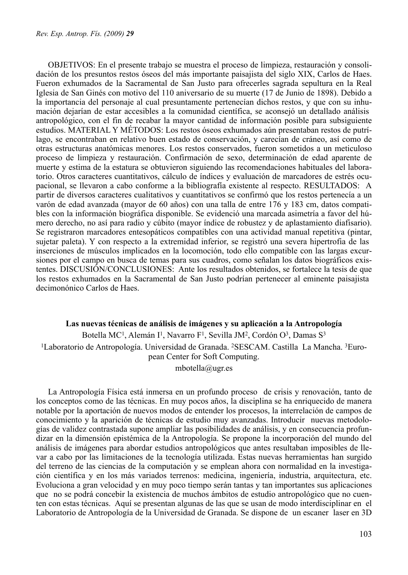OBJETIVOS: En el presente trabajo se muestra el proceso de limpieza, restauración y consolidación de los presuntos restos óseos del más importante paisajista del siglo XIX, Carlos de Haes. Fueron exhumados de la Sacramental de San Justo para ofrecerles sagrada sepultura en la Real Iglesia de San Ginés con motivo del 110 aniversario de su muerte (17 de Junio de 1898). Debido a la importancia del personaje al cual presuntamente pertenecían dichos restos, y que con su inhumación dejarían de estar accesibles a la comunidad científica, se aconsejó un detallado análisis antropológico, con el fin de recabar la mayor cantidad de información posible para subsiguiente estudios. MATERIAL Y MÉTODOS: Los restos óseos exhumados aún presentaban restos de putrílago, se encontraban en relativo buen estado de conservación, y carecían de cráneo, así como de otras estructuras anatómicas menores. Los restos conservados, fueron sometidos a un meticuloso proceso de limpieza y restauración. Confirmación de sexo, determinación de edad aparente de muerte y estima de la estatura se obtuvieron siguiendo las recomendaciones habituales del laboratorio. Otros caracteres cuantitativos, cálculo de índices y evaluación de marcadores de estrés ocupacional, se llevaron a cabo conforme a la bibliografía existente al respecto. RESULTADOS: A partir de diversos caracteres cualitativos y cuantitativos se confirmó que los restos pertenecía a un varón de edad avanzada (mayor de 60 años) con una talla de entre 176 y 183 cm, datos compatibles con la información biográfica disponible. Se evidenció una marcada asimetría a favor del húmero derecho, no así para radio y cúbito (mayor índice de robustez y de aplastamiento diafisario). Se registraron marcadores entesopáticos compatibles con una actividad manual repetitiva (pintar, sujetar paleta). Y con respecto a la extremidad inferior, se registró una severa hipertrofia de las inserciones de músculos implicados en la locomoción, todo ello compatible con las largas excursiones por el campo en busca de temas para sus cuadros, como señalan los datos biográficos existentes. DISCUSIÓN/CONCLUSIONES: Ante los resultados obtenidos, se fortalece la tesis de que los restos exhumados en la Sacramental de San Justo podrían pertenecer al eminente paisajista decimonónico Carlos de Haes.

#### **Las nuevas técnicas de análisis de imágenes y su aplicación a la Antropología**

Botella MC<sup>1</sup>, Alemán I<sup>1</sup>, Navarro F<sup>1</sup>, Sevilla JM<sup>2</sup>, Cordón O<sup>3</sup>, Damas S<sup>3</sup> 1Laboratorio de Antropología. Universidad de Granada. 2SESCAM. Castilla La Mancha. 3European Center for Soft Computing.

mbotella@ugr.es

La Antropología Física está inmersa en un profundo proceso de crisis y renovación, tanto de los conceptos como de las técnicas. En muy pocos años, la disciplina se ha enriquecido de manera notable por la aportación de nuevos modos de entender los procesos, la interrelación de campos de conocimiento y la aparición de técnicas de estudio muy avanzadas. Introducir nuevas metodologías de validez contrastada supone ampliar las posibilidades de análisis, y en consecuencia profundizar en la dimensión epistémica de la Antropología. Se propone la incorporación del mundo del análisis de imágenes para abordar estudios antropológicos que antes resultaban imposibles de llevar a cabo por las limitaciones de la tecnología utilizada. Estas nuevas herramientas han surgido del terreno de las ciencias de la computación y se emplean ahora con normalidad en la investigación científica y en los más variados terrenos: medicina, ingeniería, industria, arquitectura, etc. Evoluciona a gran velocidad y en muy poco tiempo serán tantas y tan importantes sus aplicaciones que no se podrá concebir la existencia de muchos ámbitos de estudio antropológico que no cuenten con estas técnicas. Aquí se presentan algunas de las que se usan de modo interdisciplinar en el Laboratorio de Antropología de la Universidad de Granada. Se dispone de un escaner laser en 3D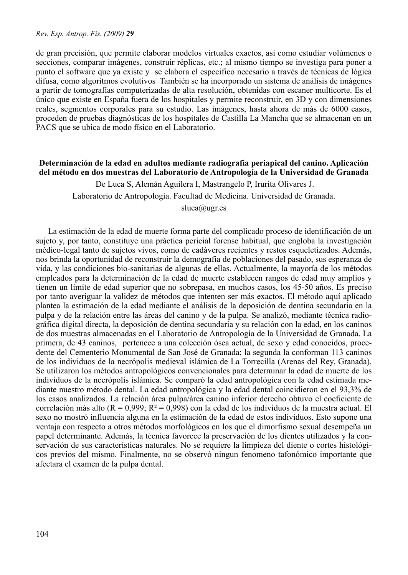de gran precisión, que permite elaborar modelos virtuales exactos, así como estudiar volúmenes o secciones, comparar imágenes, construir réplicas, etc.; al mismo tiempo se investiga para poner a punto el software que ya existe y se elabora el especifico necesario a través de técnicas de lógica difusa, como algoritmos evolutivos También se ha incorporado un sistema de análisis de imágenes a partir de tomografías computerizadas de alta resolución, obtenidas con escaner multicorte. Es el único que existe en España fuera de los hospitales y permite reconstruir, en 3D y con dimensiones reales, segmentos corporales para su estudio. Las imágenes, hasta ahora de más de 6000 casos, proceden de pruebas diagnósticas de los hospitales de Castilla La Mancha que se almacenan en un PACS que se ubica de modo físico en el Laboratorio.

## **Determinación de la edad en adultos mediante radiografía periapical del canino. Aplicación del método en dos muestras del Laboratorio de Antropología de la Universidad de Granada**

 De Luca S, Alemán Aguilera I, Mastrangelo P, Irurita Olivares J. Laboratorio de Antropología. Facultad de Medicina. Universidad de Granada. sluca@ugr.es

La estimación de la edad de muerte forma parte del complicado proceso de identificación de un sujeto y, por tanto, constituye una práctica pericial forense habitual, que engloba la investigación médico-legal tanto de sujetos vivos, como de cadáveres recientes y restos esqueletizados. Además, nos brinda la oportunidad de reconstruir la demografía de poblaciones del pasado, sus esperanza de vida, y las condiciones bio-sanitarias de algunas de ellas. Actualmente, la mayoría de los métodos empleados para la determinación de la edad de muerte establecen rangos de edad muy amplios y tienen un límite de edad superior que no sobrepasa, en muchos casos, los 45-50 años. Es preciso por tanto averiguar la validez de métodos que intenten ser más exactos. El método aquí aplicado plantea la estimación de la edad mediante el análisis de la deposición de dentina secundaria en la pulpa y de la relación entre las áreas del canino y de la pulpa. Se analizó, mediante técnica radiográfica digital directa, la deposición de dentina secundaria y su relación con la edad, en los caninos de dos muestras almacenadas en el Laboratorio de Antropología de la Universidad de Granada. La primera, de 43 caninos, pertenece a una colección ósea actual, de sexo y edad conocidos, procedente del Cementerio Monumental de San José de Granada; la segunda la conforman 113 caninos de los individuos de la necrópolis medieval islámica de La Torrecilla (Arenas del Rey, Granada). Se utilizaron los métodos antropológicos convencionales para determinar la edad de muerte de los individuos de la necrópolis islámica. Se comparó la edad antropológica con la edad estimada mediante nuestro método dental. La edad antropológica y la edad dental coincidieron en el 93,3% de los casos analizados. La relación área pulpa/área canino inferior derecho obtuvo el coeficiente de correlación más alto (R = 0,999; R² = 0,998) con la edad de los individuos de la muestra actual. El sexo no mostró influencia alguna en la estimación de la edad de estos individuos. Esto supone una ventaja con respecto a otros métodos morfológicos en los que el dimorfismo sexual desempeña un papel determinante. Además, la técnica favorece la preservación de los dientes utilizados y la conservación de sus características naturales. No se requiere la limpieza del diente o cortes histológicos previos del mismo. Finalmente, no se observó ningun fenomeno tafonómico importante que afectara el examen de la pulpa dental.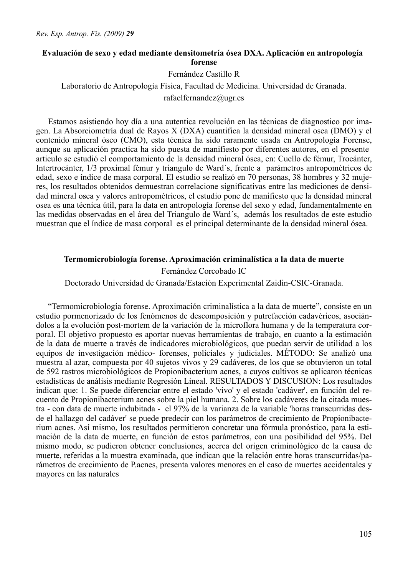# **Evaluación de sexo y edad mediante densitometría ósea DXA. Aplicación en antropología forense**

Fernández Castillo R

Laboratorio de Antropología Física, Facultad de Medicina. Universidad de Granada. rafaelfernandez@ugr.es

Estamos asistiendo hoy día a una autentica revolución en las técnicas de diagnostico por imagen. La Absorciometría dual de Rayos X (DXA) cuantifica la densidad mineral osea (DMO) y el contenido mineral óseo (CMO), esta técnica ha sido raramente usada en Antropología Forense, aunque su aplicación practica ha sido puesta de manifiesto por diferentes autores, en el presente articulo se estudió el comportamiento de la densidad mineral ósea, en: Cuello de fémur, Trocánter, Intertrocánter, 1/3 proximal fémur y triangulo de Ward´s, frente a parámetros antropométricos de edad, sexo e índice de masa corporal. El estudio se realizó en 70 personas, 38 hombres y 32 mujeres, los resultados obtenidos demuestran correlacione significativas entre las mediciones de densidad mineral osea y valores antropométricos, el estudio pone de manifiesto que la densidad mineral osea es una técnica útil, para la data en antropología forense del sexo y edad, fundamentalmente en las medidas observadas en el área del Triangulo de Ward´s, además los resultados de este estudio muestran que el índice de masa corporal es el principal determinante de la densidad mineral ósea.

#### **Termomicrobiología forense. Aproximación criminalística a la data de muerte**

Fernández Corcobado IC

Doctorado Universidad de Granada/Estación Experimental Zaidin-CSIC-Granada.

"Termomicrobiología forense. Aproximación criminalística a la data de muerte", consiste en un estudio pormenorizado de los fenómenos de descomposición y putrefacción cadavéricos, asociándolos a la evolución post-mortem de la variación de la microflora humana y de la temperatura corporal. El objetivo propuesto es aportar nuevas herramientas de trabajo, en cuanto a la estimación de la data de muerte a través de indicadores microbiológicos, que puedan servir de utilidad a los equipos de investigación médico- forenses, policiales y judiciales. MÉTODO: Se analizó una muestra al azar, compuesta por 40 sujetos vivos y 29 cadáveres, de los que se obtuvieron un total de 592 rastros microbiológicos de Propionibacterium acnes, a cuyos cultivos se aplicaron técnicas estadísticas de análisis mediante Regresión Lineal. RESULTADOS Y DISCUSION: Los resultados indican que: 1. Se puede diferenciar entre el estado 'vivo' y el estado 'cadáver', en función del recuento de Propionibacterium acnes sobre la piel humana. 2. Sobre los cadáveres de la citada muestra - con data de muerte indubitada - el 97% de la varianza de la variable 'horas transcurridas desde el hallazgo del cadáver' se puede predecir con los parámetros de crecimiento de Propionibacterium acnes. Así mismo, los resultados permitieron concretar una fórmula pronóstico, para la estimación de la data de muerte, en función de estos parámetros, con una posibilidad del 95%. Del mismo modo, se pudieron obtener conclusiones, acerca del origen criminológico de la causa de muerte, referidas a la muestra examinada, que indican que la relación entre horas transcurridas/parámetros de crecimiento de P.acnes, presenta valores menores en el caso de muertes accidentales y mayores en las naturales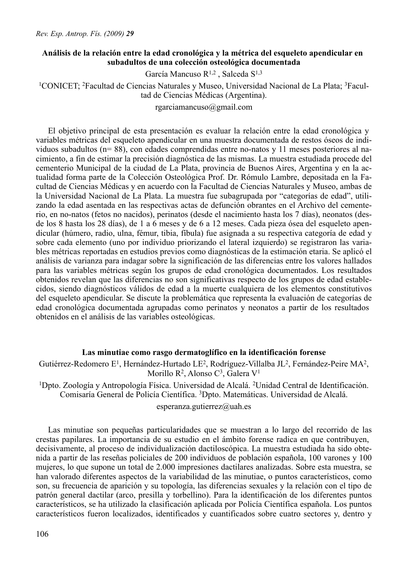# **Análisis de la relación entre la edad cronológica y la métrica del esqueleto apendicular en subadultos de una colección osteológica documentada**

García Mancuso R1,2 , Salceda S1,3

1CONICET; 2Facultad de Ciencias Naturales y Museo, Universidad Nacional de La Plata; 3Facultad de Ciencias Médicas (Argentina).

rgarciamancuso@gmail.com

El objetivo principal de esta presentación es evaluar la relación entre la edad cronológica y variables métricas del esqueleto apendicular en una muestra documentada de restos óseos de individuos subadultos (n= 88), con edades comprendidas entre no-natos y 11 meses posteriores al nacimiento, a fin de estimar la precisión diagnóstica de las mismas. La muestra estudiada procede del cementerio Municipal de la ciudad de La Plata, provincia de Buenos Aires, Argentina y en la actualidad forma parte de la Colección Osteológica Prof. Dr. Rómulo Lambre, depositada en la Facultad de Ciencias Médicas y en acuerdo con la Facultad de Ciencias Naturales y Museo, ambas de la Universidad Nacional de La Plata. La muestra fue subagrupada por "categorías de edad", utilizando la edad asentada en las respectivas actas de defunción obrantes en el Archivo del cementerio, en no-natos (fetos no nacidos), perinatos (desde el nacimiento hasta los 7 días), neonatos (desde los 8 hasta los 28 días), de 1 a 6 meses y de 6 a 12 meses. Cada pieza ósea del esqueleto apendicular (húmero, radio, ulna, fémur, tibia, fíbula) fue asignada a su respectiva categoría de edad y sobre cada elemento (uno por individuo priorizando el lateral izquierdo) se registraron las variables métricas reportadas en estudios previos como diagnósticas de la estimación etaria. Se aplicó el análisis de varianza para indagar sobre la significación de las diferencias entre los valores hallados para las variables métricas según los grupos de edad cronológica documentados. Los resultados obtenidos revelan que las diferencias no son significativas respecto de los grupos de edad establecidos, siendo diagnósticos válidos de edad a la muerte cualquiera de los elementos constitutivos del esqueleto apendicular. Se discute la problemática que representa la evaluación de categorías de edad cronológica documentada agrupadas como perinatos y neonatos a partir de los resultados obtenidos en el análisis de las variables osteológicas.

## **Las minutiae como rasgo dermatoglífico en la identificación forense**

Gutiérrez-Redomero E1, Hernández-Hurtado LE2, Rodríguez-Villalba JL2, Fernández-Peire MA2, Morillo R<sup>2</sup>, Alonso C<sup>3</sup>, Galera V<sup>1</sup>

1Dpto. Zoología y Antropología Física. Universidad de Alcalá. 2Unidad Central de Identificación. Comisaría General de Policía Científica. 3Dpto. Matemáticas. Universidad de Alcalá.

esperanza.gutierrez@uah.es

Las minutiae son pequeñas particularidades que se muestran a lo largo del recorrido de las crestas papilares. La importancia de su estudio en el ámbito forense radica en que contribuyen, decisivamente, al proceso de individualización dactiloscópica. La muestra estudiada ha sido obtenida a partir de las reseñas policiales de 200 individuos de población española, 100 varones y 100 mujeres, lo que supone un total de 2.000 impresiones dactilares analizadas. Sobre esta muestra, se han valorado diferentes aspectos de la variabilidad de las minutiae, o puntos característicos, como son, su frecuencia de aparición y su topología, las diferencias sexuales y la relación con el tipo de patrón general dactilar (arco, presilla y torbellino). Para la identificación de los diferentes puntos característicos, se ha utilizado la clasificación aplicada por Policía Científica española. Los puntos característicos fueron localizados, identificados y cuantificados sobre cuatro sectores y, dentro y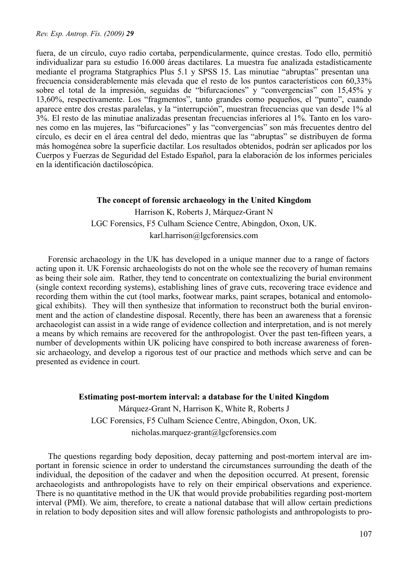fuera, de un círculo, cuyo radio cortaba, perpendicularmente, quince crestas. Todo ello, permitió individualizar para su estudio 16.000 áreas dactilares. La muestra fue analizada estadísticamente mediante el programa Statgraphics Plus 5.1 y SPSS 15. Las minutiae "abruptas" presentan una frecuencia considerablemente más elevada que el resto de los puntos característicos con 60,33% sobre el total de la impresión, seguidas de "bifurcaciones" y "convergencias" con 15,45% y 13,60%, respectivamente. Los "fragmentos", tanto grandes como pequeños, el "punto", cuando aparece entre dos crestas paralelas, y la "interrupción", muestran frecuencias que van desde 1% al 3%. El resto de las minutiae analizadas presentan frecuencias inferiores al 1%. Tanto en los varones como en las mujeres, las "bifurcaciones" y las "convergencias" son más frecuentes dentro del círculo, es decir en el área central del dedo, mientras que las "abruptas" se distribuyen de forma más homogénea sobre la superficie dactilar. Los resultados obtenidos, podrán ser aplicados por los Cuerpos y Fuerzas de Seguridad del Estado Español, para la elaboración de los informes periciales en la identificación dactiloscópica.

# **The concept of forensic archaeology in the United Kingdom** Harrison K, Roberts J, Márquez-Grant N LGC Forensics, F5 Culham Science Centre, Abingdon, Oxon, UK. karl.harrison@lgcforensics.com

Forensic archaeology in the UK has developed in a unique manner due to a range of factors acting upon it. UK Forensic archaeologists do not on the whole see the recovery of human remains as being their sole aim. Rather, they tend to concentrate on contextualizing the burial environment (single context recording systems), establishing lines of grave cuts, recovering trace evidence and recording them within the cut (tool marks, footwear marks, paint scrapes, botanical and entomological exhibits). They will then synthesize that information to reconstruct both the burial environment and the action of clandestine disposal. Recently, there has been an awareness that a forensic archaeologist can assist in a wide range of evidence collection and interpretation, and is not merely a means by which remains are recovered for the anthropologist. Over the past ten-fifteen years, a number of developments within UK policing have conspired to both increase awareness of forensic archaeology, and develop a rigorous test of our practice and methods which serve and can be presented as evidence in court.

#### **Estimating post-mortem interval: a database for the United Kingdom**

Márquez-Grant N, Harrison K, White R, Roberts J LGC Forensics, F5 Culham Science Centre, Abingdon, Oxon, UK. nicholas.marquez-grant@lgcforensics.com

The questions regarding body deposition, decay patterning and post-mortem interval are important in forensic science in order to understand the circumstances surrounding the death of the individual, the deposition of the cadaver and when the deposition occurred. At present, forensic archaeologists and anthropologists have to rely on their empirical observations and experience. There is no quantitative method in the UK that would provide probabilities regarding post-mortem interval (PMI). We aim, therefore, to create a national database that will allow certain predictions in relation to body deposition sites and will allow forensic pathologists and anthropologists to pro-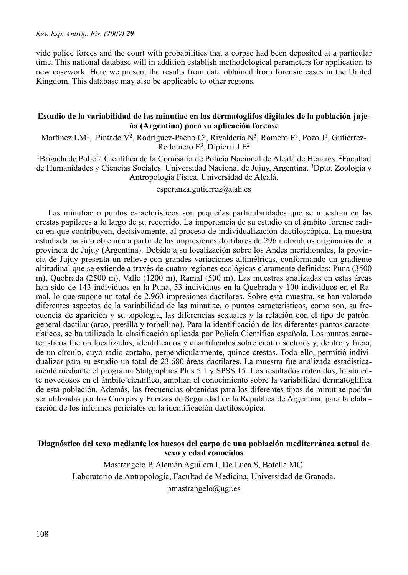vide police forces and the court with probabilities that a corpse had been deposited at a particular time. This national database will in addition establish methodological parameters for application to new casework. Here we present the results from data obtained from forensic cases in the United Kingdom. This database may also be applicable to other regions.

## **Estudio de la variabilidad de las minutiae en los dermatoglifos digitales de la población jujeña (Argentina) para su aplicación forense**

Martínez LM<sup>1</sup>, Pintado V<sup>2</sup>, Rodríguez-Pacho C<sup>3</sup>, Rivalderia N<sup>3</sup>, Romero E<sup>3</sup>, Pozo J<sup>1</sup>, Gutiérrez-Redomero E3, Dipierri J E2

1Brigada de Policía Científica de la Comisaría de Policía Nacional de Alcalá de Henares. 2Facultad de Humanidades y Ciencias Sociales. Universidad Nacional de Jujuy, Argentina. 3Dpto. Zoología y Antropología Física. Universidad de Alcalá.

#### esperanza.gutierrez@uah.es

Las minutiae o puntos característicos son pequeñas particularidades que se muestran en las crestas papilares a lo largo de su recorrido. La importancia de su estudio en el ámbito forense radica en que contribuyen, decisivamente, al proceso de individualización dactiloscópica. La muestra estudiada ha sido obtenida a partir de las impresiones dactilares de 296 individuos originarios de la provincia de Jujuy (Argentina). Debido a su localización sobre los Andes meridionales, la provincia de Jujuy presenta un relieve con grandes variaciones altimétricas, conformando un gradiente altitudinal que se extiende a través de cuatro regiones ecológicas claramente definidas: Puna (3500 m), Quebrada (2500 m), Valle (1200 m), Ramal (500 m). Las muestras analizadas en estas áreas han sido de 143 individuos en la Puna, 53 individuos en la Quebrada y 100 individuos en el Ramal, lo que supone un total de 2.960 impresiones dactilares. Sobre esta muestra, se han valorado diferentes aspectos de la variabilidad de las minutiae, o puntos característicos, como son, su frecuencia de aparición y su topología, las diferencias sexuales y la relación con el tipo de patrón general dactilar (arco, presilla y torbellino). Para la identificación de los diferentes puntos característicos, se ha utilizado la clasificación aplicada por Policía Científica española. Los puntos característicos fueron localizados, identificados y cuantificados sobre cuatro sectores y, dentro y fuera, de un círculo, cuyo radio cortaba, perpendicularmente, quince crestas. Todo ello, permitió individualizar para su estudio un total de 23.680 áreas dactilares. La muestra fue analizada estadísticamente mediante el programa Statgraphics Plus 5.1 y SPSS 15. Los resultados obtenidos, totalmente novedosos en el ámbito científico, amplían el conocimiento sobre la variabilidad dermatoglífica de esta población. Además, las frecuencias obtenidas para los diferentes tipos de minutiae podrán ser utilizadas por los Cuerpos y Fuerzas de Seguridad de la República de Argentina, para la elaboración de los informes periciales en la identificación dactiloscópica.

### **Diagnóstico del sexo mediante los huesos del carpo de una población mediterránea actual de sexo y edad conocidos**

Mastrangelo P, Alemán Aguilera I, De Luca S, Botella MC. Laboratorio de Antropología, Facultad de Medicina, Universidad de Granada. pmastrangelo@ugr.es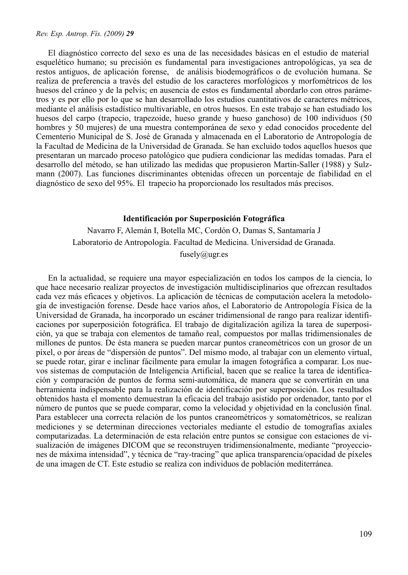El diagnóstico correcto del sexo es una de las necesidades básicas en el estudio de material esquelético humano; su precisión es fundamental para investigaciones antropológicas, ya sea de restos antiguos, de aplicación forense, de análisis biodemográficos o de evolución humana. Se realiza de preferencia a través del estudio de los caracteres morfológicos y morfométricos de los huesos del cráneo y de la pelvis; en ausencia de estos es fundamental abordarlo con otros parámetros y es por ello por lo que se han desarrollado los estudios cuantitativos de caracteres métricos, mediante el análisis estadístico multivariable, en otros huesos. En este trabajo se han estudiado los huesos del carpo (trapecio, trapezoide, hueso grande y hueso ganchoso) de 100 individuos (50 hombres y 50 mujeres) de una muestra contemporánea de sexo y edad conocidos procedente del Cementerio Municipal de S. José de Granada y almacenada en el Laboratorio de Antropología de la Facultad de Medicina de la Universidad de Granada. Se han excluido todos aquellos huesos que presentaran un marcado proceso patológico que pudiera condicionar las medidas tomadas. Para el desarrollo del método, se han utilizado las medidas que propusieron Martin-Saller (1988) y Sulzmann (2007). Las funciones discriminantes obtenidas ofrecen un porcentaje de fiabilidad en el diagnóstico de sexo del 95%. El trapecio ha proporcionado los resultados más precisos.

# **Identificación por Superposición Fotográfica**

Navarro F, Alemán I, Botella MC, Cordón O, Damas S, Santamaría J Laboratorio de Antropología. Facultad de Medicina. Universidad de Granada. fusely $@$ ugr.es

En la actualidad, se requiere una mayor especialización en todos los campos de la ciencia, lo que hace necesario realizar proyectos de investigación multidisciplinarios que ofrezcan resultados cada vez más eficaces y objetivos. La aplicación de técnicas de computación acelera la metodología de investigación forense. Desde hace varios años, el Laboratorio de Antropología Física de la Universidad de Granada, ha incorporado un escáner tridimensional de rango para realizar identificaciones por superposición fotográfica. El trabajo de digitalización agiliza la tarea de superposición, ya que se trabaja con elementos de tamaño real, compuestos por mallas tridimensionales de millones de puntos. De ésta manera se pueden marcar puntos craneométricos con un grosor de un píxel, o por áreas de "dispersión de puntos". Del mismo modo, al trabajar con un elemento virtual, se puede rotar, girar e inclinar fácilmente para emular la imagen fotográfica a comparar. Los nuevos sistemas de computación de Inteligencia Artificial, hacen que se realice la tarea de identificación y comparación de puntos de forma semi-automática, de manera que se convertirán en una herramienta indispensable para la realización de identificación por superposición. Los resultados obtenidos hasta el momento demuestran la eficacia del trabajo asistido por ordenador, tanto por el número de puntos que se puede comparar, como la velocidad y objetividad en la conclusión final. Para establecer una correcta relación de los puntos craneométricos y somatométricos, se realizan mediciones y se determinan direcciones vectoriales mediante el estudio de tomografías axiales computarizadas. La determinación de esta relación entre puntos se consigue con estaciones de visualización de imágenes DICOM que se reconstruyen tridimensionalmente, mediante "proyecciones de máxima intensidad", y técnica de "ray-tracing" que aplica transparencia/opacidad de píxeles de una imagen de CT. Este estudio se realiza con individuos de población mediterránea.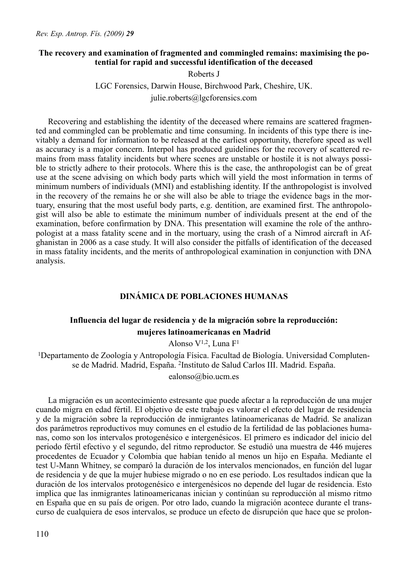# **The recovery and examination of fragmented and commingled remains: maximising the potential for rapid and successful identification of the deceased**

Roberts J

LGC Forensics, Darwin House, Birchwood Park, Cheshire, UK. julie.roberts@lgcforensics.com

Recovering and establishing the identity of the deceased where remains are scattered fragmented and commingled can be problematic and time consuming. In incidents of this type there is inevitably a demand for information to be released at the earliest opportunity, therefore speed as well as accuracy is a major concern. Interpol has produced guidelines for the recovery of scattered remains from mass fatality incidents but where scenes are unstable or hostile it is not always possible to strictly adhere to their protocols. Where this is the case, the anthropologist can be of great use at the scene advising on which body parts which will yield the most information in terms of minimum numbers of individuals (MNI) and establishing identity. If the anthropologist is involved in the recovery of the remains he or she will also be able to triage the evidence bags in the mortuary, ensuring that the most useful body parts, e.g. dentition, are examined first. The anthropologist will also be able to estimate the minimum number of individuals present at the end of the examination, before confirmation by DNA. This presentation will examine the role of the anthropologist at a mass fatality scene and in the mortuary, using the crash of a Nimrod aircraft in Afghanistan in 2006 as a case study. It will also consider the pitfalls of identification of the deceased in mass fatality incidents, and the merits of anthropological examination in conjunction with DNA analysis.

# **DINÁMICA DE POBLACIONES HUMANAS**

# **Influencia del lugar de residencia y de la migración sobre la reproducción:**

#### **mujeres latinoamericanas en Madrid**

Alonso  $V^{1,2}$ . Luna  $F^1$ 

1Departamento de Zoología y Antropología Física. Facultad de Biología. Universidad Complutense de Madrid. Madrid, España. 2Instituto de Salud Carlos III. Madrid. España.

ealonso@bio.ucm.es

La migración es un acontecimiento estresante que puede afectar a la reproducción de una mujer cuando migra en edad fértil. El objetivo de este trabajo es valorar el efecto del lugar de residencia y de la migración sobre la reproducción de inmigrantes latinoamericanas de Madrid. Se analizan dos parámetros reproductivos muy comunes en el estudio de la fertilidad de las poblaciones humanas, como son los intervalos protogenésico e intergenésicos. El primero es indicador del inicio del periodo fértil efectivo y el segundo, del ritmo reproductor. Se estudió una muestra de 446 mujeres procedentes de Ecuador y Colombia que habían tenido al menos un hijo en España. Mediante el test U-Mann Whitney, se comparó la duración de los intervalos mencionados, en función del lugar de residencia y de que la mujer hubiese migrado o no en ese periodo. Los resultados indican que la duración de los intervalos protogenésico e intergenésicos no depende del lugar de residencia. Esto implica que las inmigrantes latinoamericanas inician y continúan su reproducción al mismo ritmo en España que en su país de origen. Por otro lado, cuando la migración acontece durante el transcurso de cualquiera de esos intervalos, se produce un efecto de disrupción que hace que se prolon-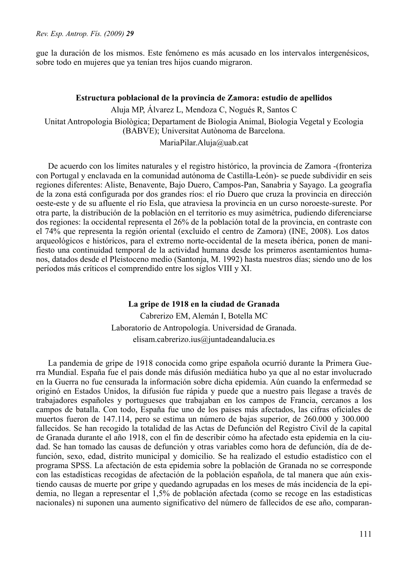gue la duración de los mismos. Este fenómeno es más acusado en los intervalos intergenésicos, sobre todo en mujeres que ya tenían tres hijos cuando migraron.

#### **Estructura poblacional de la provincia de Zamora: estudio de apellidos**

Aluja MP, Álvarez L, Mendoza C, Nogués R, Santos C Unitat Antropologia Biològica; Departament de Biologia Animal, Biologia Vegetal y Ecologia (BABVE); Universitat Autònoma de Barcelona.

MariaPilar.Aluja@uab.cat

De acuerdo con los límites naturales y el registro histórico, la provincia de Zamora -(fronteriza con Portugal y enclavada en la comunidad autónoma de Castilla-León)- se puede subdividir en seis regiones diferentes: Aliste, Benavente, Bajo Duero, Campos-Pan, Sanabria y Sayago. La geografía de la zona está configurada por dos grandes ríos: el río Duero que cruza la provincia en dirección oeste-este y de su afluente el río Esla, que atraviesa la provincia en un curso noroeste-sureste. Por otra parte, la distribución de la población en el territorio es muy asimétrica, pudiendo diferenciarse dos regiones: la occidental representa el 26% de la población total de la provincia, en contraste con el 74% que representa la región oriental (excluido el centro de Zamora) (INE, 2008). Los datos arqueológicos e históricos, para el extremo norte-occidental de la meseta ibérica, ponen de manifiesto una continuidad temporal de la actividad humana desde los primeros asentamientos humanos, datados desde el Pleistoceno medio (Santonja, M. 1992) hasta nuestros días; siendo uno de los períodos más críticos el comprendido entre los siglos VIII y XI.

#### **La gripe de 1918 en la ciudad de Granada**

Cabrerizo EM, Alemán I, Botella MC Laboratorio de Antropología. Universidad de Granada. elisam.cabrerizo.ius@juntadeandalucia.es

La pandemia de gripe de 1918 conocida como gripe española ocurrió durante la Primera Guerra Mundial. España fue el pais donde más difusión mediática hubo ya que al no estar involucrado en la Guerra no fue censurada la información sobre dicha epidemia. Aún cuando la enfermedad se originó en Estados Unidos, la difusión fue rápida y puede que a nuestro pais llegase a través de trabajadores españoles y portugueses que trabajaban en los campos de Francia, cercanos a los campos de batalla. Con todo, España fue uno de los paises más afectados, las cifras oficiales de muertos fueron de 147.114, pero se estima un número de bajas superior, de 260.000 y 300.000 fallecidos. Se han recogido la totalidad de las Actas de Defunción del Registro Civil de la capital de Granada durante el año 1918, con el fin de describir cómo ha afectado esta epidemia en la ciudad. Se han tomado las causas de defunción y otras variables como hora de defunción, día de defunción, sexo, edad, distrito municipal y domicilio. Se ha realizado el estudio estadístico con el programa SPSS. La afectación de esta epidemia sobre la población de Granada no se corresponde con las estadísticas recogidas de afectación de la población española, de tal manera que aún existiendo causas de muerte por gripe y quedando agrupadas en los meses de más incidencia de la epidemia, no llegan a representar el 1,5% de población afectada (como se recoge en las estadisticas nacionales) ni suponen una aumento significativo del número de fallecidos de ese año, comparan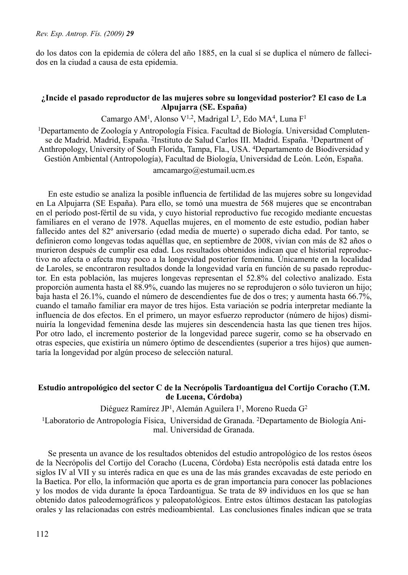do los datos con la epidemia de cólera del año 1885, en la cual sí se duplica el número de fallecidos en la ciudad a causa de esta epidemia.

# **¿Incide el pasado reproductor de las mujeres sobre su longevidad posterior? El caso de La Alpujarra (SE. España)**

Camargo AM<sup>1</sup>, Alonso V<sup>1,2</sup>, Madrigal L<sup>3</sup>, Edo MA<sup>4</sup>, Luna F<sup>1</sup>

1Departamento de Zoología y Antropología Física. Facultad de Biología. Universidad Complutense de Madrid. Madrid, España. 2Instituto de Salud Carlos III. Madrid. España. 3Department of Anthropology, University of South Florida, Tampa, Fla., USA. 4Departamento de Biodiversidad y Gestión Ambiental (Antropología), Facultad de Biología, Universidad de León. León, España.

amcamargo@estumail.ucm.es

En este estudio se analiza la posible influencia de fertilidad de las mujeres sobre su longevidad en La Alpujarra (SE España). Para ello, se tomó una muestra de 568 mujeres que se encontraban en el período post-fértil de su vida, y cuyo historial reproductivo fue recogido mediante encuestas familiares en el verano de 1978. Aquellas mujeres, en el momento de este estudio, podían haber fallecido antes del 82º aniversario (edad media de muerte) o superado dicha edad. Por tanto, se definieron como longevas todas aquéllas que, en septiembre de 2008, vivían con más de 82 años o murieron después de cumplir esa edad. Los resultados obtenidos indican que el historial reproductivo no afecta o afecta muy poco a la longevidad posterior femenina. Únicamente en la localidad de Laroles, se encontraron resultados donde la longevidad varía en función de su pasado reproductor. En esta población, las mujeres longevas representan el 52.8% del colectivo analizado. Esta proporción aumenta hasta el 88.9%, cuando las mujeres no se reprodujeron o sólo tuvieron un hijo; baja hasta el 26.1%, cuando el número de descendientes fue de dos o tres; y aumenta hasta 66.7%, cuando el tamaño familiar era mayor de tres hijos. Esta variación se podría interpretar mediante la influencia de dos efectos. En el primero, un mayor esfuerzo reproductor (número de hijos) disminuiría la longevidad femenina desde las mujeres sin descendencia hasta las que tienen tres hijos. Por otro lado, el incremento posterior de la longevidad parece sugerir, como se ha observado en otras especies, que existiría un número óptimo de descendientes (superior a tres hijos) que aumentaría la longevidad por algún proceso de selección natural.

### **Estudio antropológico del sector C de la Necrópolis Tardoantigua del Cortijo Coracho (T.M. de Lucena, Córdoba)**

Diéguez Ramírez JP<sup>1</sup>, Alemán Aguilera I<sup>1</sup>, Moreno Rueda G<sup>2</sup>

1Laboratorio de Antropología Física, Universidad de Granada. 2Departamento de Biología Animal. Universidad de Granada.

Se presenta un avance de los resultados obtenidos del estudio antropológico de los restos óseos de la Necrópolis del Cortijo del Coracho (Lucena, Córdoba) Esta necrópolis está datada entre los siglos IV al VII y su interés radica en que es una de las más grandes excavadas de este periodo en la Baetica. Por ello, la información que aporta es de gran importancia para conocer las poblaciones y los modos de vida durante la época Tardoantigua. Se trata de 89 individuos en los que se han obtenido datos paleodemográficos y paleopatológicos. Entre estos últimos destacan las patologías orales y las relacionadas con estrés medioambiental. Las conclusiones finales indican que se trata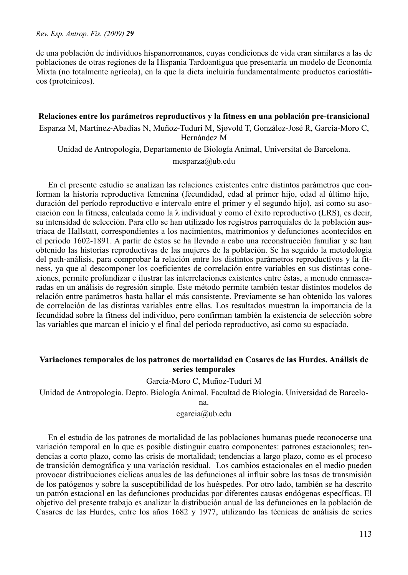de una población de individuos hispanorromanos, cuyas condiciones de vida eran similares a las de poblaciones de otras regiones de la Hispania Tardoantigua que presentaría un modelo de Economía Mixta (no totalmente agrícola), en la que la dieta incluiría fundamentalmente productos cariostáticos (proteínicos).

### **Relaciones entre los parámetros reproductivos y la fitness en una población pre-transicional**

Esparza M, Martínez-Abadías N, Muñoz-Tudurí M, Sjøvold T, González-José R, García-Moro C, Hernández M

Unidad de Antropología, Departamento de Biología Animal, Universitat de Barcelona.

mesparza@ub.edu

En el presente estudio se analizan las relaciones existentes entre distintos parámetros que conforman la historia reproductiva femenina (fecundidad, edad al primer hijo, edad al último hijo, duración del período reproductivo e intervalo entre el primer y el segundo hijo), así como su asociación con la fitness, calculada como la  $\lambda$  individual y como el éxito reproductivo (LRS), es decir, su intensidad de selección. Para ello se han utilizado los registros parroquiales de la población austríaca de Hallstatt, correspondientes a los nacimientos, matrimonios y defunciones acontecidos en el periodo 1602-1891. A partir de éstos se ha llevado a cabo una reconstrucción familiar y se han obtenido las historias reproductivas de las mujeres de la población. Se ha seguido la metodología del path-análisis, para comprobar la relación entre los distintos parámetros reproductivos y la fitness, ya que al descomponer los coeficientes de correlación entre variables en sus distintas conexiones, permite profundizar e ilustrar las interrelaciones existentes entre éstas, a menudo enmascaradas en un análisis de regresión simple. Este método permite también testar distintos modelos de relación entre parámetros hasta hallar el más consistente. Previamente se han obtenido los valores de correlación de las distintas variables entre ellas. Los resultados muestran la importancia de la fecundidad sobre la fitness del individuo, pero confirman también la existencia de selección sobre las variables que marcan el inicio y el final del periodo reproductivo, así como su espaciado.

### **Variaciones temporales de los patrones de mortalidad en Casares de las Hurdes. Análisis de series temporales**

García-Moro C, Muñoz-Tudurí M

Unidad de Antropología. Depto. Biología Animal. Facultad de Biología. Universidad de Barcelo-

na.

### cgarcia@ub.edu

En el estudio de los patrones de mortalidad de las poblaciones humanas puede reconocerse una variación temporal en la que es posible distinguir cuatro componentes: patrones estacionales; tendencias a corto plazo, como las crisis de mortalidad; tendencias a largo plazo, como es el proceso de transición demográfica y una variación residual. Los cambios estacionales en el medio pueden provocar distribuciones cíclicas anuales de las defunciones al influir sobre las tasas de transmisión de los patógenos y sobre la susceptibilidad de los huéspedes. Por otro lado, también se ha descrito un patrón estacional en las defunciones producidas por diferentes causas endógenas específicas. El objetivo del presente trabajo es analizar la distribución anual de las defunciones en la población de Casares de las Hurdes, entre los años 1682 y 1977, utilizando las técnicas de análisis de series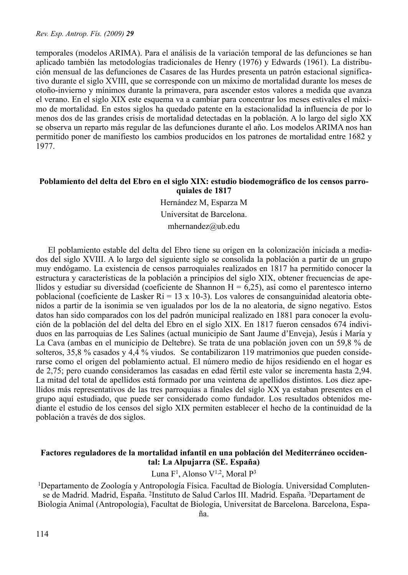temporales (modelos ARIMA). Para el análisis de la variación temporal de las defunciones se han aplicado también las metodologías tradicionales de Henry (1976) y Edwards (1961). La distribución mensual de las defunciones de Casares de las Hurdes presenta un patrón estacional significativo durante el siglo XVIII, que se corresponde con un máximo de mortalidad durante los meses de otoño-invierno y mínimos durante la primavera, para ascender estos valores a medida que avanza el verano. En el siglo XIX este esquema va a cambiar para concentrar los meses estivales el máximo de mortalidad. En estos siglos ha quedado patente en la estacionalidad la influencia de por lo menos dos de las grandes crisis de mortalidad detectadas en la población. A lo largo del siglo XX se observa un reparto más regular de las defunciones durante el año. Los modelos ARIMA nos han permitido poner de manifiesto los cambios producidos en los patrones de mortalidad entre 1682 y 1977.

#### **Poblamiento del delta del Ebro en el siglo XIX: estudio biodemográfico de los censos parroquiales de 1817**

Hernández M, Esparza M Universitat de Barcelona. mhernandez@ub.edu

El poblamiento estable del delta del Ebro tiene su origen en la colonización iniciada a mediados del siglo XVIII. A lo largo del siguiente siglo se consolida la población a partir de un grupo muy endógamo. La existencia de censos parroquiales realizados en 1817 ha permitido conocer la estructura y características de la población a principios del siglo XIX, obtener frecuencias de apellidos y estudiar su diversidad (coeficiente de Shannon H =  $6,25$ ), así como el parentesco interno poblacional (coeficiente de Lasker Ri = 13 x 10-3). Los valores de consanguinidad aleatoria obtenidos a partir de la isonimia se ven igualados por los de la no aleatoria, de signo negativo. Estos datos han sido comparados con los del padrón municipal realizado en 1881 para conocer la evolución de la población del del delta del Ebro en el siglo XIX. En 1817 fueron censados 674 individuos en las parroquias de Les Salines (actual municipio de Sant Jaume d'Enveja), Jesús i María y La Cava (ambas en el municipio de Deltebre). Se trata de una población joven con un 59,8 % de solteros, 35,8 % casados y 4,4 % viudos. Se contabilizaron 119 matrimonios que pueden considerarse como el origen del poblamiento actual. El número medio de hijos residiendo en el hogar es de 2,75; pero cuando consideramos las casadas en edad fértil este valor se incrementa hasta 2,94. La mitad del total de apellidos está formado por una veintena de apellidos distintos. Los diez apellidos más representativos de las tres parroquias a finales del siglo XX ya estaban presentes en el grupo aquí estudiado, que puede ser considerado como fundador. Los resultados obtenidos mediante el estudio de los censos del siglo XIX permiten establecer el hecho de la continuidad de la población a través de dos siglos.

## **Factores reguladores de la mortalidad infantil en una población del Mediterráneo occidental: La Alpujarra (SE. España)**

Luna  $F<sup>1</sup>$ , Alonso V<sup>1,2</sup>, Moral P<sup>3</sup>

1Departamento de Zoología y Antropología Física. Facultad de Biología. Universidad Complutense de Madrid. Madrid, España. 2Instituto de Salud Carlos III. Madrid. España. 3Departament de Biologia Animal (Antropologia), Facultat de Biologia, Universitat de Barcelona. Barcelona, Espa-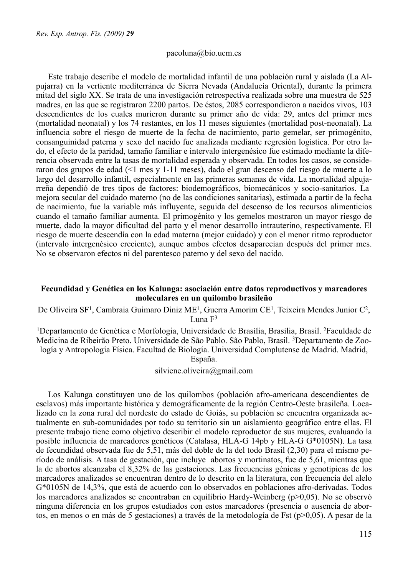#### pacoluna@bio.ucm.es

Este trabajo describe el modelo de mortalidad infantil de una población rural y aislada (La Alpujarra) en la vertiente mediterránea de Sierra Nevada (Andalucía Oriental), durante la primera mitad del siglo XX. Se trata de una investigación retrospectiva realizada sobre una muestra de 525 madres, en las que se registraron 2200 partos. De éstos, 2085 correspondieron a nacidos vivos, 103 descendientes de los cuales murieron durante su primer año de vida: 29, antes del primer mes (mortalidad neonatal) y los 74 restantes, en los 11 meses siguientes (mortalidad post-neonatal). La influencia sobre el riesgo de muerte de la fecha de nacimiento, parto gemelar, ser primogénito, consanguinidad paterna y sexo del nacido fue analizada mediante regresión logística. Por otro lado, el efecto de la paridad, tamaño familiar e intervalo intergenésico fue estimado mediante la diferencia observada entre la tasas de mortalidad esperada y observada. En todos los casos, se consideraron dos grupos de edad (<1 mes y 1-11 meses), dado el gran descenso del riesgo de muerte a lo largo del desarrollo infantil, especialmente en las primeras semanas de vida. La mortalidad alpujarreña dependió de tres tipos de factores: biodemográficos, biomecánicos y socio-sanitarios. La mejora secular del cuidado materno (no de las condiciones sanitarias), estimada a partir de la fecha de nacimiento, fue la variable más influyente, seguida del descenso de los recursos alimenticios cuando el tamaño familiar aumenta. El primogénito y los gemelos mostraron un mayor riesgo de muerte, dado la mayor dificultad del parto y el menor desarrollo intrauterino, respectivamente. El riesgo de muerte descendía con la edad materna (mejor cuidado) y con el menor ritmo reproductor (intervalo intergenésico creciente), aunque ambos efectos desaparecían después del primer mes. No se observaron efectos ni del parentesco paterno y del sexo del nacido.

#### **Fecundidad y Genética en los Kalunga: asociación entre datos reproductivos y marcadores moleculares en un quilombo brasileño**

De Oliveira SF1, Cambraia Guimaro Diniz ME1, Guerra Amorim CE1, Teixeira Mendes Junior C2, Luna  $F<sup>3</sup>$ 

1Departamento de Genética e Morfologia, Universidade de Brasília, Brasília, Brasil. 2Faculdade de Medicina de Ribeirão Preto. Universidade de São Pablo. São Pablo, Brasil. 3Departamento de Zoología y Antropología Física. Facultad de Biología. Universidad Complutense de Madrid. Madrid, España.

silviene.oliveira@gmail.com

Los Kalunga constituyen uno de los quilombos (población afro-americana descendientes de esclavos) más importante histórica y demográficamente de la región Centro-Oeste brasileña. Localizado en la zona rural del nordeste do estado de Goiás, su población se encuentra organizada actualmente en sub-comunidades por todo su territorio sin un aislamiento geográfico entre ellas. El presente trabajo tiene como objetivo describir el modelo reproductor de sus mujeres, evaluando la posible influencia de marcadores genéticos (Catalasa, HLA-G 14pb y HLA-G G\*0105N). La tasa de fecundidad observada fue de 5,51, más del doble de la del todo Brasil (2,30) para el mismo período de análisis. A tasa de gestación, que incluye abortos y mortinatos, fue de 5,61, mientras que la de abortos alcanzaba el 8,32% de las gestaciones. Las frecuencias génicas y genotípicas de los marcadores analizados se encuentran dentro de lo descrito en la literatura, con frecuencia del alelo G\*0105N de 14,3%, que está de acuerdo con lo observados en poblaciones afro-derivadas. Todos los marcadores analizados se encontraban en equilibrio Hardy-Weinberg ( $p>0.05$ ). No se observó ninguna diferencia en los grupos estudiados con estos marcadores (presencia o ausencia de abortos, en menos o en más de 5 gestaciones) a través de la metodología de Fst (p>0,05). A pesar de la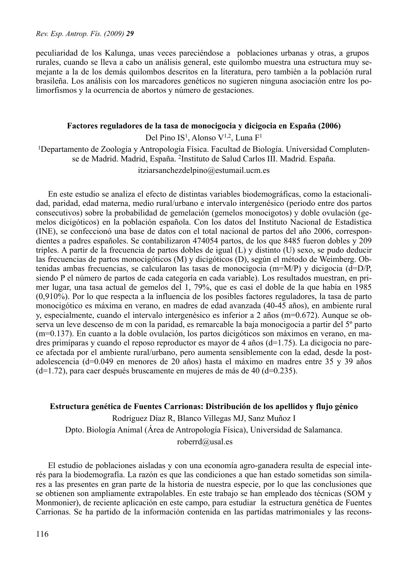peculiaridad de los Kalunga, unas veces pareciéndose a poblaciones urbanas y otras, a grupos rurales, cuando se lleva a cabo un análisis general, este quilombo muestra una estructura muy semejante a la de los demás quilombos descritos en la literatura, pero también a la población rural brasileña. Los análisis con los marcadores genéticos no sugieren ninguna asociación entre los polimorfismos y la ocurrencia de abortos y número de gestaciones.

#### **Factores reguladores de la tasa de monocigocia y dicigocia en España (2006)**

Del Pino IS<sup>1</sup>, Alonso V<sup>1,2</sup>, Luna F<sup>1</sup>

<sup>1</sup>Departamento de Zoología y Antropología Física. Facultad de Biología. Universidad Complutense de Madrid. Madrid, España. 2Instituto de Salud Carlos III. Madrid. España.

itziarsanchezdelpino@estumail.ucm.es

En este estudio se analiza el efecto de distintas variables biodemográficas, como la estacionalidad, paridad, edad materna, medio rural/urbano e intervalo intergenésico (periodo entre dos partos consecutivos) sobre la probabilidad de gemelación (gemelos monocigotos) y doble ovulación (gemelos dicigóticos) en la población española. Con los datos del Instituto Nacional de Estadística (INE), se confeccionó una base de datos con el total nacional de partos del año 2006, correspondientes a padres españoles. Se contabilizaron 474054 partos, de los que 8485 fueron dobles y 209 triples. A partir de la frecuencia de partos dobles de igual (L) y distinto (U) sexo, se pudo deducir las frecuencias de partos monocigóticos (M) y dicigóticos (D), según el método de Weimberg. Obtenidas ambas frecuencias, se calcularon las tasas de monocigocia (m=M/P) y dicigocia (d=D/P, siendo P el número de partos de cada categoría en cada variable). Los resultados muestran, en primer lugar, una tasa actual de gemelos del 1, 79%, que es casi el doble de la que había en 1985 (0,910%). Por lo que respecta a la influencia de los posibles factores reguladores, la tasa de parto monocigótico es máxima en verano, en madres de edad avanzada (40-45 años), en ambiente rural y, especialmente, cuando el intervalo intergenésico es inferior a 2 años (m=0.672). Aunque se observa un leve descenso de m con la paridad, es remarcable la baja monocigocia a partir del 5º parto (m=0.137). En cuanto a la doble ovulación, los partos dicigóticos son máximos en verano, en madres primíparas y cuando el reposo reproductor es mayor de 4 años (d=1.75). La dicigocia no parece afectada por el ambiente rural/urbano, pero aumenta sensiblemente con la edad, desde la postadolescencia (d=0.049 en menores de 20 años) hasta el máximo en madres entre 35 y 39 años (d=1.72), para caer después bruscamente en mujeres de más de 40 (d=0.235).

## **Estructura genética de Fuentes Carrionas: Distribución de los apellidos y flujo génico**

Rodríguez Díaz R, Blanco Villegas MJ, Sanz Muñoz I Dpto. Biología Animal (Área de Antropología Física), Universidad de Salamanca. roberrd@usal.es

El estudio de poblaciones aisladas y con una economía agro-ganadera resulta de especial interés para la biodemografía. La razón es que las condiciones a que han estado sometidas son similares a las presentes en gran parte de la historia de nuestra especie, por lo que las conclusiones que se obtienen son ampliamente extrapolables. En este trabajo se han empleado dos técnicas (SOM y Monmonier), de reciente aplicación en este campo, para estudiar la estructura genética de Fuentes Carrionas. Se ha partido de la información contenida en las partidas matrimoniales y las recons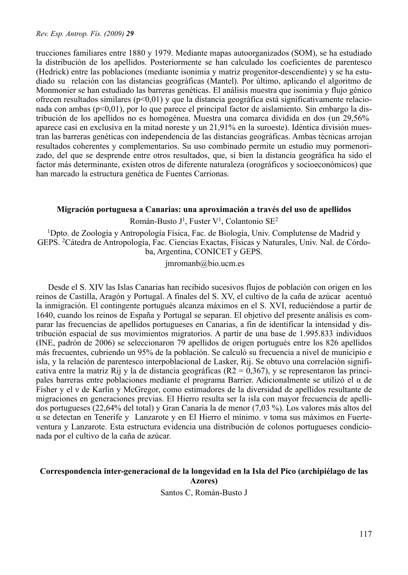trucciones familiares entre 1880 y 1979. Mediante mapas autoorganizados (SOM), se ha estudiado la distribución de los apellidos. Posteriormente se han calculado los coeficientes de parentesco (Hedrick) entre las poblaciones (mediante isonimia y matriz progenitor-descendiente) y se ha estudiado su relación con las distancias geográficas (Mantel). Por último, aplicando el algoritmo de Monmonier se han estudiado las barreras genéticas. El análisis muestra que isonimia y flujo génico ofrecen resultados similares (p<0,01) y que la distancia geográfica está significativamente relacionada con ambas (p<0,01), por lo que parece el principal factor de aislamiento. Sin embargo la distribución de los apellidos no es homogénea. Muestra una comarca dividida en dos (un 29,56% aparece casi en exclusiva en la mitad noreste y un 21,91% en la suroeste). Idéntica división muestran las barreras genéticas con independencia de las distancias geográficas. Ambas técnicas arrojan resultados coherentes y complementarios. Su uso combinado permite un estudio muy pormenorizado, del que se desprende entre otros resultados, que, si bien la distancia geográfica ha sido el factor más determinante, existen otros de diferente naturaleza (orográficos y socioeconómicos) que han marcado la estructura genética de Fuentes Carrionas.

#### **Migración portuguesa a Canarias: una aproximación a través del uso de apellidos**

Román-Busto J1, Fuster V1, Colantonio SE2

1Dpto. de Zoología y Antropología Física, Fac. de Biología, Univ. Complutense de Madrid y GEPS. 2Cátedra de Antropología, Fac. Ciencias Exactas, Físicas y Naturales, Univ. Nal. de Córdoba, Argentina, CONICET y GEPS.

jmromanb@bio.ucm.es

Desde el S. XIV las Islas Canarias han recibido sucesivos flujos de población con origen en los reinos de Castilla, Aragón y Portugal. A finales del S. XV, el cultivo de la caña de azúcar acentuó la inmigración. El contingente portugués alcanza máximos en el S. XVI, reduciéndose a partir de 1640, cuando los reinos de España y Portugal se separan. El objetivo del presente análisis es comparar las frecuencias de apellidos portugueses en Canarias, a fin de identificar la intensidad y distribución espacial de sus movimientos migratorios. A partir de una base de 1.995.833 individuos (INE, padrón de 2006) se seleccionaron 79 apellidos de origen portugués entre los 826 apellidos más frecuentes, cubriendo un 95% de la población. Se calculó su frecuencia a nivel de municipio e isla, y la relación de parentesco interpoblacional de Lasker, Rij. Se obtuvo una correlación significativa entre la matriz Rij y la de distancia geográficas ( $R2 = 0.367$ ), y se representaron las principales barreras entre poblaciones mediante el programa Barrier. Adicionalmente se utilizó el α de Fisher y el ν de Karlin y McGregor, como estimadores de la diversidad de apellidos resultante de migraciones en generaciones previas. El Hierro resulta ser la isla con mayor frecuencia de apellidos portugueses (22,64% del total) y Gran Canaria la de menor (7,03 %). Los valores más altos del α se detectan en Tenerife y Lanzarote y en El Hierro el mínimo. ν toma sus máximos en Fuerteventura y Lanzarote. Esta estructura evidencia una distribución de colonos portugueses condicionada por el cultivo de la caña de azúcar.

### **Correspondencia inter-generacional de la longevidad en la Isla del Pico (archipiélago de las Azores)**

Santos C, Román-Busto J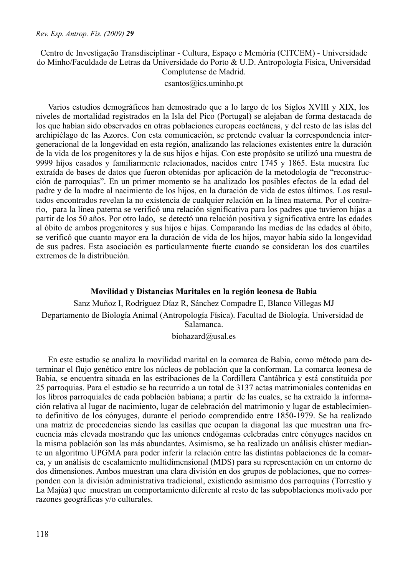### Centro de Investigação Transdisciplinar - Cultura, Espaço e Memória (CITCEM) - Universidade do Minho/Faculdade de Letras da Universidade do Porto & U.D. Antropología Física, Universidad Complutense de Madrid.

csantos@ics.uminho.pt

Varios estudios demográficos han demostrado que a lo largo de los Siglos XVIII y XIX, los niveles de mortalidad registrados en la Isla del Pico (Portugal) se alejaban de forma destacada de los que habían sido observados en otras poblaciones europeas coetáneas, y del resto de las islas del archipiélago de las Azores. Con esta comunicación, se pretende evaluar la correspondencia intergeneracional de la longevidad en esta región, analizando las relaciones existentes entre la duración de la vida de los progenitores y la de sus hijos e hijas. Con este propósito se utilizó una muestra de 9999 hijos casados y familiarmente relacionados, nacidos entre 1745 y 1865. Esta muestra fue extraída de bases de datos que fueron obtenidas por aplicación de la metodología de "reconstrucción de parroquias". En un primer momento se ha analizado los posibles efectos de la edad del padre y de la madre al nacimiento de los hijos, en la duración de vida de estos últimos. Los resultados encontrados revelan la no existencia de cualquier relación en la línea materna. Por el contrario, para la línea paterna se verificó una relación significativa para los padres que tuvieron hijas a partir de los 50 años. Por otro lado, se detectó una relación positiva y significativa entre las edades al óbito de ambos progenitores y sus hijos e hijas. Comparando las medias de las edades al óbito, se verificó que cuanto mayor era la duración de vida de los hijos, mayor había sido la longevidad de sus padres. Esta asociación es particularmente fuerte cuando se consideran los dos cuartiles extremos de la distribución.

#### **Movilidad y Distancias Maritales en la región leonesa de Babia**

Sanz Muñoz I, Rodríguez Díaz R, Sánchez Compadre E, Blanco Villegas MJ Departamento de Biología Animal (Antropología Física). Facultad de Biología. Universidad de Salamanca.

biohazard@usal.es

En este estudio se analiza la movilidad marital en la comarca de Babia, como método para determinar el flujo genético entre los núcleos de población que la conforman. La comarca leonesa de Babia, se encuentra situada en las estribaciones de la Cordillera Cantábrica y está constituida por 25 parroquias. Para el estudio se ha recurrido a un total de 3137 actas matrimoniales contenidas en los libros parroquiales de cada población babiana; a partir de las cuales, se ha extraído la información relativa al lugar de nacimiento, lugar de celebración del matrimonio y lugar de establecimiento definitivo de los cónyuges, durante el periodo comprendido entre 1850-1979. Se ha realizado una matriz de procedencias siendo las casillas que ocupan la diagonal las que muestran una frecuencia más elevada mostrando que las uniones endógamas celebradas entre cónyuges nacidos en la misma población son las más abundantes. Asimismo, se ha realizado un análisis clúster mediante un algoritmo UPGMA para poder inferir la relación entre las distintas poblaciones de la comarca, y un análisis de escalamiento multidimensional (MDS) para su representación en un entorno de dos dimensiones. Ambos muestran una clara división en dos grupos de poblaciones, que no corresponden con la división administrativa tradicional, existiendo asimismo dos parroquias (Torrestío y La Majúa) que muestran un comportamiento diferente al resto de las subpoblaciones motivado por razones geográficas y/o culturales.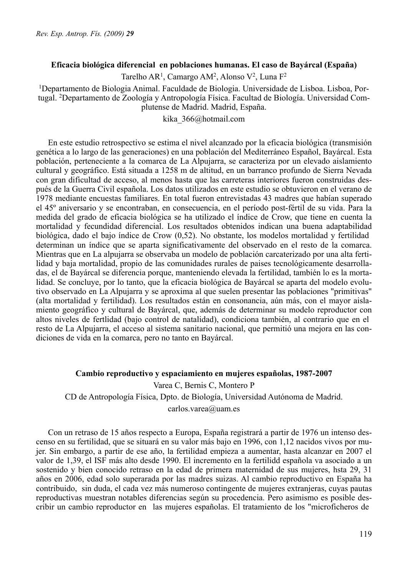## **Eficacia biológica diferencial en poblaciones humanas. El caso de Bayárcal (España)**

Tarelho AR<sup>1</sup>, Camargo AM<sup>2</sup>, Alonso V<sup>2</sup>, Luna F<sup>2</sup>

1Departamento de Biologia Animal. Faculdade de Biologia. Universidade de Lisboa. Lisboa, Portugal. 2Departamento de Zoología y Antropología Física. Facultad de Biología. Universidad Complutense de Madrid. Madrid, España.

kika\_366@hotmail.com

En este estudio retrospectivo se estima el nivel alcanzado por la eficacia biológica (transmisión genética a lo largo de las generaciones) en una población del Mediterráneo Español, Bayárcal. Esta población, perteneciente a la comarca de La Alpujarra, se caracteriza por un elevado aislamiento cultural y geográfico. Está situada a 1258 m de altitud, en un barranco profundo de Sierra Nevada con gran dificultad de acceso, al menos hasta que las carreteras interiores fueron construidas después de la Guerra Civil española. Los datos utilizados en este estudio se obtuvieron en el verano de 1978 mediante encuestas familiares. En total fueron entrevistadas 43 madres que habían superado el 45º aniversario y se encontraban, en consecuencia, en el período post-fértil de su vida. Para la medida del grado de eficacia biológica se ha utilizado el índice de Crow, que tiene en cuenta la mortalidad y fecundidad diferencial. Los resultados obtenidos indican una buena adaptabilidad biológica, dado el bajo índice de Crow (0,52). No obstante, los modelos mortalidad y fertilidad determinan un índice que se aparta significativamente del observado en el resto de la comarca. Mientras que en La alpujarra se observaba un modelo de población carcaterizado por una alta fertilidad y baja mortalidad, propio de las comunidades rurales de paises tecnológicamente desarrolladas, el de Bayárcal se diferencia porque, manteniendo elevada la fertilidad, también lo es la mortalidad. Se concluye, por lo tanto, que la eficacia biológica de Bayárcal se aparta del modelo evolutivo observado en La Alpujarra y se aproxima al que suelen presentar las poblaciones "primitivas" (alta mortalidad y fertilidad). Los resultados están en consonancia, aún más, con el mayor aislamiento geográfico y cultural de Bayárcal, que, además de determinar su modelo reproductor con altos niveles de fertlidad (bajo control de natalidad), condiciona también, al contrario que en el resto de La Alpujarra, el acceso al sistema sanitario nacional, que permitió una mejora en las condiciones de vida en la comarca, pero no tanto en Bayárcal.

# **Cambio reproductivo y espaciamiento en mujeres españolas, 1987-2007** Varea C, Bernis C, Montero P CD de Antropología Física, Dpto. de Biología, Universidad Autónoma de Madrid. carlos.varea@uam.es

Con un retraso de 15 años respecto a Europa, España registrará a partir de 1976 un intenso descenso en su fertilidad, que se situará en su valor más bajo en 1996, con 1,12 nacidos vivos por mujer. Sin embargo, a partir de ese año, la fertilidad empieza a aumentar, hasta alcanzar en 2007 el valor de 1,39, el ISF más alto desde 1990. El incremento en la fertilidd española va asociado a un sostenido y bien conocido retraso en la edad de primera maternidad de sus mujeres, hsta 29, 31 años en 2006, edad solo superarada por las madres suizas. Al cambio reproductivo en España ha contribuido, sin duda, el cada vez más numeroso contingente de mujeres extranjeras, cuyas pautas reproductivas muestran notables diferencias según su procedencia. Pero asimismo es posible describir un cambio reproductor en las mujeres españolas. El tratamiento de los "microficheros de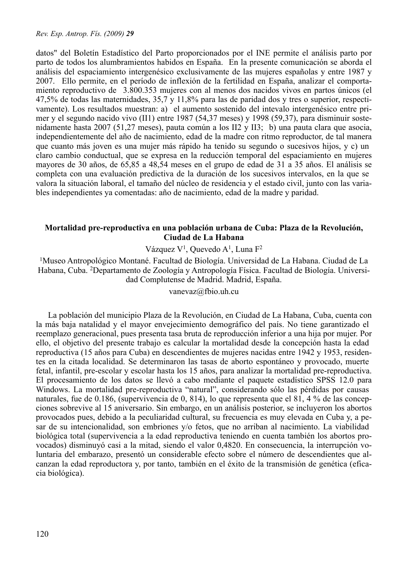datos" del Boletín Estadístico del Parto proporcionados por el INE permite el análisis parto por parto de todos los alumbramientos habidos en España. En la presente comunicación se aborda el análisis del espaciamiento intergenésico exclusivamente de las mujeres españolas y entre 1987 y 2007. Ello permite, en el período de inflexión de la fertilidad en España, analizar el comportamiento reproductivo de 3.800.353 mujeres con al menos dos nacidos vivos en partos únicos (el 47,5% de todas las maternidades, 35,7 y 11,8% para las de paridad dos y tres o superior, respectivamente). Los resultados muestran: a) el aumento sostenido del intevalo intergenésico entre primer y el segundo nacido vivo (II1) entre 1987 (54,37 meses) y 1998 (59,37), para disminuir sostenidamente hasta 2007 (51,27 meses), pauta común a los II2 y II3; b) una pauta clara que asocia, independientemente del año de nacimiento, edad de la madre con ritmo reproductor, de tal manera que cuanto más joven es una mujer más rápido ha tenido su segundo o sucesivos hijos, y c) un claro cambio conductual, que se expresa en la reducción temporal del espaciamiento en mujeres mayores de 30 años, de 65,85 a 48,54 meses en el grupo de edad de 31 a 35 años. El análisis se completa con una evaluación predictiva de la duración de los sucesivos intervalos, en la que se valora la situación laboral, el tamaño del núcleo de residencia y el estado civil, junto con las variables independientes ya comentadas: año de nacimiento, edad de la madre y paridad.

# **Mortalidad pre-reproductiva en una población urbana de Cuba: Plaza de la Revolución, Ciudad de La Habana**

Vázquez V<sup>1</sup>, Quevedo A<sup>1</sup>, Luna F<sup>2</sup>

1Museo Antropológico Montané. Facultad de Biología. Universidad de La Habana. Ciudad de La Habana, Cuba. 2Departamento de Zoología y Antropología Física. Facultad de Biología. Universidad Complutense de Madrid. Madrid, España.

vanevaz@fbio.uh.cu

La población del municipio Plaza de la Revolución, en Ciudad de La Habana, Cuba, cuenta con la más baja natalidad y el mayor envejecimiento demográfico del país. No tiene garantizado el reemplazo generacional, pues presenta tasa bruta de reproducción inferior a una hija por mujer. Por ello, el objetivo del presente trabajo es calcular la mortalidad desde la concepción hasta la edad reproductiva (15 años para Cuba) en descendientes de mujeres nacidas entre 1942 y 1953, residentes en la citada localidad. Se determinaron las tasas de aborto espontáneo y provocado, muerte fetal, infantil, pre-escolar y escolar hasta los 15 años, para analizar la mortalidad pre-reproductiva. El procesamiento de los datos se llevó a cabo mediante el paquete estadístico SPSS 12.0 para Windows. La mortalidad pre-reproductiva "natural", considerando sólo las pérdidas por causas naturales, fue de 0.186, (supervivencia de 0, 814), lo que representa que el 81, 4 % de las concepciones sobrevive al 15 aniversario. Sin embargo, en un análisis posterior, se incluyeron los abortos provocados pues, debido a la peculiaridad cultural, su frecuencia es muy elevada en Cuba y, a pesar de su intencionalidad, son embriones y/o fetos, que no arriban al nacimiento. La viabilidad biológica total (supervivencia a la edad reproductiva teniendo en cuenta también los abortos provocados) disminuyó casi a la mitad, siendo el valor 0,4820. En consecuencia, la interrupción voluntaria del embarazo, presentó un considerable efecto sobre el número de descendientes que alcanzan la edad reproductora y, por tanto, también en el éxito de la transmisión de genética (eficacia biológica).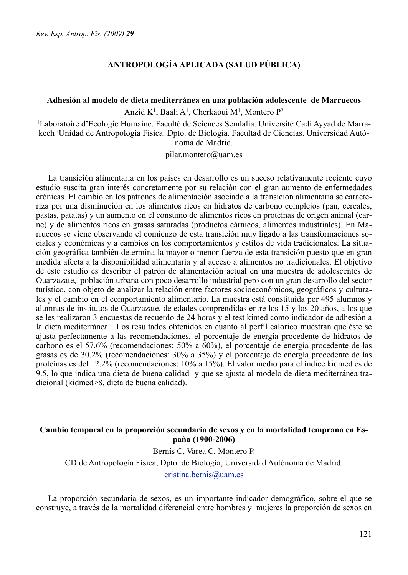# **ANTROPOLOGÍA APLICADA (SALUD PÚBLICA)**

#### **Adhesión al modelo de dieta mediterránea en una población adolescente de Marruecos**

Anzid K1, Baali A1, Cherkaoui M1, Montero P2

1Laboratoire d'Ecologie Humaine. Faculté de Sciences Semlalia. Université Cadi Ayyad de Marrakech 2Unidad de Antropología Física. Dpto. de Biología. Facultad de Ciencias. Universidad Autónoma de Madrid.

pilar.montero@uam.es

La transición alimentaria en los países en desarrollo es un suceso relativamente reciente cuyo estudio suscita gran interés concretamente por su relación con el gran aumento de enfermedades crónicas. El cambio en los patrones de alimentación asociado a la transición alimentaria se caracteriza por una disminución en los alimentos ricos en hidratos de carbono complejos (pan, cereales, pastas, patatas) y un aumento en el consumo de alimentos ricos en proteínas de origen animal (carne) y de alimentos ricos en grasas saturadas (productos cárnicos, alimentos industriales). En Marruecos se viene observando el comienzo de esta transición muy ligado a las transformaciones sociales y económicas y a cambios en los comportamientos y estilos de vida tradicionales. La situación geográfica también determina la mayor o menor fuerza de esta transición puesto que en gran medida afecta a la disponibilidad alimentaria y al acceso a alimentos no tradicionales. El objetivo de este estudio es describir el patrón de alimentación actual en una muestra de adolescentes de Ouarzazate, población urbana con poco desarrollo industrial pero con un gran desarrollo del sector turístico, con objeto de analizar la relación entre factores socioeconómicos, geográficos y culturales y el cambio en el comportamiento alimentario. La muestra está constituida por 495 alumnos y alumnas de institutos de Ouarzazate, de edades comprendidas entre los 15 y los 20 años, a los que se les realizaron 3 encuestas de recuerdo de 24 horas y el test kimed como indicador de adhesión a la dieta mediterránea. Los resultados obtenidos en cuánto al perfil calórico muestran que éste se ajusta perfectamente a las recomendaciones, el porcentaje de energía procedente de hidratos de carbono es el 57.6% (recomendaciones: 50% a 60%), el porcentaje de energía procedente de las grasas es de 30.2% (recomendaciones: 30% a 35%) y el porcentaje de energía procedente de las proteínas es del 12.2% (recomendaciones: 10% a 15%). El valor medio para el índice kidmed es de 9.5, lo que indica una dieta de buena calidad y que se ajusta al modelo de dieta mediterránea tradicional (kidmed>8, dieta de buena calidad).

### **Cambio temporal en la proporción secundaria de sexos y en la mortalidad temprana en España (1900-2006)**

Bernis C, Varea C, Montero P. CD de Antropología Física, Dpto. de Biología, Universidad Autónoma de Madrid. [cristina.bernis@uam.es](mailto:cristina.bernis@uam.es)

La proporción secundaria de sexos, es un importante indicador demográfico, sobre el que se construye, a través de la mortalidad diferencial entre hombres y mujeres la proporción de sexos en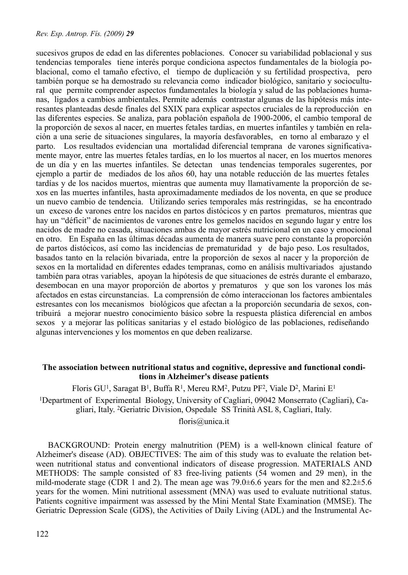sucesivos grupos de edad en las diferentes poblaciones. Conocer su variabilidad poblacional y sus tendencias temporales tiene interés porque condiciona aspectos fundamentales de la biología poblacional, como el tamaño efectivo, el tiempo de duplicación y su fertilidad prospectiva, pero también porque se ha demostrado su relevancia como indicador biológico, sanitario y sociocultural que permite comprender aspectos fundamentales la biología y salud de las poblaciones humanas, ligados a cambios ambientales. Permite además contrastar algunas de las hipótesis más interesantes planteadas desde finales del SXIX para explicar aspectos cruciales de la reproducción en las diferentes especies. Se analiza, para población española de 1900-2006, el cambio temporal de la proporción de sexos al nacer, en muertes fetales tardías, en muertes infantiles y también en relación a una serie de situaciones singulares, la mayoría desfavorables, en torno al embarazo y el parto. Los resultados evidencian una mortalidad diferencial temprana de varones significativamente mayor, entre las muertes fetales tardías, en lo los muertos al nacer, en los muertos menores de un día y en las muertes infantiles. Se detectan unas tendencias temporales sugerentes, por ejemplo a partir de mediados de los años 60, hay una notable reducción de las muertes fetales tardías y de los nacidos muertos, mientras que aumenta muy llamativamente la proporción de sexos en las muertes infantiles, hasta aproximadamente mediados de los noventa, en que se produce un nuevo cambio de tendencia. Utilizando series temporales más restringidas, se ha encontrado un exceso de varones entre los nacidos en partos distócicos y en partos prematuros, mientras que hay un "déficit" de nacimientos de varones entre los gemelos nacidos en segundo lugar y entre los nacidos de madre no casada, situaciones ambas de mayor estrés nutricional en un caso y emocional en otro. En España en las últimas décadas aumenta de manera suave pero constante la proporción de partos distócicos, así como las incidencias de prematuridad y de bajo peso. Los resultados, basados tanto en la relación bivariada, entre la proporción de sexos al nacer y la proporción de sexos en la mortalidad en diferentes edades tempranas, como en análisis multivariados ajustando también para otras variables, apoyan la hipótesis de que situaciones de estrés durante el embarazo, desembocan en una mayor proporción de abortos y prematuros y que son los varones los más afectados en estas circunstancias. La comprensión de cómo interaccionan los factores ambientales estresantes con los mecanismos biológicos que afectan a la proporción secundaria de sexos, contribuirá a mejorar nuestro conocimiento básico sobre la respuesta plástica diferencial en ambos sexos y a mejorar las políticas sanitarias y el estado biológico de las poblaciones, rediseñando algunas intervenciones y los momentos en que deben realizarse.

### **The association between nutritional status and cognitive, depressive and functional conditions in Alzheimer's disease patients**

Floris GU<sup>1</sup>, Saragat B<sup>1</sup>, Buffa R<sup>1</sup>, Mereu RM<sup>2</sup>, Putzu PF<sup>2</sup>, Viale D<sup>2</sup>, Marini E<sup>1</sup>

1Department of Experimental Biology, University of Cagliari, 09042 Monserrato (Cagliari), Cagliari, Italy. 2Geriatric Division, Ospedale SS Trinità ASL 8, Cagliari, Italy.

floris@unica.it

BACKGROUND: Protein energy malnutrition (PEM) is a well-known clinical feature of Alzheimer's disease (AD). OBJECTIVES: The aim of this study was to evaluate the relation between nutritional status and conventional indicators of disease progression. MATERIALS AND METHODS: The sample consisted of 83 free-living patients (54 women and 29 men), in the mild-moderate stage (CDR 1 and 2). The mean age was  $79.0\pm6.6$  years for the men and  $82.2\pm5.6$ years for the women. Mini nutritional assessment (MNA) was used to evaluate nutritional status. Patients cognitive impairment was assessed by the Mini Mental State Examination (MMSE). The Geriatric Depression Scale (GDS), the Activities of Daily Living (ADL) and the Instrumental Ac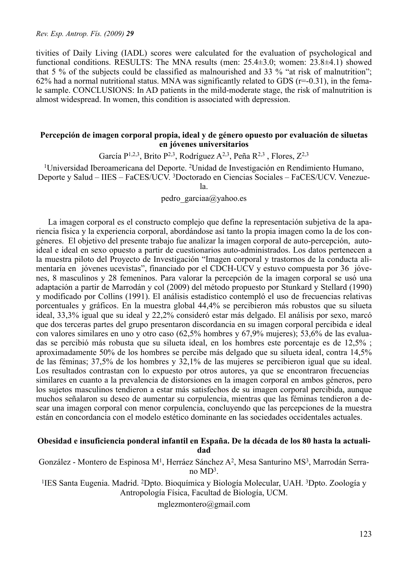tivities of Daily Living (IADL) scores were calculated for the evaluation of psychological and functional conditions. RESULTS: The MNA results (men: 25.4±3.0; women: 23.8±4.1) showed that 5 % of the subjects could be classified as malnourished and 33 % "at risk of malnutrition"; 62% had a normal nutritional status. MNA was significantly related to GDS ( $r=-0.31$ ), in the female sample. CONCLUSIONS: In AD patients in the mild-moderate stage, the risk of malnutrition is almost widespread. In women, this condition is associated with depression.

#### **Percepción de imagen corporal propia, ideal y de género opuesto por evaluación de siluetas en jóvenes universitarios**

García P<sup>1,2,3</sup>, Brito P<sup>2,3</sup>, Rodríguez A<sup>2,3</sup>, Peña R<sup>2,3</sup>, Flores,  $Z^{2,3}$ 

1Universidad Iberoamericana del Deporte. 2Unidad de Investigación en Rendimiento Humano, Deporte y Salud – IIES – FaCES/UCV. 3Doctorado en Ciencias Sociales – FaCES/UCV. Venezue-

la.

pedro garciaa@yahoo.es

La imagen corporal es el constructo complejo que define la representación subjetiva de la apariencia física y la experiencia corporal, abordándose así tanto la propia imagen como la de los congéneres. El objetivo del presente trabajo fue analizar la imagen corporal de auto-percepción, autoideal e ideal en sexo opuesto a partir de cuestionarios auto-administrados. Los datos pertenecen a la muestra piloto del Proyecto de Investigación "Imagen corporal y trastornos de la conducta alimentaría en jóvenes ucevistas", financiado por el CDCH-UCV y estuvo compuesta por 36 jóvenes, 8 masculinos y 28 femeninos. Para valorar la percepción de la imagen corporal se usó una adaptación a partir de Marrodán y col (2009) del método propuesto por Stunkard y Stellard (1990) y modificado por Collins (1991). El análisis estadístico contempló el uso de frecuencias relativas porcentuales y gráficos. En la muestra global 44,4% se percibieron más robustos que su silueta ideal, 33,3% igual que su ideal y 22,2% consideró estar más delgado. El análisis por sexo, marcó que dos terceras partes del grupo presentaron discordancia en su imagen corporal percibida e ideal con valores similares en uno y otro caso (62,5% hombres y 67,9% mujeres); 53,6% de las evaluadas se percibió más robusta que su silueta ideal, en los hombres este porcentaje es de 12,5% ; aproximadamente 50% de los hombres se percibe más delgado que su silueta ideal, contra 14,5% de las féminas; 37,5% de los hombres y 32,1% de las mujeres se percibieron igual que su ideal. Los resultados contrastan con lo expuesto por otros autores, ya que se encontraron frecuencias similares en cuanto a la prevalencia de distorsiones en la imagen corporal en ambos géneros, pero los sujetos masculinos tendieron a estar más satisfechos de su imagen corporal percibida, aunque muchos señalaron su deseo de aumentar su corpulencia, mientras que las féminas tendieron a desear una imagen corporal con menor corpulencia, concluyendo que las percepciones de la muestra están en concordancia con el modelo estético dominante en las sociedades occidentales actuales.

#### **Obesidad e insuficiencia ponderal infantil en España. De la década de los 80 hasta la actualidad**

González - Montero de Espinosa M<sup>1</sup>, Herráez Sánchez A<sup>2</sup>, Mesa Santurino MS<sup>3</sup>, Marrodán Serrano MD3.

<sup>1</sup>IES Santa Eugenia. Madrid. <sup>2</sup>Dpto. Bioquímica y Biología Molecular, UAH. <sup>3</sup>Dpto. Zoología y Antropología Física, Facultad de Biología, UCM.

mglezmontero@gmail.com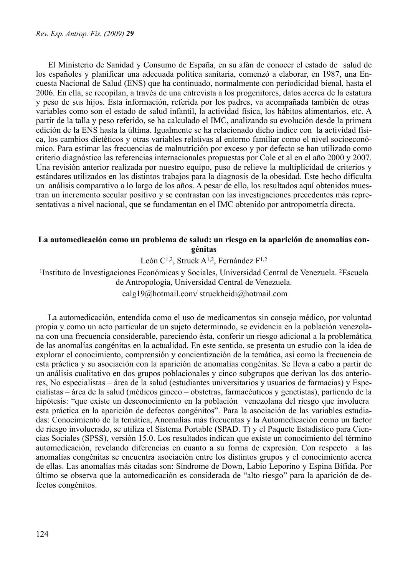El Ministerio de Sanidad y Consumo de España, en su afán de conocer el estado de salud de los españoles y planificar una adecuada política sanitaria, comenzó a elaborar, en 1987, una Encuesta Nacional de Salud (ENS) que ha continuado, normalmente con periodicidad bienal, hasta el 2006. En ella, se recopilan, a través de una entrevista a los progenitores, datos acerca de la estatura y peso de sus hijos. Esta información, referida por los padres, va acompañada también de otras variables como son el estado de salud infantil, la actividad física, los hábitos alimentarios, etc. A partir de la talla y peso referido, se ha calculado el IMC, analizando su evolución desde la primera edición de la ENS hasta la última. Igualmente se ha relacionado dicho índice con la actividad física, los cambios dietéticos y otras variables relativas al entorno familiar como el nivel socioeconómico. Para estimar las frecuencias de malnutrición por exceso y por defecto se han utilizado como criterio diagnóstico las referencias internacionales propuestas por Cole et al en el año 2000 y 2007. Una revisión anterior realizada por nuestro equipo, puso de relieve la multiplicidad de criterios y estándares utilizados en los distintos trabajos para la diagnosis de la obesidad. Este hecho dificulta un análisis comparativo a lo largo de los años. A pesar de ello, los resultados aquí obtenidos muestran un incremento secular positivo y se contrastan con las investigaciones precedentes más representativas a nivel nacional, que se fundamentan en el IMC obtenido por antropometría directa.

# **La automedicación como un problema de salud: un riesgo en la aparición de anomalías congénitas**

León C<sup>1,2</sup>, Struck A<sup>1,2</sup>, Fernández F<sup>1,2</sup>

1Instituto de Investigaciones Económicas y Sociales, Universidad Central de Venezuela. 2Escuela de Antropología, Universidad Central de Venezuela.

calg19@hotmail.com/ struckheidi@hotmail.com

La automedicación, entendida como el uso de medicamentos sin consejo médico, por voluntad propia y como un acto particular de un sujeto determinado, se evidencia en la población venezolana con una frecuencia considerable, pareciendo ésta, conferir un riesgo adicional a la problemática de las anomalías congénitas en la actualidad. En este sentido, se presenta un estudio con la idea de explorar el conocimiento, comprensión y concientización de la temática, así como la frecuencia de esta práctica y su asociación con la aparición de anomalías congénitas. Se lleva a cabo a partir de un análisis cualitativo en dos grupos poblacionales y cinco subgrupos que derivan los dos anteriores, No especialistas – área de la salud (estudiantes universitarios y usuarios de farmacias) y Especialistas – área de la salud (médicos gineco – obstetras, farmacéuticos y genetistas), partiendo de la hipótesis: "que existe un desconocimiento en la población venezolana del riesgo que involucra esta práctica en la aparición de defectos congénitos". Para la asociación de las variables estudiadas: Conocimiento de la temática, Anomalías más frecuentas y la Automedicación como un factor de riesgo involucrado, se utiliza el Sistema Portable (SPAD. T) y el Paquete Estadístico para Ciencias Sociales (SPSS), versión 15.0. Los resultados indican que existe un conocimiento del término automedicación, revelando diferencias en cuanto a su forma de expresión. Con respecto a las anomalías congénitas se encuentra asociación entre los distintos grupos y el conocimiento acerca de ellas. Las anomalías más citadas son: Síndrome de Down, Labio Leporino y Espina Bífida. Por último se observa que la automedicación es considerada de "alto riesgo" para la aparición de defectos congénitos.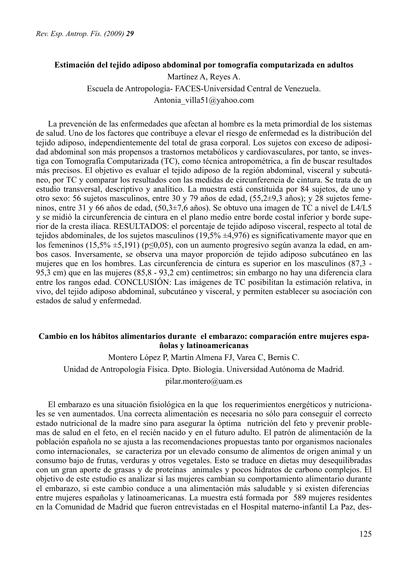### **Estimación del tejido adiposo abdominal por tomografía computarizada en adultos**

Martínez A, Reyes A. Escuela de Antropología- FACES-Universidad Central de Venezuela. Antonia\_villa51@yahoo.com

La prevención de las enfermedades que afectan al hombre es la meta primordial de los sistemas de salud. Uno de los factores que contribuye a elevar el riesgo de enfermedad es la distribución del tejido adiposo, independientemente del total de grasa corporal. Los sujetos con exceso de adiposidad abdominal son más propensos a trastornos metabólicos y cardiovasculares, por tanto, se investiga con Tomografía Computarizada (TC), como técnica antropométrica, a fin de buscar resultados más precisos. El objetivo es evaluar el tejido adiposo de la región abdominal, visceral y subcutáneo, por TC y comparar los resultados con las medidas de circunferencia de cintura. Se trata de un estudio transversal, descriptivo y analítico. La muestra está constituida por 84 sujetos, de uno y otro sexo: 56 sujetos masculinos, entre 30 y 79 años de edad, (55,2±9,3 años); y 28 sujetos femeninos, entre 31 y 66 años de edad, (50,3±7,6 años). Se obtuvo una imagen de TC a nivel de L4/L5 y se midió la circunferencia de cintura en el plano medio entre borde costal inferior y borde superior de la cresta ilíaca. RESULTADOS: el porcentaje de tejido adiposo visceral, respecto al total de tejidos abdominales, de los sujetos masculinos (19,5% ±4,976) es significativamente mayor que en los femeninos (15,5%  $\pm$ 5,191) (p≤0,05), con un aumento progresivo según avanza la edad, en ambos casos. Inversamente, se observa una mayor proporción de tejido adiposo subcutáneo en las mujeres que en los hombres. Las circunferencia de cintura es superior en los masculinos (87,3 - 95,3 cm) que en las mujeres (85,8 - 93,2 cm) centímetros; sin embargo no hay una diferencia clara entre los rangos edad. CONCLUSIÓN: Las imágenes de TC posibilitan la estimación relativa, in vivo, del tejido adiposo abdominal, subcutáneo y visceral, y permiten establecer su asociación con estados de salud y enfermedad.

## **Cambio en los hábitos alimentarios durante el embarazo: comparación entre mujeres españolas y latinoamericanas**

Montero López P, Martín Almena FJ, Varea C, Bernis C. Unidad de Antropología Física. Dpto. Biología. Universidad Autónoma de Madrid. pilar.montero@uam.es

El embarazo es una situación fisiológica en la que los requerimientos energéticos y nutricionales se ven aumentados. Una correcta alimentación es necesaria no sólo para conseguir el correcto estado nutricional de la madre sino para asegurar la óptima nutrición del feto y prevenir problemas de salud en el feto, en el recién nacido y en el futuro adulto. El patrón de alimentación de la población española no se ajusta a las recomendaciones propuestas tanto por organismos nacionales como internacionales, se caracteriza por un elevado consumo de alimentos de origen animal y un consumo bajo de frutas, verduras y otros vegetales. Esto se traduce en dietas muy desequilibradas con un gran aporte de grasas y de proteínas animales y pocos hidratos de carbono complejos. El objetivo de este estudio es analizar si las mujeres cambian su comportamiento alimentario durante el embarazo, si este cambio conduce a una alimentación más saludable y si existen diferencias entre mujeres españolas y latinoamericanas. La muestra está formada por 589 mujeres residentes en la Comunidad de Madrid que fueron entrevistadas en el Hospital materno-infantil La Paz, des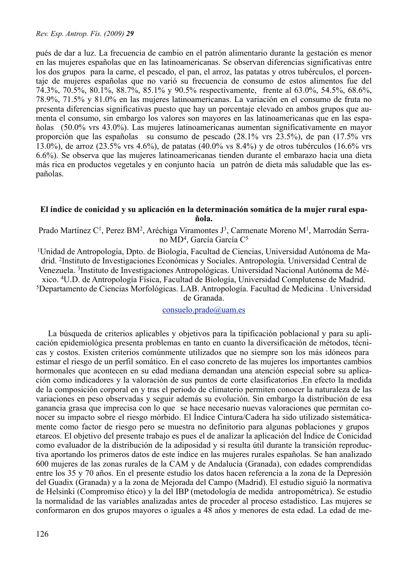pués de dar a luz. La frecuencia de cambio en el patrón alimentario durante la gestación es menor en las mujeres españolas que en las latinoamericanas. Se observan diferencias significativas entre los dos grupos para la carne, el pescado, el pan, el arroz, las patatas y otros tubérculos, el porcentaje de mujeres españolas que no varió su frecuencia de consumo de estos alimentos fue del 74.3%, 70.5%, 80.1%, 88.7%, 85.1% y 90.5% respectivamente, frente al 63.0%, 54.5%, 68.6%, 78.9%, 71.5% y 81.0% en las mujeres latinoamericanas. La variación en el consumo de fruta no presenta diferencias significativas puesto que hay un porcentaje elevado en ambos grupos que aumenta el consumo, sin embargo los valores son mayores en las latinoamericanas que en las españolas (50.0% vrs 43.0%). Las mujeres latinoamericanas aumentan significativamente en mayor proporción que las españolas su consumo de pescado (28.1% vrs 23.5%), de pan (17.5% vrs 13.0%), de arroz (23.5% vrs 4.6%), de patatas (40.0% vs 8.4%) y de otros tubérculos (16.6% vrs 6.6%). Se observa que las mujeres latinoamericanas tienden durante el embarazo hacia una dieta más rica en productos vegetales y en conjunto hacia un patrón de dieta más saludable que las españolas.

# **El índice de conicidad y su aplicación en la determinación somática de la mujer rural española.**

Prado Martínez C<sup>1</sup>, Perez BM<sup>2</sup>, Aréchiga Viramontes J<sup>3</sup>, Carmenate Moreno M<sup>1</sup>, Marrodán Serrano MD4, García García C5

1Unidad de Antropología, Dpto. de Biología, Facultad de Ciencias, Universidad Autónoma de Madrid. 2Instituto de Investigaciones Económicas y Sociales. Antropología. Universidad Central de Venezuela. <sup>3</sup>Instituto de Investigaciones Antropológicas. Universidad Nacional Autónoma de Mé-<br>xico. <sup>4</sup>U.D. de Antropología Física, Facultad de Biología, Universidad Complutense de Madrid.  $5$ Departamento de Ciencias Morfológicas. LAB. Antropología. Facultad de Medicina . Universidad

de Granada.

#### [consuelo.prado@uam.es](mailto:consuelo.prado@uam.es)

La búsqueda de criterios aplicables y objetivos para la tipificación poblacional y para su aplicación epidemiológica presenta problemas en tanto en cuanto la diversificación de métodos, técnicas y costos. Existen criterios comúnmente utilizados que no siempre son los más idóneos para estimar el riesgo de un perfil somático. En el caso concreto de las mujeres los importantes cambios hormonales que acontecen en su edad mediana demandan una atención especial sobre su aplicación como indicadores y la valoración de sus puntos de corte clasificatorios .En efecto la medida de la composición corporal en y tras el periodo de climaterio permiten conocer la naturaleza de las variaciones en peso observadas y seguir además su evolución. Sin embargo la distribución de esa ganancia grasa que imprecisa con lo que se hace necesario nuevas valoraciones que permitan conocer su impacto sobre el riesgo mórbido. El Índice Cintura/Cadera ha sido utilizado sistemáticamente como factor de riesgo pero se muestra no definitorio para algunas poblaciones y grupos etareos. El objetivo del presente trabajo es pues el de analizar la aplicación del Índice de Conicidad como evaluador de la distribución de la adiposidad y si resulta útil durante la transición reproductiva aportando los primeros datos de este índice en las mujeres rurales españolas. Se han analizado 600 mujeres de las zonas rurales de la CAM y de Andalucía (Granada), con edades comprendidas entre los 35 y 70 años. En el presente estudio los datos hacen referencia a la zona de la Depresión del Guadix (Granada) y a la zona de Mejorada del Campo (Madrid). El estudio siguió la normativa de Helsinki (Compromiso ético) y la del IBP (metodología de medida antropométrica). Se estudio la normalidad de las variables analizadas antes de proceder al proceso estadístico. Las mujeres se conformaron en dos grupos mayores o iguales a 48 años y menores de esta edad. La edad de me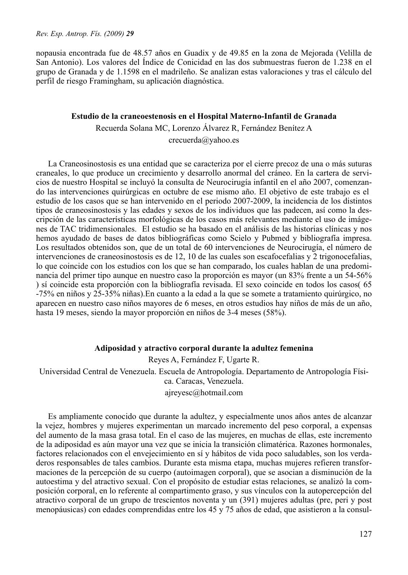nopausia encontrada fue de 48.57 años en Guadix y de 49.85 en la zona de Mejorada (Velilla de San Antonio). Los valores del Índice de Conicidad en las dos submuestras fueron de 1.238 en el grupo de Granada y de 1.1598 en el madrileño. Se analizan estas valoraciones y tras el cálculo del perfil de riesgo Framingham, su aplicación diagnóstica.

#### **Estudio de la craneoestenosis en el Hospital Materno-Infantil de Granada**

Recuerda Solana MC, Lorenzo Álvarez R, Fernández Benítez A

crecuerda@yahoo.es

La Craneosinostosis es una entidad que se caracteriza por el cierre precoz de una o más suturas craneales, lo que produce un crecimiento y desarrollo anormal del cráneo. En la cartera de servicios de nuestro Hospital se incluyó la consulta de Neurocirugía infantil en el año 2007, comenzando las intervenciones quirúrgicas en octubre de ese mismo año. El objetivo de este trabajo es el estudio de los casos que se han intervenido en el periodo 2007-2009, la incidencia de los distintos tipos de craneosinostosis y las edades y sexos de los individuos que las padecen, así como la descripción de las características morfológicas de los casos más relevantes mediante el uso de imágenes de TAC tridimensionales. El estudio se ha basado en el análisis de las historias clínicas y nos hemos ayudado de bases de datos bibliográficas como Scielo y Pubmed y bibliografía impresa. Los resultados obtenidos son, que de un total de 60 intervenciones de Neurocirugía, el número de intervenciones de craneosinostosis es de 12, 10 de las cuales son escafocefalias y 2 trigonocefalias, lo que coincide con los estudios con los que se han comparado, los cuales hablan de una predominancia del primer tipo aunque en nuestro caso la proporción es mayor (un 83% frente a un 54-56% ) sí coincide esta proporción con la bibliografía revisada. El sexo coincide en todos los casos( 65 -75% en niños y 25-35% niñas).En cuanto a la edad a la que se somete a tratamiento quirúrgico, no aparecen en nuestro caso niños mayores de 6 meses, en otros estudios hay niños de más de un año, hasta 19 meses, siendo la mayor proporción en niños de 3-4 meses (58%).

# **Adiposidad y atractivo corporal durante la adultez femenina**

Reyes A, Fernández F, Ugarte R. Universidad Central de Venezuela. Escuela de Antropología. Departamento de Antropología Física. Caracas, Venezuela.

ajreyesc@hotmail.com

Es ampliamente conocido que durante la adultez, y especialmente unos años antes de alcanzar la vejez, hombres y mujeres experimentan un marcado incremento del peso corporal, a expensas del aumento de la masa grasa total. En el caso de las mujeres, en muchas de ellas, este incremento de la adiposidad es aún mayor una vez que se inicia la transición climatérica. Razones hormonales, factores relacionados con el envejecimiento en sí y hábitos de vida poco saludables, son los verdaderos responsables de tales cambios. Durante esta misma etapa, muchas mujeres refieren transformaciones de la percepción de su cuerpo (autoimagen corporal), que se asocian a disminución de la autoestima y del atractivo sexual. Con el propósito de estudiar estas relaciones, se analizó la composición corporal, en lo referente al compartimento graso, y sus vínculos con la autopercepción del atractivo corporal de un grupo de trescientos noventa y un (391) mujeres adultas (pre, peri y post menopáusicas) con edades comprendidas entre los 45 y 75 años de edad, que asistieron a la consul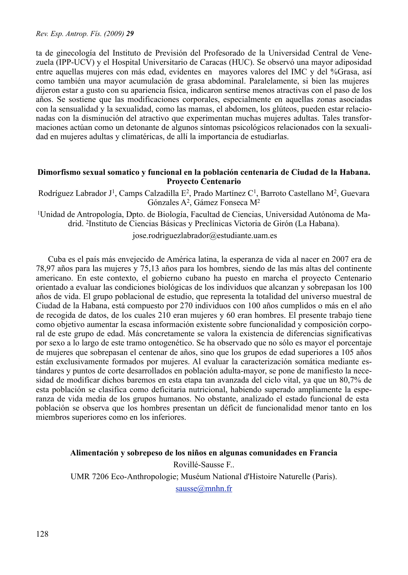ta de ginecología del Instituto de Previsión del Profesorado de la Universidad Central de Venezuela (IPP-UCV) y el Hospital Universitario de Caracas (HUC). Se observó una mayor adiposidad entre aquellas mujeres con más edad, evidentes en mayores valores del IMC y del %Grasa, así como también una mayor acumulación de grasa abdominal. Paralelamente, si bien las mujeres dijeron estar a gusto con su apariencia física, indicaron sentirse menos atractivas con el paso de los años. Se sostiene que las modificaciones corporales, especialmente en aquellas zonas asociadas con la sensualidad y la sexualidad, como las mamas, el abdomen, los glúteos, pueden estar relacionadas con la disminución del atractivo que experimentan muchas mujeres adultas. Tales transformaciones actúan como un detonante de algunos síntomas psicológicos relacionados con la sexualidad en mujeres adultas y climatéricas, de allí la importancia de estudiarlas.

## **Dimorfismo sexual somatico y funcional en la población centenaria de Ciudad de la Habana. Proyecto Centenario**

Rodríguez Labrador J<sup>1</sup>, Camps Calzadilla E<sup>2</sup>, Prado Martínez C<sup>1</sup>, Barroto Castellano M<sup>2</sup>. Guevara Gónzales A2, Gámez Fonseca M2

<sup>1</sup>Unidad de Antropología, Dpto. de Biología, Facultad de Ciencias, Universidad Autónoma de Madrid. 2Instituto de Ciencias Básicas y Preclínicas Victoria de Girón (La Habana).

jose.rodriguezlabrador@estudiante.uam.es

Cuba es el país más envejecido de América latina, la esperanza de vida al nacer en 2007 era de 78,97 años para las mujeres y 75,13 años para los hombres, siendo de las más altas del continente americano. En este contexto, el gobierno cubano ha puesto en marcha el proyecto Centenario orientado a evaluar las condiciones biológicas de los individuos que alcanzan y sobrepasan los 100 años de vida. El grupo poblacional de estudio, que representa la totalidad del universo muestral de Ciudad de la Habana, está compuesto por 270 individuos con 100 años cumplidos o más en el año de recogida de datos, de los cuales 210 eran mujeres y 60 eran hombres. El presente trabajo tiene como objetivo aumentar la escasa información existente sobre funcionalidad y composición corporal de este grupo de edad. Más concretamente se valora la existencia de diferencias significativas por sexo a lo largo de este tramo ontogenético. Se ha observado que no sólo es mayor el porcentaje de mujeres que sobrepasan el centenar de años, sino que los grupos de edad superiores a 105 años están exclusivamente formados por mujeres. Al evaluar la caracterización somática mediante estándares y puntos de corte desarrollados en población adulta-mayor, se pone de manifiesto la necesidad de modificar dichos baremos en esta etapa tan avanzada del ciclo vital, ya que un 80,7% de esta población se clasifica como deficitaria nutricional, habiendo superado ampliamente la esperanza de vida media de los grupos humanos. No obstante, analizado el estado funcional de esta población se observa que los hombres presentan un déficit de funcionalidad menor tanto en los miembros superiores como en los inferiores.

### **Alimentación y sobrepeso de los niños en algunas comunidades en Francia**

Rovillé-Sausse F.. UMR 7206 Eco-Anthropologie; Muséum National d'Histoire Naturelle (Paris). [sausse@mnhn.fr](mailto:sausse@mnhn.fr)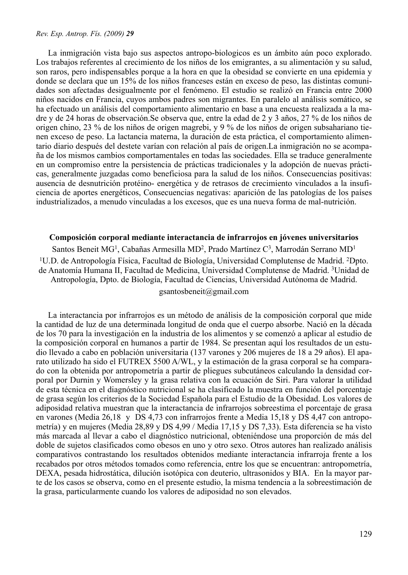La inmigración vista bajo sus aspectos antropo-biologicos es un ámbito aún poco explorado. Los trabajos referentes al crecimiento de los niños de los emigrantes, a su alimentación y su salud, son raros, pero indispensables porque a la hora en que la obesidad se convierte en una epidemia y donde se declara que un 15% de los niños franceses están en exceso de peso, las distintas comunidades son afectadas desigualmente por el fenómeno. El estudio se realizó en Francia entre 2000 niños nacidos en Francia, cuyos ambos padres son migrantes. En paralelo al análisis somático, se ha efectuado un análisis del comportamiento alimentario en base a una encuesta realizada a la madre y de 24 horas de observación.Se observa que, entre la edad de 2 y 3 años, 27 % de los niños de origen chino, 23 % de los niños de origen magrebi, y 9 % de los niños de origen subsahariano tienen exceso de peso. La lactancia materna, la duración de esta práctica, el comportamiento alimentario diario después del destete varían con relación al país de origen.La inmigración no se acompaña de los mismos cambios comportamentales en todas las sociedades. Ella se traduce generalmente en un compromiso entre la persistencia de prácticas tradicionales y la adopción de nuevas prácticas, generalmente juzgadas como beneficiosa para la salud de los niños. Consecuencias positivas: ausencia de desnutrición protéino- energética y de retrasos de crecimiento vinculados a la insuficiencia de aportes energéticos, Consecuencias negativas: aparición de las patologías de los países industrializados, a menudo vinculadas a los excesos, que es una nueva forma de mal-nutrición.

#### **Composición corporal mediante interactancia de infrarrojos en jóvenes universitarios**

Santos Beneit MG<sup>1</sup>, Cabañas Armesilla MD<sup>2</sup>, Prado Martínez C<sup>3</sup>, Marrodán Serrano MD<sup>1</sup> 1U.D. de Antropología Física, Facultad de Biología, Universidad Complutense de Madrid. 2Dpto. de Anatomía Humana II, Facultad de Medicina, Universidad Complutense de Madrid. 3Unidad de Antropología, Dpto. de Biología, Facultad de Ciencias, Universidad Autónoma de Madrid. gsantosbeneit@gmail.com

La interactancia por infrarrojos es un método de análisis de la composición corporal que mide la cantidad de luz de una determinada longitud de onda que el cuerpo absorbe. Nació en la década de los 70 para la investigación en la industria de los alimentos y se comenzó a aplicar al estudio de la composición corporal en humanos a partir de 1984. Se presentan aquí los resultados de un estudio llevado a cabo en población universitaria (137 varones y 206 mujeres de 18 a 29 años). El aparato utilizado ha sido el FUTREX 5500 A/WL, y la estimación de la grasa corporal se ha comparado con la obtenida por antropometría a partir de pliegues subcutáneos calculando la densidad corporal por Durnin y Womersley y la grasa relativa con la ecuación de Siri. Para valorar la utilidad de esta técnica en el diagnóstico nutricional se ha clasificado la muestra en función del porcentaje de grasa según los criterios de la Sociedad Española para el Estudio de la Obesidad. Los valores de adiposidad relativa muestran que la interactancia de infrarrojos sobreestima el porcentaje de grasa en varones (Media 26,18 y DS 4,73 con infrarrojos frente a Media 15,18 y DS 4,47 con antropometría) y en mujeres (Media 28,89 y DS 4,99 / Media 17,15 y DS 7,33). Esta diferencia se ha visto más marcada al llevar a cabo el diagnóstico nutricional, obteniéndose una proporción de más del doble de sujetos clasificados como obesos en uno y otro sexo. Otros autores han realizado análisis comparativos contrastando los resultados obtenidos mediante interactancia infrarroja frente a los recabados por otros métodos tomados como referencia, entre los que se encuentran: antropometría, DEXA, pesada hidrostática, dilución isotópica con deuterio, ultrasonidos y BIA. En la mayor parte de los casos se observa, como en el presente estudio, la misma tendencia a la sobreestimación de la grasa, particularmente cuando los valores de adiposidad no son elevados.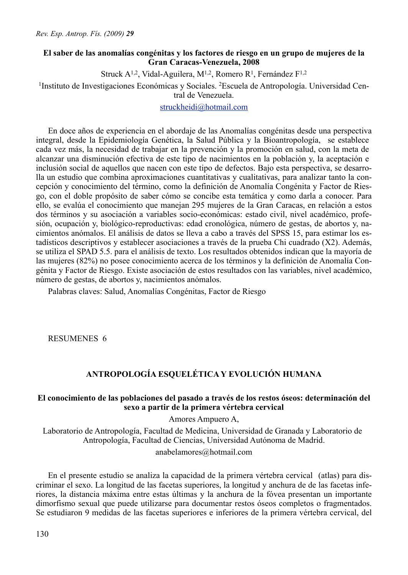# **El saber de las anomalías congénitas y los factores de riesgo en un grupo de mujeres de la Gran Caracas-Venezuela, 2008**

Struck A<sup>1,2</sup>, Vidal-Aguilera, M<sup>1,2</sup>, Romero R<sup>1</sup>, Fernández F<sup>1,2</sup>

1Instituto de Investigaciones Económicas y Sociales. 2Escuela de Antropología. Universidad Central de Venezuela.

[struckheidi@hotmail.com](mailto:struckheidi@hotmail.com)

En doce años de experiencia en el abordaje de las Anomalías congénitas desde una perspectiva integral, desde la Epidemiología Genética, la Salud Pública y la Bioantropología, se establece cada vez más, la necesidad de trabajar en la prevención y la promoción en salud, con la meta de alcanzar una disminución efectiva de este tipo de nacimientos en la población y, la aceptación e inclusión social de aquellos que nacen con este tipo de defectos. Bajo esta perspectiva, se desarrolla un estudio que combina aproximaciones cuantitativas y cualitativas, para analizar tanto la concepción y conocimiento del término, como la definición de Anomalía Congénita y Factor de Riesgo, con el doble propósito de saber cómo se concibe esta temática y como darla a conocer. Para ello, se evalúa el conocimiento que manejan 295 mujeres de la Gran Caracas, en relación a estos dos términos y su asociación a variables socio-económicas: estado civil, nivel académico, profesión, ocupación y, biológico-reproductivas: edad cronológica, número de gestas, de abortos y, nacimientos anómalos. El análisis de datos se lleva a cabo a través del SPSS 15, para estimar los estadísticos descriptivos y establecer asociaciones a través de la prueba Chi cuadrado (X2). Además, se utiliza el SPAD 5.5. para el análisis de texto. Los resultados obtenidos indican que la mayoría de las mujeres (82%) no posee conocimiento acerca de los términos y la definición de Anomalía Congénita y Factor de Riesgo. Existe asociación de estos resultados con las variables, nivel académico, número de gestas, de abortos y, nacimientos anómalos.

Palabras claves: Salud, Anomalías Congénitas, Factor de Riesgo

RESUMENES 6

# **ANTROPOLOGÍA ESQUELÉTICA Y EVOLUCIÓN HUMANA**

### **El conocimiento de las poblaciones del pasado a través de los restos óseos: determinación del sexo a partir de la primera vértebra cervical**

Amores Ampuero A,

Laboratorio de Antropología, Facultad de Medicina, Universidad de Granada y Laboratorio de Antropología, Facultad de Ciencias, Universidad Autónoma de Madrid.

anabelamores@hotmail.com

En el presente estudio se analiza la capacidad de la primera vértebra cervical (atlas) para discriminar el sexo. La longitud de las facetas superiores, la longitud y anchura de de las facetas inferiores, la distancia máxima entre estas últimas y la anchura de la fóvea presentan un importante dimorfismo sexual que puede utilizarse para documentar restos óseos completos o fragmentados. Se estudiaron 9 medidas de las facetas superiores e inferiores de la primera vértebra cervical, del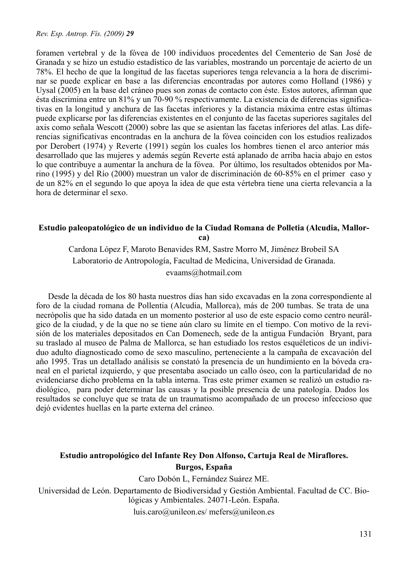foramen vertebral y de la fóvea de 100 individuos procedentes del Cementerio de San José de Granada y se hizo un estudio estadístico de las variables, mostrando un porcentaje de acierto de un 78%. El hecho de que la longitud de las facetas superiores tenga relevancia a la hora de discriminar se puede explicar en base a las diferencias encontradas por autores como Holland (1986) y Uysal (2005) en la base del cráneo pues son zonas de contacto con éste. Estos autores, afirman que ésta discrimina entre un 81% y un 70-90 % respectivamente. La existencia de diferencias significativas en la longitud y anchura de las facetas inferiores y la distancia máxima entre estas últimas puede explicarse por las diferencias existentes en el conjunto de las facetas superiores sagitales del axis como señala Wescott (2000) sobre las que se asientan las facetas inferiores del atlas. Las diferencias significativas encontradas en la anchura de la fóvea coinciden con los estudios realizados por Derobert (1974) y Reverte (1991) según los cuales los hombres tienen el arco anterior más desarrollado que las mujeres y además según Reverte está aplanado de arriba hacia abajo en estos lo que contribuye a aumentar la anchura de la fóvea. Por último, los resultados obtenidos por Marino (1995) y del Río (2000) muestran un valor de discriminación de 60-85% en el primer caso y de un 82% en el segundo lo que apoya la idea de que esta vértebra tiene una cierta relevancia a la hora de determinar el sexo.

#### **Estudio paleopatológico de un individuo de la Ciudad Romana de Polletia (Alcudia, Mallorca)**

Cardona López F, Maroto Benavides RM, Sastre Morro M, Jiménez Brobeil SA Laboratorio de Antropología, Facultad de Medicina, Universidad de Granada. evaams@hotmail.com

Desde la década de los 80 hasta nuestros días han sido excavadas en la zona correspondiente al foro de la ciudad romana de Pollentia (Alcudia, Mallorca), más de 200 tumbas. Se trata de una necrópolis que ha sido datada en un momento posterior al uso de este espacio como centro neurálgico de la ciudad, y de la que no se tiene aún claro su límite en el tiempo. Con motivo de la revisión de los materiales depositados en Can Domenech, sede de la antigua Fundación Bryant, para su traslado al museo de Palma de Mallorca, se han estudiado los restos esquéleticos de un individuo adulto diagnosticado como de sexo masculino, perteneciente a la campaña de excavación del año 1995. Tras un detallado análisis se constató la presencia de un hundimiento en la bóveda craneal en el parietal izquierdo, y que presentaba asociado un callo óseo, con la particularidad de no evidenciarse dicho problema en la tabla interna. Tras este primer examen se realizó un estudio radiológico, para poder determinar las causas y la posible presencia de una patología. Dados los resultados se concluye que se trata de un traumatismo acompañado de un proceso infeccioso que dejó evidentes huellas en la parte externa del cráneo.

# **Estudio antropológico del Infante Rey Don Alfonso, Cartuja Real de Miraflores. Burgos, España**

Caro Dobón L, Fernández Suárez ME. Universidad de León. Departamento de Biodiversidad y Gestión Ambiental. Facultad de CC. Biológicas y Ambientales. 24071-León. España.

luis.caro@unileon.es/ mefers@unileon.es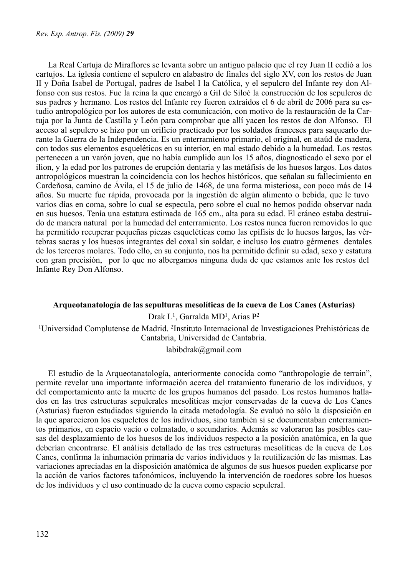La Real Cartuja de Miraflores se levanta sobre un antiguo palacio que el rey Juan II cedió a los cartujos. La iglesia contiene el sepulcro en alabastro de finales del siglo XV, con los restos de Juan II y Doña Isabel de Portugal, padres de Isabel I la Católica, y el sepulcro del Infante rey don Alfonso con sus restos. Fue la reina la que encargó a Gil de Siloé la construcción de los sepulcros de sus padres y hermano. Los restos del Infante rey fueron extraídos el 6 de abril de 2006 para su estudio antropológico por los autores de esta comunicación, con motivo de la restauración de la Cartuja por la Junta de Castilla y León para comprobar que allí yacen los restos de don Alfonso. El acceso al sepulcro se hizo por un orificio practicado por los soldados franceses para saquearlo durante la Guerra de la Independencia. Es un enterramiento primario, el original, en ataúd de madera, con todos sus elementos esqueléticos en su interior, en mal estado debido a la humedad. Los restos pertenecen a un varón joven, que no había cumplido aun los 15 años, diagnosticado el sexo por el ilion, y la edad por los patrones de erupción dentaria y las metáfisis de los huesos largos. Los datos antropológicos muestran la coincidencia con los hechos históricos, que señalan su fallecimiento en Cardeñosa, camino de Ávila, el 15 de julio de 1468, de una forma misteriosa, con poco más de 14 años. Su muerte fue rápida, provocada por la ingestión de algún alimento o bebida, que le tuvo varios días en coma, sobre lo cual se especula, pero sobre el cual no hemos podido observar nada en sus huesos. Tenía una estatura estimada de 165 cm., alta para su edad. El cráneo estaba destruido de manera natural por la humedad del enterramiento. Los restos nunca fueron removidos lo que ha permitido recuperar pequeñas piezas esqueléticas como las epífisis de lo huesos largos, las vértebras sacras y los huesos integrantes del coxal sin soldar, e incluso los cuatro gérmenes dentales de los terceros molares. Todo ello, en su conjunto, nos ha permitido definir su edad, sexo y estatura con gran precisión, por lo que no albergamos ninguna duda de que estamos ante los restos del Infante Rey Don Alfonso.

#### **Arqueotanatología de las sepulturas mesolíticas de la cueva de Los Canes (Asturias)**

Drak L1, Garralda MD1, Arias P2

1Universidad Complutense de Madrid. 2Instituto Internacional de Investigaciones Prehistóricas de Cantabria, Universidad de Cantabria.

#### labibdrak@gmail.com

El estudio de la Arqueotanatología, anteriormente conocida como "anthropologie de terrain", permite revelar una importante información acerca del tratamiento funerario de los individuos, y del comportamiento ante la muerte de los grupos humanos del pasado. Los restos humanos hallados en las tres estructuras sepulcrales mesolíticas mejor conservadas de la cueva de Los Canes (Asturias) fueron estudiados siguiendo la citada metodología. Se evaluó no sólo la disposición en la que aparecieron los esqueletos de los individuos, sino también si se documentaban enterramientos primarios, en espacio vacío o colmatado, o secundarios. Además se valoraron las posibles causas del desplazamiento de los huesos de los individuos respecto a la posición anatómica, en la que deberían encontrarse. El análisis detallado de las tres estructuras mesolíticas de la cueva de Los Canes, confirma la inhumación primaria de varios individuos y la reutilización de las mismas. Las variaciones apreciadas en la disposición anatómica de algunos de sus huesos pueden explicarse por la acción de varios factores tafonómicos, incluyendo la intervención de roedores sobre los huesos de los individuos y el uso continuado de la cueva como espacio sepulcral.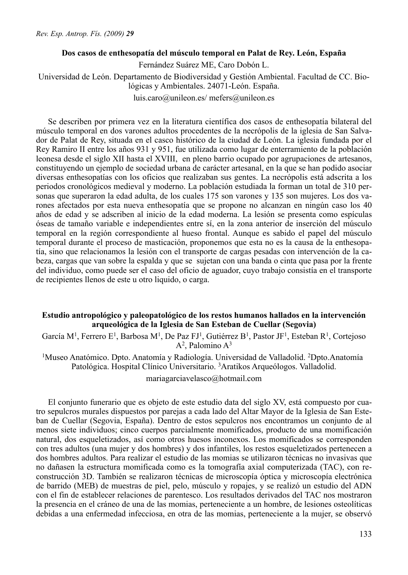#### **Dos casos de enthesopatía del músculo temporal en Palat de Rey. León, España**

Fernández Suárez ME, Caro Dobón L. Universidad de León. Departamento de Biodiversidad y Gestión Ambiental. Facultad de CC. Biológicas y Ambientales. 24071-León. España. luis.caro@unileon.es/ mefers@unileon.es

Se describen por primera vez en la literatura científica dos casos de enthesopatía bilateral del músculo temporal en dos varones adultos procedentes de la necrópolis de la iglesia de San Salvador de Palat de Rey, situada en el casco histórico de la ciudad de León. La iglesia fundada por el Rey Ramiro II entre los años 931 y 951, fue utilizada como lugar de enterramiento de la población leonesa desde el siglo XII hasta el XVIII, en pleno barrio ocupado por agrupaciones de artesanos, constituyendo un ejemplo de sociedad urbana de carácter artesanal, en la que se han podido asociar diversas enthesopatías con los oficios que realizaban sus gentes. La necrópolis está adscrita a los periodos cronológicos medieval y moderno. La población estudiada la forman un total de 310 personas que superaron la edad adulta, de los cuales 175 son varones y 135 son mujeres. Los dos varones afectados por esta nueva enthesopatía que se propone no alcanzan en ningún caso los 40 años de edad y se adscriben al inicio de la edad moderna. La lesión se presenta como espículas óseas de tamaño variable e independientes entre sí, en la zona anterior de inserción del músculo temporal en la región correspondiente al hueso frontal. Aunque es sabido el papel del músculo temporal durante el proceso de masticación, proponemos que esta no es la causa de la enthesopatía, sino que relacionamos la lesión con el transporte de cargas pesadas con intervención de la cabeza, cargas que van sobre la espalda y que se sujetan con una banda o cinta que pasa por la frente del individuo, como puede ser el caso del oficio de aguador, cuyo trabajo consistía en el transporte de recipientes llenos de este u otro liquido, o carga.

# **Estudio antropológico y paleopatológico de los restos humanos hallados en la intervención arqueológica de la Iglesia de San Esteban de Cuellar (Segovia)**

García M<sup>1</sup>, Ferrero E<sup>1</sup>, Barbosa M<sup>1</sup>, De Paz FJ<sup>1</sup>, Gutiérrez B<sup>1</sup>, Pastor JF<sup>1</sup>, Esteban R<sup>1</sup>, Cortejoso  $A<sup>2</sup>$ . Palomino  $A<sup>3</sup>$ 

<sup>1</sup>Museo Anatómico. Dpto. Anatomía y Radiología. Universidad de Valladolid. <sup>2</sup>Dpto. Anatomía Patológica. Hospital Clínico Universitario. 3Aratikos Arqueólogos. Valladolid.

mariagarciavelasco@hotmail.com

El conjunto funerario que es objeto de este estudio data del siglo XV, está compuesto por cuatro sepulcros murales dispuestos por parejas a cada lado del Altar Mayor de la Iglesia de San Esteban de Cuellar (Segovia, España). Dentro de estos sepulcros nos encontramos un conjunto de al menos siete individuos; cinco cuerpos parcialmente momificados, producto de una momificación natural, dos esqueletizados, así como otros huesos inconexos. Los momificados se corresponden con tres adultos (una mujer y dos hombres) y dos infantiles, los restos esqueletizados pertenecen a dos hombres adultos. Para realizar el estudio de las momias se utilizaron técnicas no invasivas que no dañasen la estructura momificada como es la tomografía axial computerizada (TAC), con reconstrucción 3D. También se realizaron técnicas de microscopía óptica y microscopía electrónica de barrido (MEB) de muestras de piel, pelo, músculo y ropajes, y se realizó un estudio del ADN con el fin de establecer relaciones de parentesco. Los resultados derivados del TAC nos mostraron la presencia en el cráneo de una de las momias, perteneciente a un hombre, de lesiones osteolíticas debidas a una enfermedad infecciosa, en otra de las momias, perteneciente a la mujer, se observó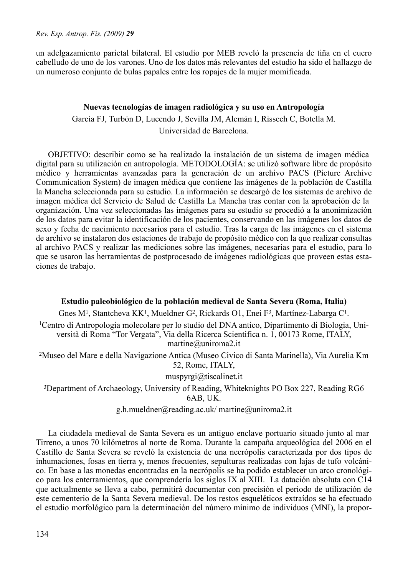un adelgazamiento parietal bilateral. El estudio por MEB reveló la presencia de tiña en el cuero cabelludo de uno de los varones. Uno de los datos más relevantes del estudio ha sido el hallazgo de un numeroso conjunto de bulas papales entre los ropajes de la mujer momificada.

#### **Nuevas tecnologías de imagen radiológica y su uso en Antropología**

García FJ, Turbón D, Lucendo J, Sevilla JM, Alemán I, Rissech C, Botella M.

Universidad de Barcelona.

OBJETIVO: describir como se ha realizado la instalación de un sistema de imagen médica digital para su utilización en antropología. METODOLOGÍA: se utilizó software libre de propósito médico y herramientas avanzadas para la generación de un archivo PACS (Picture Archive Communication System) de imagen médica que contiene las imágenes de la población de Castilla la Mancha seleccionada para su estudio. La información se descargó de los sistemas de archivo de imagen médica del Servicio de Salud de Castilla La Mancha tras contar con la aprobación de la organización. Una vez seleccionadas las imágenes para su estudio se procedió a la anonimización de los datos para evitar la identificación de los pacientes, conservando en las imágenes los datos de sexo y fecha de nacimiento necesarios para el estudio. Tras la carga de las imágenes en el sistema de archivo se instalaron dos estaciones de trabajo de propósito médico con la que realizar consultas al archivo PACS y realizar las mediciones sobre las imágenes, necesarias para el estudio, para lo que se usaron las herramientas de postprocesado de imágenes radiológicas que proveen estas estaciones de trabajo.

**Estudio paleobiológico de la población medieval de Santa Severa (Roma, Italia)**

Gnes M<sup>1</sup>, Stantcheva KK<sup>1</sup>, Mueldner G<sup>2</sup>, Rickards O1, Enei F<sup>3</sup>, Martínez-Labarga C<sup>1</sup>.

1Centro di Antropologia molecolare per lo studio del DNA antico, Dipartimento di Biologia, Università di Roma "Tor Vergata", Via della Ricerca Scientifica n. 1, 00173 Rome, ITALY, martine@uniroma2.it

2Museo del Mare e della Navigazione Antica (Museo Civico di Santa Marinella), Via Aurelia Km 52, Rome, ITALY,

muspyrgi@tiscalinet.it

3Department of Archaeology, University of Reading, Whiteknights PO Box 227, Reading RG6 6AB, UK.

g.h.mueldner@reading.ac.uk/ martine@uniroma2.it

La ciudadela medieval de Santa Severa es un antiguo enclave portuario situado junto al mar Tirreno, a unos 70 kilómetros al norte de Roma. Durante la campaña arqueológica del 2006 en el Castillo de Santa Severa se reveló la existencia de una necrópolis caracterizada por dos tipos de inhumaciones, fosas en tierra y, menos frecuentes, sepulturas realizadas con lajas de tufo volcánico. En base a las monedas encontradas en la necrópolis se ha podido establecer un arco cronológico para los enterramientos, que comprendería los siglos IX al XIII. La datación absoluta con C14 que actualmente se lleva a cabo, permitirá documentar con precisión el periodo de utilización de este cementerio de la Santa Severa medieval. De los restos esqueléticos extraídos se ha efectuado el estudio morfológico para la determinación del número mínimo de individuos (MNI), la propor-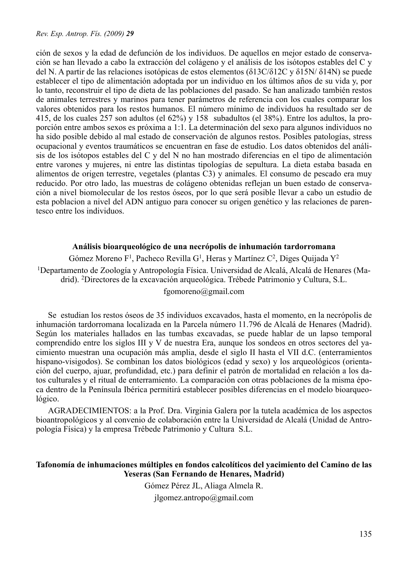ción de sexos y la edad de defunción de los individuos. De aquellos en mejor estado de conservación se han llevado a cabo la extracción del colágeno y el análisis de los isótopos estables del C y del N. A partir de las relaciones isotópicas de estos elementos (δ13C/δ12C y δ15N/ δ14N) se puede establecer el tipo de alimentación adoptada por un individuo en los últimos años de su vida y, por lo tanto, reconstruir el tipo de dieta de las poblaciones del pasado. Se han analizado también restos de animales terrestres y marinos para tener parámetros de referencia con los cuales comparar los valores obtenidos para los restos humanos. El número mínimo de individuos ha resultado ser de 415, de los cuales 257 son adultos (el 62%) y 158 subadultos (el 38%). Entre los adultos, la proporción entre ambos sexos es próxima a 1:1. La determinación del sexo para algunos individuos no ha sido posible debido al mal estado de conservación de algunos restos. Posibles patologías, stress ocupacional y eventos traumáticos se encuentran en fase de estudio. Los datos obtenidos del análisis de los isótopos estables del C y del N no han mostrado diferencias en el tipo de alimentación entre varones y mujeres, ni entre las distintas tipologías de sepultura. La dieta estaba basada en alimentos de origen terrestre, vegetales (plantas C3) y animales. El consumo de pescado era muy reducido. Por otro lado, las muestras de colágeno obtenidas reflejan un buen estado de conservación a nivel biomolecular de los restos óseos, por lo que será posible llevar a cabo un estudio de esta poblacion a nivel del ADN antiguo para conocer su origen genético y las relaciones de parentesco entre los individuos.

### **Análisis bioarqueológico de una necrópolis de inhumación tardorromana**

Gómez Moreno F<sup>1</sup>, Pacheco Revilla G<sup>1</sup>, Heras y Martínez C<sup>2</sup>, Diges Quijada  $Y^2$ 1Departamento de Zoología y Antropología Física. Universidad de Alcalá, Alcalá de Henares (Madrid). 2Directores de la excavación arqueológica. Trébede Patrimonio y Cultura, S.L. fgomoreno@gmail.com

Se estudian los restos óseos de 35 individuos excavados, hasta el momento, en la necrópolis de inhumación tardorromana localizada en la Parcela número 11.796 de Alcalá de Henares (Madrid). Según los materiales hallados en las tumbas excavadas, se puede hablar de un lapso temporal comprendido entre los siglos III y V de nuestra Era, aunque los sondeos en otros sectores del yacimiento muestran una ocupación más amplia, desde el siglo II hasta el VII d.C. (enterramientos hispano-visigodos). Se combinan los datos biológicos (edad y sexo) y los arqueológicos (orientación del cuerpo, ajuar, profundidad, etc.) para definir el patrón de mortalidad en relación a los datos culturales y el ritual de enterramiento. La comparación con otras poblaciones de la misma época dentro de la Península Ibérica permitirá establecer posibles diferencias en el modelo bioarqueológico.

AGRADECIMIENTOS: a la Prof. Dra. Virginia Galera por la tutela académica de los aspectos bioantropológicos y al convenio de colaboración entre la Universidad de Alcalá (Unidad de Antropología Física) y la empresa Trébede Patrimonio y Cultura S.L.

# **Tafonomía de inhumaciones múltiples en fondos calcolíticos del yacimiento del Camino de las Yeseras (San Fernando de Henares, Madrid)**

Gómez Pérez JL, Aliaga Almela R.

jlgomez.antropo@gmail.com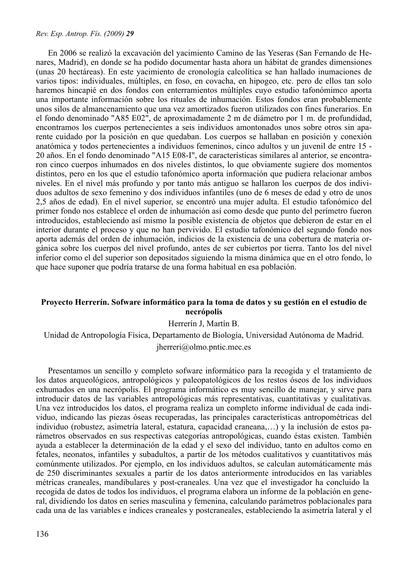En 2006 se realizó la excavación del yacimiento Camino de las Yeseras (San Fernando de Henares, Madrid), en donde se ha podido documentar hasta ahora un hábitat de grandes dimensiones (unas 20 hectáreas). En este yacimiento de cronología calcolítica se han hallado inumaciones de varios tipos: individuales, múltiples, en foso, en covacha, en hipogeo, etc. pero de ellos tan solo haremos hincapié en dos fondos con enterramientos múltiples cuyo estudio tafonómimco aporta una importante información sobre los rituales de inhumación. Estos fondos eran probablemente unos silos de almancenamiento que una vez amortizados fueron utilizados con fines funerarios. En el fondo denominado "A85 E02", de aproximadamente 2 m de diámetro por 1 m. de profundidad, encontramos los cuerpos pertenecientes a seis individuos amontonados unos sobre otros sin aparente cuidado por la posición en que quedaban. Los cuerpos se hallaban en posición y conexión anatómica y todos pertenecientes a individuos femeninos, cinco adultos y un juvenil de entre 15 - 20 años. En el fondo denominado "A15 E08-I", de características similares al anterior, se encontraron cinco cuerpos inhumados en dos niveles distintos, lo que obviamente sugiere dos momentos distintos, pero en los que el estudio tafonómico aporta información que pudiera relacionar ambos niveles. En el nivel más profundo y por tanto más antiguo se hallaron los cuerpos de dos individuos adultos de sexo femenino y dos individuos infantiles (uno de 6 meses de edad y otro de unos 2,5 años de edad). En el nivel superior, se encontró una mujer adulta. El estudio tafonómico del primer fondo nos establece el orden de inhumación así como desde que punto del perímetro fueron introducidos, estableciendo así mismo la posible existencia de objetos que debieron de estar en el interior durante el proceso y que no han pervivido. El estudio tafonómico del segundo fondo nos aporta además del orden de inhumación, indicios de la existencia de una cobertura de materia orgánica sobre los cuerpos del nivel profundo, antes de ser cubiertos por tierra. Tanto los del nivel inferior como el del superior son depositados siguiendo la misma dinámica que en el otro fondo, lo que hace suponer que podría tratarse de una forma habitual en esa población.

### **Proyecto Herrerín. Sofware informático para la toma de datos y su gestión en el estudio de necrópolis**

Herrerín J, Martín B.

Unidad de Antropología Física, Departamento de Biología, Universidad Autónoma de Madrid. jherreri@olmo.pntic.mec.es

Presentamos un sencillo y completo sofware informático para la recogida y el tratamiento de los datos arqueológicos, antropológicos y paleopatológicos de los restos óseos de los individuos exhumados en una necrópolis. El programa informático es muy sencillo de manejar, y sirve para introducir datos de las variables antropológicas más representativas, cuantitativas y cualitativas. Una vez introducidos los datos, el programa realiza un completo informe individual de cada individuo, indicando las piezas óseas recuperadas, las principales características antropométricas del individuo (robustez, asimetría lateral, estatura, capacidad craneana,…) y la inclusión de estos parámetros observados en sus respectivas categorías antropológicas, cuando éstas existen. También ayuda a establecer la determinación de la edad y el sexo del individuo, tanto en adultos como en fetales, neonatos, infantiles y subadultos, a partir de los métodos cualitativos y cuantitativos más comúnmente utilizados. Por ejemplo, en los individuos adultos, se calculan automáticamente más de 250 discriminantes sexuales a partir de los datos anteriormente introducidos en las variables métricas craneales, mandibulares y post-craneales. Una vez que el investigador ha concluido la recogida de datos de todos los individuos, el programa elabora un informe de la población en general, dividiendo los datos en series masculina y femenina, calculando parámetros poblacionales para cada una de las variables e índices craneales y postcraneales, estableciendo la asimetría lateral y el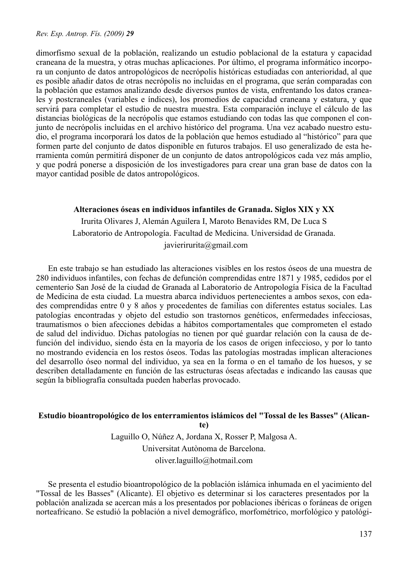dimorfismo sexual de la población, realizando un estudio poblacional de la estatura y capacidad craneana de la muestra, y otras muchas aplicaciones. Por último, el programa informático incorpora un conjunto de datos antropológicos de necrópolis históricas estudiadas con anterioridad, al que es posible añadir datos de otras necrópolis no incluidas en el programa, que serán comparadas con la población que estamos analizando desde diversos puntos de vista, enfrentando los datos craneales y postcraneales (variables e índices), los promedios de capacidad craneana y estatura, y que servirá para completar el estudio de nuestra muestra. Esta comparación incluye el cálculo de las distancias biológicas de la necrópolis que estamos estudiando con todas las que componen el conjunto de necrópolis incluidas en el archivo histórico del programa. Una vez acabado nuestro estudio, el programa incorporará los datos de la población que hemos estudiado al "histórico" para que formen parte del conjunto de datos disponible en futuros trabajos. El uso generalizado de esta herramienta común permitirá disponer de un conjunto de datos antropológicos cada vez más amplio, y que podrá ponerse a disposición de los investigadores para crear una gran base de datos con la mayor cantidad posible de datos antropológicos.

### **Alteraciones óseas en individuos infantiles de Granada. Siglos XIX y XX**

Irurita Olivares J, Alemán Aguilera I, Maroto Benavides RM, De Luca S Laboratorio de Antropología. Facultad de Medicina. Universidad de Granada. javierirurita@gmail.com

En este trabajo se han estudiado las alteraciones visibles en los restos óseos de una muestra de 280 individuos infantiles, con fechas de defunción comprendidas entre 1871 y 1985, cedidos por el cementerio San José de la ciudad de Granada al Laboratorio de Antropología Física de la Facultad de Medicina de esta ciudad. La muestra abarca individuos pertenecientes a ambos sexos, con edades comprendidas entre 0 y 8 años y procedentes de familias con diferentes estatus sociales. Las patologías encontradas y objeto del estudio son trastornos genéticos, enfermedades infecciosas, traumatismos o bien afecciones debidas a hábitos comportamentales que comprometen el estado de salud del individuo. Dichas patologías no tienen por qué guardar relación con la causa de defunción del individuo, siendo ésta en la mayoría de los casos de origen infeccioso, y por lo tanto no mostrando evidencia en los restos óseos. Todas las patologías mostradas implican alteraciones del desarrollo óseo normal del individuo, ya sea en la forma o en el tamaño de los huesos, y se describen detalladamente en función de las estructuras óseas afectadas e indicando las causas que según la bibliografía consultada pueden haberlas provocado.

#### **Estudio bioantropológico de los enterramientos islámicos del "Tossal de les Basses" (Alican-**

**te)**

Laguillo O, Núñez A, Jordana X, Rosser P, Malgosa A. Universitat Autònoma de Barcelona. oliver.laguillo@hotmail.com

Se presenta el estudio bioantropológico de la población islámica inhumada en el yacimiento del "Tossal de les Basses" (Alicante). El objetivo es determinar si los caracteres presentados por la población analizada se acercan más a los presentados por poblaciones ibéricas o foráneas de origen norteafricano. Se estudió la población a nivel demográfico, morfométrico, morfológico y patológi-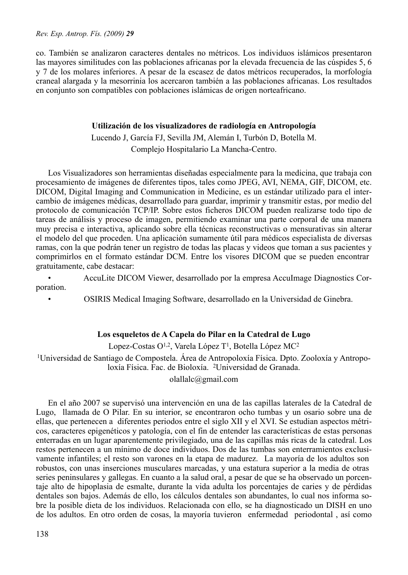co. También se analizaron caracteres dentales no métricos. Los individuos islámicos presentaron las mayores similitudes con las poblaciones africanas por la elevada frecuencia de las cúspides 5, 6 y 7 de los molares inferiores. A pesar de la escasez de datos métricos recuperados, la morfología craneal alargada y la mesorrinia los acercaron también a las poblaciones africanas. Los resultados en conjunto son compatibles con poblaciones islámicas de origen norteafricano.

# **Utilización de los visualizadores de radiología en Antropología**

Lucendo J, García FJ, Sevilla JM, Alemán I, Turbón D, Botella M. Complejo Hospitalario La Mancha-Centro.

Los Visualizadores son herramientas diseñadas especialmente para la medicina, que trabaja con procesamiento de imágenes de diferentes tipos, tales como JPEG, AVI, NEMA, GIF, DICOM, etc. DICOM, Digital Imaging and Communication in Medicine, es un estándar utilizado para el intercambio de imágenes médicas, desarrollado para guardar, imprimir y transmitir estas, por medio del protocolo de comunicación TCP/IP. Sobre estos ficheros DICOM pueden realizarse todo tipo de tareas de análisis y proceso de imagen, permitiendo examinar una parte corporal de una manera muy precisa e interactiva, aplicando sobre ella técnicas reconstructivas o mensurativas sin alterar el modelo del que proceden. Una aplicación sumamente útil para médicos especialista de diversas ramas, con la que podrán tener un registro de todas las placas y videos que toman a sus pacientes y comprimirlos en el formato estándar DCM. Entre los visores DICOM que se pueden encontrar gratuitamente, cabe destacar:

• AccuLite DICOM Viewer, desarrollado por la empresa AccuImage Diagnostics Corporation.

• OSIRIS Medical Imaging Software, desarrollado en la Universidad de Ginebra.

# **Los esqueletos de A Capela do Pilar en la Catedral de Lugo**

Lopez-Costas O<sup>1,2</sup>, Varela López T<sup>1</sup>, Botella López MC<sup>2</sup>

1Universidad de Santiago de Compostela. Área de Antropoloxía Física. Dpto. Zooloxía y Antropoloxía Física. Fac. de Bioloxía. 2Universidad de Granada.

olallalc@gmail.com

En el año 2007 se supervisó una intervención en una de las capillas laterales de la Catedral de Lugo, llamada de O Pilar. En su interior, se encontraron ocho tumbas y un osario sobre una de ellas, que pertenecen a diferentes periodos entre el siglo XII y el XVI. Se estudian aspectos métricos, caracteres epigenéticos y patología, con el fin de entender las características de estas personas enterradas en un lugar aparentemente privilegiado, una de las capillas más ricas de la catedral. Los restos pertenecen a un mínimo de doce individuos. Dos de las tumbas son enterramientos exclusivamente infantiles; el resto son varones en la etapa de madurez. La mayoría de los adultos son robustos, con unas inserciones musculares marcadas, y una estatura superior a la media de otras series peninsulares y gallegas. En cuanto a la salud oral, a pesar de que se ha observado un porcentaje alto de hipoplasia de esmalte, durante la vida adulta los porcentajes de caries y de pérdidas dentales son bajos. Además de ello, los cálculos dentales son abundantes, lo cual nos informa sobre la posible dieta de los individuos. Relacionada con ello, se ha diagnosticado un DISH en uno de los adultos. En otro orden de cosas, la mayoría tuvieron enfermedad periodontal , así como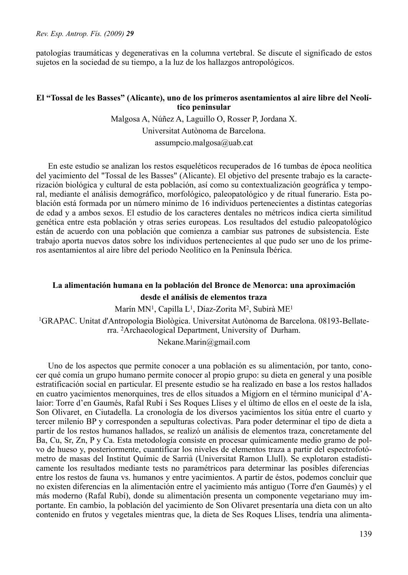patologías traumáticas y degenerativas en la columna vertebral. Se discute el significado de estos sujetos en la sociedad de su tiempo, a la luz de los hallazgos antropológicos.

# **El "Tossal de les Basses" (Alicante), uno de los primeros asentamientos al aire libre del Neolítico peninsular**

Malgosa A, Núñez A, Laguillo O, Rosser P, Jordana X. Universitat Autònoma de Barcelona. assumpcio.malgosa@uab.cat

En este estudio se analizan los restos esqueléticos recuperados de 16 tumbas de época neolítica del yacimiento del "Tossal de les Basses" (Alicante). El objetivo del presente trabajo es la caracterización biológica y cultural de esta población, así como su contextualización geográfica y temporal, mediante el análisis demográfico, morfológico, paleopatológico y de ritual funerario. Esta población está formada por un número mínimo de 16 individuos pertenecientes a distintas categorías de edad y a ambos sexos. El estudio de los caracteres dentales no métricos indica cierta similitud genética entre esta población y otras series europeas. Los resultados del estudio paleopatológico están de acuerdo con una población que comienza a cambiar sus patrones de subsistencia. Este trabajo aporta nuevos datos sobre los individuos pertenecientes al que pudo ser uno de los primeros asentamientos al aire libre del periodo Neolítico en la Península Ibérica.

# **La alimentación humana en la población del Bronce de Menorca: una aproximación desde el análisis de elementos traza**

Marín MN<sup>1</sup>, Capilla L<sup>1</sup>, Díaz-Zorita M<sup>2</sup>, Subirà ME<sup>1</sup>

1GRAPAC. Unitat d'Antropologia Biològica. Universitat Autònoma de Barcelona. 08193-Bellaterra. 2Archaeological Department, University of Durham.

Nekane.Marin@gmail.com

Uno de los aspectos que permite conocer a una población es su alimentación, por tanto, conocer qué comía un grupo humano permite conocer al propio grupo: su dieta en general y una posible estratificación social en particular. El presente estudio se ha realizado en base a los restos hallados en cuatro yacimientos menorquines, tres de ellos situados a Migjorn en el término municipal d'Alaior: Torre d'en Gaumés, Rafal Rubí i Ses Roques Llises y el último de ellos en el oeste de la isla, Son Olivaret, en Ciutadella. La cronología de los diversos yacimientos los sitúa entre el cuarto y tercer milenio BP y corresponden a sepulturas colectivas. Para poder determinar el tipo de dieta a partir de los restos humanos hallados, se realizó un análisis de elementos traza, concretamente del Ba, Cu, Sr, Zn, P y Ca. Esta metodología consiste en procesar químicamente medio gramo de polvo de hueso y, posteriormente, cuantificar los niveles de elementos traza a partir del espectrofotómetro de masas del Institut Químic de Sarrià (Universitat Ramon Llull). Se explotaron estadísticamente los resultados mediante tests no paramétricos para determinar las posibles diferencias entre los restos de fauna vs. humanos y entre yacimientos. A partir de éstos, podemos concluir que no existen diferencias en la alimentación entre el yacimiento más antiguo (Torre d'en Gaumés) y el más moderno (Rafal Rubí), donde su alimentación presenta un componente vegetariano muy importante. En cambio, la población del yacimiento de Son Olivaret presentaría una dieta con un alto contenido en frutos y vegetales mientras que, la dieta de Ses Roques Llises, tendría una alimenta-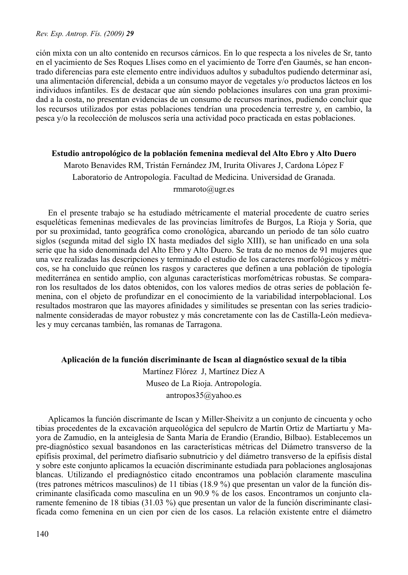ción mixta con un alto contenido en recursos cárnicos. En lo que respecta a los niveles de Sr, tanto en el yacimiento de Ses Roques Llises como en el yacimiento de Torre d'en Gaumés, se han encontrado diferencias para este elemento entre individuos adultos y subadultos pudiendo determinar así, una alimentación diferencial, debida a un consumo mayor de vegetales y/o productos lácteos en los individuos infantiles. Es de destacar que aún siendo poblaciones insulares con una gran proximidad a la costa, no presentan evidencias de un consumo de recursos marinos, pudiendo concluir que los recursos utilizados por estas poblaciones tendrían una procedencia terrestre y, en cambio, la pesca y/o la recolección de moluscos sería una actividad poco practicada en estas poblaciones.

### **Estudio antropológico de la población femenina medieval del Alto Ebro y Alto Duero**

Maroto Benavides RM, Tristán Fernández JM, Irurita Olivares J, Cardona López F Laboratorio de Antropología. Facultad de Medicina. Universidad de Granada. rmmaroto@ugr.es

En el presente trabajo se ha estudiado métricamente el material procedente de cuatro series esqueléticas femeninas medievales de las provincias limítrofes de Burgos, La Rioja y Soria, que por su proximidad, tanto geográfica como cronológica, abarcando un periodo de tan sólo cuatro siglos (segunda mitad del siglo IX hasta mediados del siglo XIII), se han unificado en una sola serie que ha sido denominada del Alto Ebro y Alto Duero. Se trata de no menos de 91 mujeres que una vez realizadas las descripciones y terminado el estudio de los caracteres morfológicos y métricos, se ha concluido que reúnen los rasgos y caracteres que definen a una población de tipología mediterránea en sentido amplio, con algunas características morfométricas robustas. Se compararon los resultados de los datos obtenidos, con los valores medios de otras series de población femenina, con el objeto de profundizar en el conocimiento de la variabilidad interpoblacional. Los resultados mostraron que las mayores afinidades y similitudes se presentan con las series tradicionalmente consideradas de mayor robustez y más concretamente con las de Castilla-León medievales y muy cercanas también, las romanas de Tarragona.

#### **Aplicación de la función discriminante de Iscan al diagnóstico sexual de la tibia**

Martínez Flórez J, Martínez Díez A Museo de La Rioja. Antropología. antropos35@yahoo.es

Aplicamos la función discrimante de Iscan y Miller-Sheivitz a un conjunto de cincuenta y ocho tibias procedentes de la excavación arqueológica del sepulcro de Martín Ortiz de Martiartu y Mayora de Zamudio, en la anteiglesia de Santa María de Erandio (Erandio, Bilbao). Establecemos un pre-diagnóstico sexual basandonos en las características métricas del Diámetro transverso de la epífisis proximal, del perímetro diafisario subnutricio y del diámetro transverso de la epífisis distal y sobre este conjunto aplicamos la ecuación discriminante estudiada para poblaciones anglosajonas blancas. Utilizando el prediagnóstico citado encontramos una población claramente masculina (tres patrones métricos masculinos) de 11 tibias (18.9 %) que presentan un valor de la función discriminante clasificada como masculina en un 90.9 % de los casos. Encontramos un conjunto claramente femenino de 18 tibias (31.03 %) que presentan un valor de la función discriminante clasificada como femenina en un cien por cien de los casos. La relación existente entre el diámetro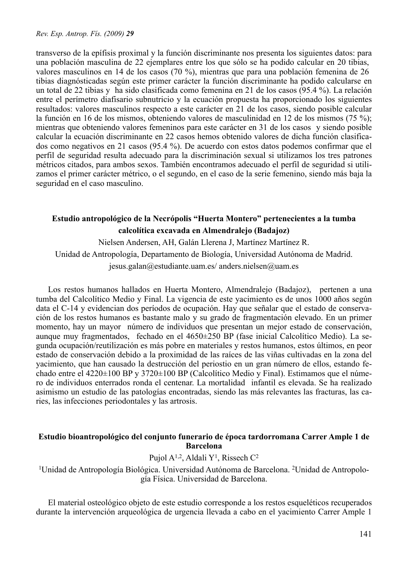transverso de la epífisis proximal y la función discriminante nos presenta los siguientes datos: para una población masculina de 22 ejemplares entre los que sólo se ha podido calcular en 20 tibias, valores masculinos en 14 de los casos (70 %), mientras que para una población femenina de 26 tibias diagnósticadas según este primer carácter la función discriminante ha podido calcularse en un total de 22 tibias y ha sido clasificada como femenina en 21 de los casos (95.4 %). La relación entre el perímetro diafisario subnutricio y la ecuación propuesta ha proporcionado los siguientes resultados: valores masculinos respecto a este carácter en 21 de los casos, siendo posible calcular la función en 16 de los mismos, obteniendo valores de masculinidad en 12 de los mismos (75 %); mientras que obteniendo valores femeninos para este carácter en 31 de los casos y siendo posible calcular la ecuación discriminante en 22 casos hemos obtenido valores de dicha función clasificados como negativos en 21 casos (95.4 %). De acuerdo con estos datos podemos confirmar que el perfil de seguridad resulta adecuado para la discriminación sexual si utilizamos los tres patrones métricos citados, para ambos sexos. También encontramos adecuado el perfil de seguridad si utilizamos el primer carácter métrico, o el segundo, en el caso de la serie femenino, siendo más baja la seguridad en el caso masculino.

# **Estudio antropológico de la Necrópolis "Huerta Montero" pertenecientes a la tumba calcolítica excavada en Almendralejo (Badajoz)**

Nielsen Andersen, AH, Galán Llerena J, Martínez Martínez R. Unidad de Antropología, Departamento de Biología, Universidad Autónoma de Madrid. jesus.galan@estudiante.uam.es/ anders.nielsen@uam.es

Los restos humanos hallados en Huerta Montero, Almendralejo (Badajoz), pertenen a una tumba del Calcolítico Medio y Final. La vigencia de este yacimiento es de unos 1000 años según data el C-14 y evidencian dos períodos de ocupación. Hay que señalar que el estado de conservación de los restos humanos es bastante malo y su grado de fragmentación elevado. En un primer momento, hay un mayor número de individuos que presentan un mejor estado de conservación, aunque muy fragmentados, fechado en el 4650±250 BP (fase inicial Calcolítico Medio). La segunda ocupación/reutilización es más pobre en materiales y restos humanos, estos últimos, en peor estado de conservación debido a la proximidad de las raíces de las viñas cultivadas en la zona del yacimiento, que han causado la destrucción del periostio en un gran número de ellos, estando fechado entre el 4220±100 BP y 3720±100 BP (Calcolítico Medio y Final). Estimamos que el número de individuos enterrados ronda el centenar. La mortalidad infantil es elevada. Se ha realizado asimismo un estudio de las patologías encontradas, siendo las más relevantes las fracturas, las caries, las infecciones periodontales y las artrosis.

# **Estudio bioantropológico del conjunto funerario de época tardorromana Carrer Ample 1 de Barcelona**

# Pujol A<sup>1,2</sup>, Aldali Y<sup>1</sup>, Rissech C<sup>2</sup>

1Unidad de Antropología Biológica. Universidad Autónoma de Barcelona. 2Unidad de Antropología Física. Universidad de Barcelona.

El material osteológico objeto de este estudio corresponde a los restos esqueléticos recuperados durante la intervención arqueológica de urgencia llevada a cabo en el yacimiento Carrer Ample 1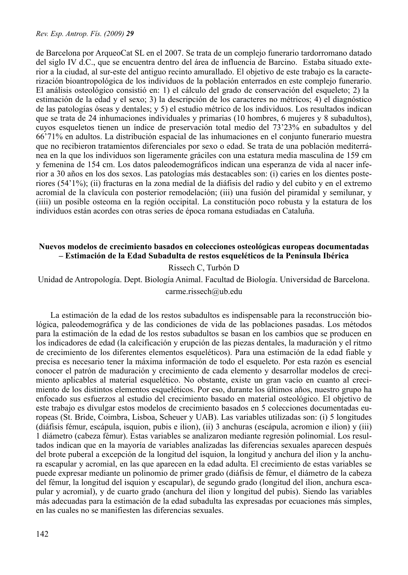de Barcelona por ArqueoCat SL en el 2007. Se trata de un complejo funerario tardorromano datado del siglo IV d.C., que se encuentra dentro del área de influencia de Barcino. Estaba situado exterior a la ciudad, al sur-este del antiguo recinto amurallado. El objetivo de este trabajo es la caracterización bioantropológica de los individuos de la población enterrados en este complejo funerario. El análisis osteológico consistió en: 1) el cálculo del grado de conservación del esqueleto; 2) la estimación de la edad y el sexo; 3) la descripción de los caracteres no métricos; 4) el diagnóstico de las patologías óseas y dentales; y 5) el estudio métrico de los individuos. Los resultados indican que se trata de 24 inhumaciones individuales y primarias (10 hombres, 6 mujeres y 8 subadultos), cuyos esqueletos tienen un índice de preservación total medio del 73'23% en subadultos y del 66'71% en adultos. La distribución espacial de las inhumaciones en el conjunto funerario muestra que no recibieron tratamientos diferenciales por sexo o edad. Se trata de una población mediterránea en la que los individuos son ligeramente gráciles con una estatura media masculina de 159 cm y femenina de 154 cm. Los datos paleodemográficos indican una esperanza de vida al nacer inferior a 30 años en los dos sexos. Las patologías más destacables son: (i) caries en los dientes posteriores (54'1%); (ii) fracturas en la zona medial de la diáfisis del radio y del cubito y en el extremo acromial de la clavícula con posterior remodelación; (iii) una fusión del piramidal y semilunar, y (iiii) un posible osteoma en la región occipital. La constitución poco robusta y la estatura de los individuos están acordes con otras series de época romana estudiadas en Cataluña.

# **Nuevos modelos de crecimiento basados en colecciones osteológicas europeas documentadas – Estimación de la Edad Subadulta de restos esqueléticos de la Península Ibérica**

# Rissech C, Turbón D

Unidad de Antropología. Dept. Biología Animal. Facultad de Biología. Universidad de Barcelona. carme.rissech@ub.edu

 La estimación de la edad de los restos subadultos es indispensable para la reconstrucción biológica, paleodemográfica y de las condiciones de vida de las poblaciones pasadas. Los métodos para la estimación de la edad de los restos subadultos se basan en los cambios que se producen en los indicadores de edad (la calcificación y erupción de las piezas dentales, la maduración y el ritmo de crecimiento de los diferentes elementos esqueléticos). Para una estimación de la edad fiable y precisa es necesario tener la máxima información de todo el esqueleto. Por esta razón es esencial conocer el patrón de maduración y crecimiento de cada elemento y desarrollar modelos de crecimiento aplicables al material esquelético. No obstante, existe un gran vacío en cuanto al crecimiento de los distintos elementos esqueléticos. Por eso, durante los últimos años, nuestro grupo ha enfocado sus esfuerzos al estudio del crecimiento basado en material osteológico. El objetivo de este trabajo es divulgar estos modelos de crecimiento basados en 5 colecciones documentadas europeas (St. Bride, Coimbra, Lisboa, Scheuer y UAB). Las variables utilizadas son: (i) 5 longitudes (diáfisis fémur, escápula, isquion, pubis e ilion), (ii) 3 anchuras (escápula, acromion e ilion) y (iii) 1 diámetro (cabeza fémur). Estas variables se analizaron mediante regresión polinomial. Los resultados indican que en la mayoría de variables analizadas las diferencias sexuales aparecen después del brote puberal a excepción de la longitud del isquion, la longitud y anchura del ilion y la anchura escapular y acromial, en las que aparecen en la edad adulta. El crecimiento de estas variables se puede expresar mediante un polinomio de primer grado (diáfisis de fémur, el diámetro de la cabeza del fémur, la longitud del isquion y escapular), de segundo grado (longitud del ilion, anchura escapular y acromial), y de cuarto grado (anchura del ilion y longitud del pubis). Siendo las variables más adecuadas para la estimación de la edad subadulta las expresadas por ecuaciones más simples, en las cuales no se manifiesten las diferencias sexuales.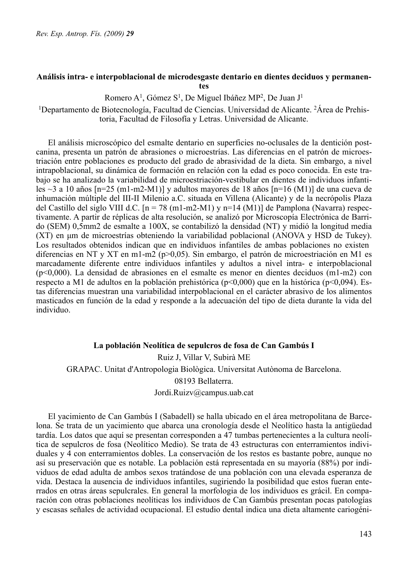# **Análisis intra- e interpoblacional de microdesgaste dentario en dientes deciduos y permanentes**

Romero A1, Gómez S1, De Miguel Ibáñez MP2, De Juan J1

1Departamento de Biotecnología, Facultad de Ciencias. Universidad de Alicante. 2Área de Prehistoria, Facultad de Filosofía y Letras. Universidad de Alicante.

El análisis microscópico del esmalte dentario en superficies no-oclusales de la dentición postcanina, presenta un patrón de abrasiones o microestrías. Las diferencias en el patrón de microestriación entre poblaciones es producto del grado de abrasividad de la dieta. Sin embargo, a nivel intrapoblacional, su dinámica de formación en relación con la edad es poco conocida. En este trabajo se ha analizado la variabilidad de microestriación-vestibular en dientes de individuos infantiles ~3 a 10 años [n=25 (m1-m2-M1)] y adultos mayores de 18 años [n=16 (M1)] de una cueva de inhumación múltiple del III-II Milenio a.C. situada en Villena (Alicante) y de la necrópolis Plaza del Castillo del siglo VIII d.C.  $[n = 78 (m1-m2-M1)$  y n=14 (M1)] de Pamplona (Navarra) respectivamente. A partir de réplicas de alta resolución, se analizó por Microscopía Electrónica de Barrido (SEM) 0,5mm2 de esmalte a 100X, se contabilizó la densidad (NT) y midió la longitud media (XT) en µm de microestrías obteniendo la variabilidad poblacional (ANOVA y HSD de Tukey). Los resultados obtenidos indican que en individuos infantiles de ambas poblaciones no existen diferencias en NT y XT en m1-m2 (p>0,05). Sin embargo, el patrón de microestriación en M1 es marcadamente diferente entre individuos infantiles y adultos a nivel intra- e interpoblacional (p<0,000). La densidad de abrasiones en el esmalte es menor en dientes deciduos (m1-m2) con respecto a M1 de adultos en la población prehistórica ( $p<0,000$ ) que en la histórica ( $p<0,094$ ). Estas diferencias muestran una variabilidad interpoblacional en el carácter abrasivo de los alimentos masticados en función de la edad y responde a la adecuación del tipo de dieta durante la vida del individuo.

# **La población Neolítica de sepulcros de fosa de Can Gambús I** Ruiz J, Villar V, Subirà ME GRAPAC. Unitat d'Antropologia Biològica. Universitat Autònoma de Barcelona. 08193 Bellaterra. Jordi.Ruizv@campus.uab.cat

El yacimiento de Can Gambús I (Sabadell) se halla ubicado en el área metropolitana de Barcelona. Se trata de un yacimiento que abarca una cronología desde el Neolítico hasta la antigüedad tardía. Los datos que aquí se presentan corresponden a 47 tumbas pertenecientes a la cultura neolítica de sepulcros de fosa (Neolítico Medio). Se trata de 43 estructuras con enterramientos individuales y 4 con enterramientos dobles. La conservación de los restos es bastante pobre, aunque no así su preservación que es notable. La población está representada en su mayoría (88%) por individuos de edad adulta de ambos sexos tratándose de una población con una elevada esperanza de vida. Destaca la ausencia de individuos infantiles, sugiriendo la posibilidad que estos fueran enterrados en otras áreas sepulcrales. En general la morfologia de los individuos es grácil. En comparación con otras poblaciones neolíticas los individuos de Can Gambús presentan pocas patologías y escasas señales de actividad ocupacional. El estudio dental indica una dieta altamente cariogéni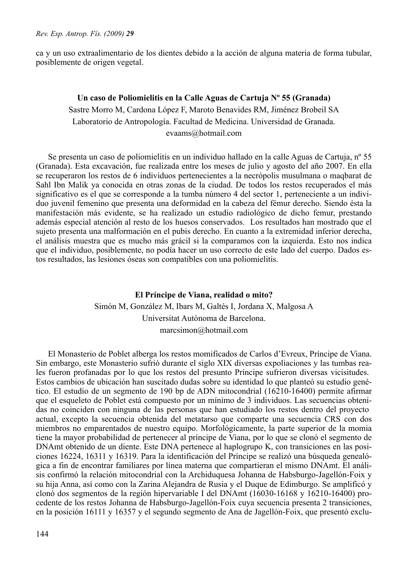ca y un uso extraalimentario de los dientes debido a la acción de alguna materia de forma tubular, posiblemente de origen vegetal.

### **Un caso de Poliomielitis en la Calle Aguas de Cartuja Nº 55 (Granada)**

Sastre Morro M, Cardona López F, Maroto Benavides RM, Jiménez Brobeil SA Laboratorio de Antropología. Facultad de Medicina. Universidad de Granada. evaams@hotmail.com

Se presenta un caso de poliomielitis en un individuo hallado en la calle Aguas de Cartuja, nº 55 (Granada). Esta excavación, fue realizada entre los meses de julio y agosto del año 2007. En ella se recuperaron los restos de 6 individuos pertenecientes a la necrópolis musulmana o maqbarat de Sahl Ibn Malik ya conocida en otras zonas de la ciudad. De todos los restos recuperados el más significativo es el que se corresponde a la tumba número 4 del sector 1, perteneciente a un individuo juvenil femenino que presenta una deformidad en la cabeza del fémur derecho. Siendo ésta la manifestación más evidente, se ha realizado un estudio radiológico de dicho femur, prestando además especial atención al resto de los huesos conservados. Los resultados han mostrado que el sujeto presenta una malformación en el pubis derecho. En cuanto a la extremidad inferior derecha, el análisis muestra que es mucho más grácil si la comparamos con la izquierda. Esto nos indica que el individuo, posiblemente, no podía hacer un uso correcto de este lado del cuerpo. Dados estos resultados, las lesiones óseas son compatibles con una poliomielitis.

# **El Príncipe de Viana, realidad o mito?** Simón M, González M, Ibars M, Galtés I, Jordana X, Malgosa A Universitat Autònoma de Barcelona. marcsimon@hotmail.com

El Monasterio de Poblet alberga los restos momificados de Carlos d'Evreux, Príncipe de Viana. Sin embargo, este Monasterio sufrió durante el siglo XIX diversas expoliaciones y las tumbas reales fueron profanadas por lo que los restos del presunto Príncipe sufrieron diversas vicisitudes. Estos cambios de ubicación han suscitado dudas sobre su identidad lo que planteó su estudio genético. El estudio de un segmento de 190 bp de ADN mitocondrial (16210-16400) permite afirmar que el esqueleto de Poblet está compuesto por un mínimo de 3 individuos. Las secuencias obtenidas no coinciden con ninguna de las personas que han estudiado los restos dentro del proyecto actual, excepto la secuencia obtenida del metatarso que comparte una secuencia CRS con dos miembros no emparentados de nuestro equipo. Morfológicamente, la parte superior de la momia tiene la mayor probabilidad de pertenecer al príncipe de Viana, por lo que se clonó el segmento de DNAmt obtenido de un diente. Este DNA pertenece al haplogrupo K, con transiciones en las posiciones 16224, 16311 y 16319. Para la identificación del Príncipe se realizó una búsqueda genealógica a fin de encontrar familiares por línea materna que compartieran el mismo DNAmt. El análisis confirmó la relación mitocondrial con la Archiduquesa Johanna de Habsburgo-Jagellón-Foix y su hija Anna, así como con la Zarina Alejandra de Rusia y el Duque de Edimburgo. Se amplificó y clonó dos segmentos de la región hipervariable I del DNAmt (16030-16168 y 16210-16400) procedente de los restos Johanna de Habsburgo-Jagellón-Foix cuya secuencia presenta 2 transiciones, en la posición 16111 y 16357 y el segundo segmento de Ana de Jagellón-Foix, que presentó exclu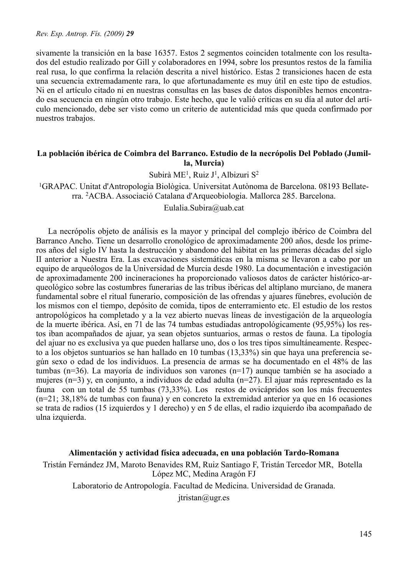sivamente la transición en la base 16357. Estos 2 segmentos coinciden totalmente con los resultados del estudio realizado por Gill y colaboradores en 1994, sobre los presuntos restos de la familia real rusa, lo que confirma la relación descrita a nivel histórico. Estas 2 transiciones hacen de esta una secuencia extremadamente rara, lo que afortunadamente es muy útil en este tipo de estudios. Ni en el artículo citado ni en nuestras consultas en las bases de datos disponibles hemos encontrado esa secuencia en ningún otro trabajo. Este hecho, que le valió críticas en su día al autor del artículo mencionado, debe ser visto como un criterio de autenticidad más que queda confirmado por nuestros trabajos.

# **La población ibérica de Coimbra del Barranco. Estudio de la necrópolis Del Poblado (Jumilla, Murcia)**

Subirà ME1, Ruiz J1, Albizuri S2

1GRAPAC. Unitat d'Antropologia Biològica. Universitat Autònoma de Barcelona. 08193 Bellaterra. 2ACBA. Associació Catalana d'Arqueobiologia. Mallorca 285. Barcelona.

Eulalia.Subira@uab.cat

La necrópolis objeto de análisis es la mayor y principal del complejo ibérico de Coimbra del Barranco Ancho. Tiene un desarrollo cronológico de aproximadamente 200 años, desde los primeros años del siglo IV hasta la destrucción y abandono del hábitat en las primeras décadas del siglo II anterior a Nuestra Era. Las excavaciones sistemáticas en la misma se llevaron a cabo por un equipo de arqueólogos de la Universidad de Murcia desde 1980. La documentación e investigación de aproximadamente 200 incineraciones ha proporcionado valiosos datos de carácter histórico-arqueológico sobre las costumbres funerarias de las tribus ibéricas del altiplano murciano, de manera fundamental sobre el ritual funerario, composición de las ofrendas y ajuares fúnebres, evolución de los mismos con el tiempo, depósito de comida, tipos de enterramiento etc. El estudio de los restos antropológicos ha completado y a la vez abierto nuevas líneas de investigación de la arqueología de la muerte ibérica. Así, en 71 de las 74 tumbas estudiadas antropológicamente (95,95%) los restos iban acompañados de ajuar, ya sean objetos suntuarios, armas o restos de fauna. La tipología del ajuar no es exclusiva ya que pueden hallarse uno, dos o los tres tipos simultáneamente. Respecto a los objetos suntuarios se han hallado en 10 tumbas (13,33%) sin que haya una preferencia según sexo o edad de los individuos. La presencia de armas se ha documentado en el 48% de las tumbas (n=36). La mayoría de individuos son varones (n=17) aunque también se ha asociado a mujeres (n=3) y, en conjunto, a individuos de edad adulta (n=27). El ajuar más representado es la fauna con un total de 55 tumbas (73,33%). Los restos de ovicápridos son los más frecuentes (n=21; 38,18% de tumbas con fauna) y en concreto la extremidad anterior ya que en 16 ocasiones se trata de radios (15 izquierdos y 1 derecho) y en 5 de ellas, el radio izquierdo iba acompañado de ulna izquierda.

# **Alimentación y actividad física adecuada, en una población Tardo-Romana**

Tristán Fernández JM, Maroto Benavides RM, Ruiz Santiago F, Tristán Tercedor MR, Botella López MC, Medina Aragón FJ

Laboratorio de Antropología. Facultad de Medicina. Universidad de Granada.

jtristan@ugr.es